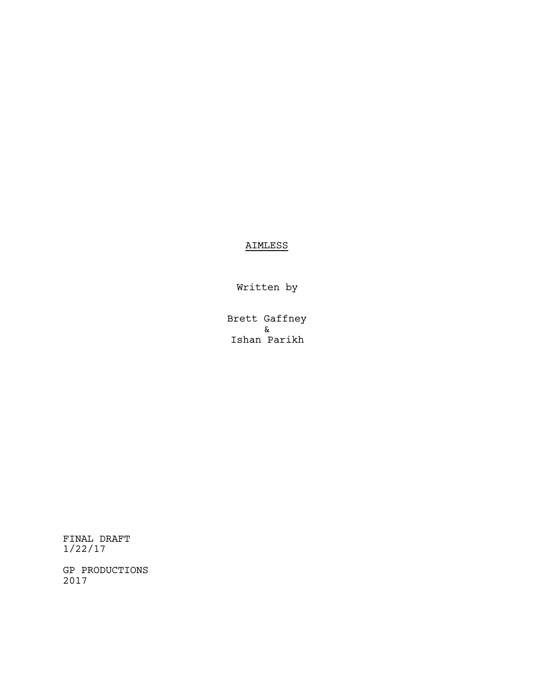# AIMLESS

Written by

Brett Gaffney & Ishan Parikh

FINAL DRAFT 1/22/17

GP PRODUCTIONS 2017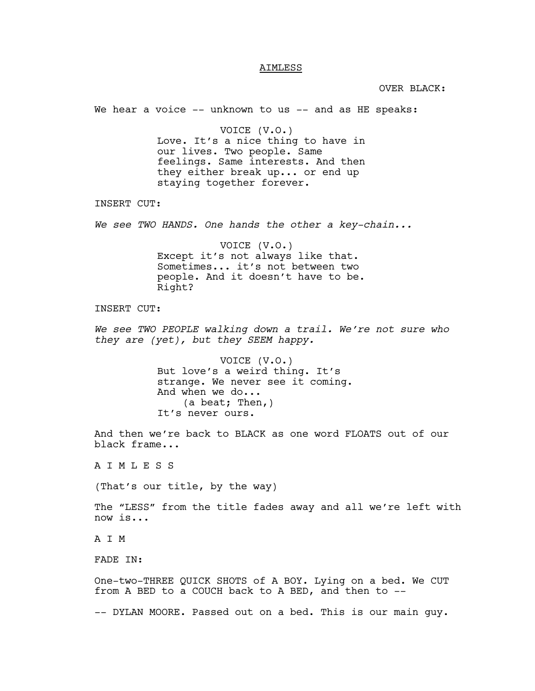#### AIMLESS

OVER BLACK:

We hear a voice -- unknown to us -- and as HE speaks:

VOICE (V.O.) Love. It's a nice thing to have in our lives. Two people. Same feelings. Same interests. And then they either break up... or end up staying together forever.

INSERT CUT:

*We see TWO HANDS. One hands the other a key-chain...*

VOICE (V.O.) Except it's not always like that. Sometimes... it's not between two people. And it doesn't have to be. Right?

INSERT CUT:

*We see TWO PEOPLE walking down a trail. We're not sure who they are (yet), but they SEEM happy.*

> VOICE (V.O.) But love's a weird thing. It's strange. We never see it coming. And when we do... (a beat; Then,) It's never ours.

And then we're back to BLACK as one word FLOATS out of our black frame...

A I M L E S S

(That's our title, by the way)

The "LESS" from the title fades away and all we're left with now is...

A I M

FADE IN:

One-two-THREE QUICK SHOTS of A BOY. Lying on a bed. We CUT from A BED to a COUCH back to A BED, and then to --

-- DYLAN MOORE. Passed out on a bed. This is our main guy.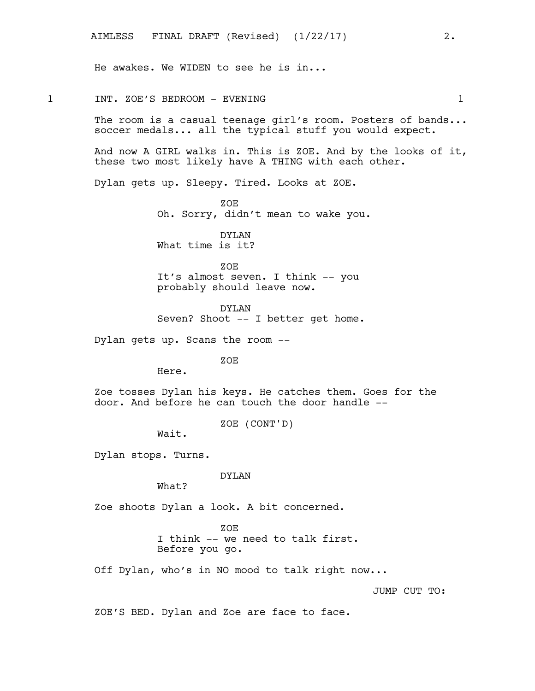He awakes. We WIDEN to see he is in...

1 INT. ZOE'S BEDROOM - EVENING 1 The room is a casual teenage girl's room. Posters of bands... soccer medals... all the typical stuff you would expect. And now A GIRL walks in. This is ZOE. And by the looks of it, these two most likely have A THING with each other. Dylan gets up. Sleepy. Tired. Looks at ZOE. ZOE Oh. Sorry, didn't mean to wake you. DYLAN What time is it? ZOE

> It's almost seven. I think -- you probably should leave now.

DYLAN Seven? Shoot -- I better get home.

Dylan gets up. Scans the room --

ZOE

Here.

Zoe tosses Dylan his keys. He catches them. Goes for the door. And before he can touch the door handle --

ZOE (CONT'D)

Wait.

Dylan stops. Turns.

DYLAN

What?

Zoe shoots Dylan a look. A bit concerned.

ZOE I think -- we need to talk first. Before you go.

Off Dylan, who's in NO mood to talk right now...

JUMP CUT TO:

ZOE'S BED. Dylan and Zoe are face to face.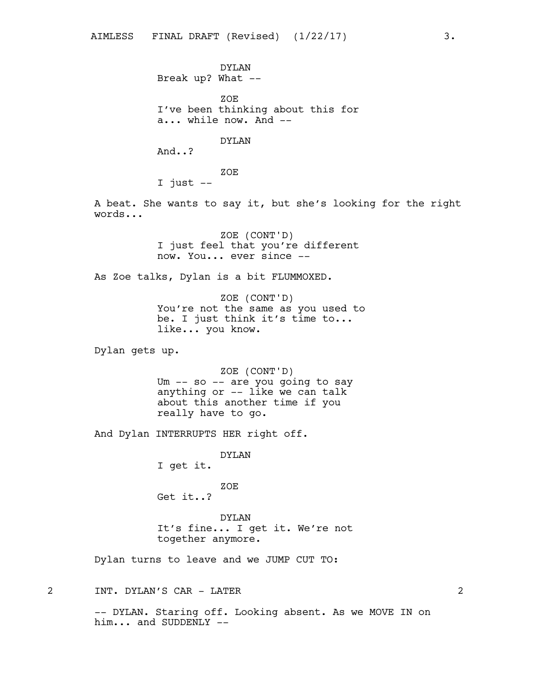DYLAN Break up? What --

ZOE I've been thinking about this for a... while now. And --

DYLAN

And..?

ZOE

I just --

A beat. She wants to say it, but she's looking for the right words...

> ZOE (CONT'D) I just feel that you're different now. You... ever since --

As Zoe talks, Dylan is a bit FLUMMOXED.

ZOE (CONT'D) You're not the same as you used to be. I just think it's time to... like... you know.

Dylan gets up.

ZOE (CONT'D) Um -- so -- are you going to say anything or -- like we can talk about this another time if you really have to go.

And Dylan INTERRUPTS HER right off.

DYLAN I get it.

ZOE Get it..?

DYLAN It's fine... I get it. We're not together anymore.

Dylan turns to leave and we JUMP CUT TO:

2 INT. DYLAN'S CAR - LATER 2

-- DYLAN. Staring off. Looking absent. As we MOVE IN on him... and SUDDENLY --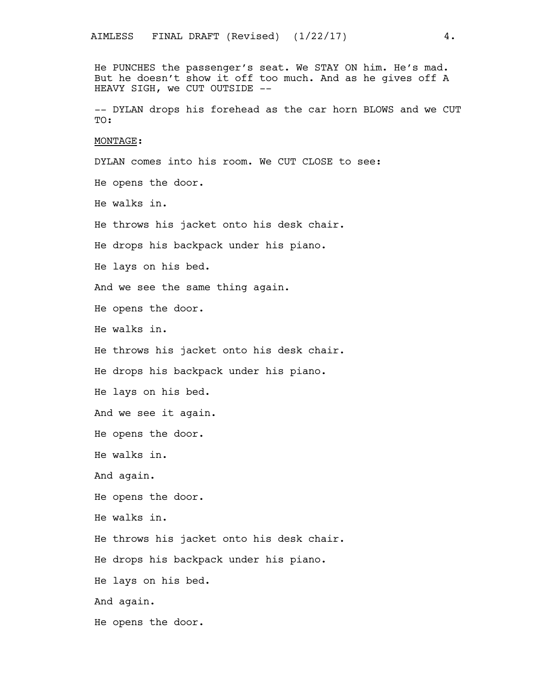He PUNCHES the passenger's seat. We STAY ON him. He's mad. But he doesn't show it off too much. And as he gives off A HEAVY SIGH, we CUT OUTSIDE --

-- DYLAN drops his forehead as the car horn BLOWS and we CUT TO:

#### MONTAGE:

DYLAN comes into his room. We CUT CLOSE to see:

He opens the door.

He walks in.

He throws his jacket onto his desk chair.

He drops his backpack under his piano.

He lays on his bed.

And we see the same thing again.

He opens the door.

He walks in.

He throws his jacket onto his desk chair.

He drops his backpack under his piano.

He lays on his bed.

And we see it again.

He opens the door.

He walks in.

And again.

He opens the door.

He walks in.

He throws his jacket onto his desk chair.

He drops his backpack under his piano.

He lays on his bed.

And again.

He opens the door.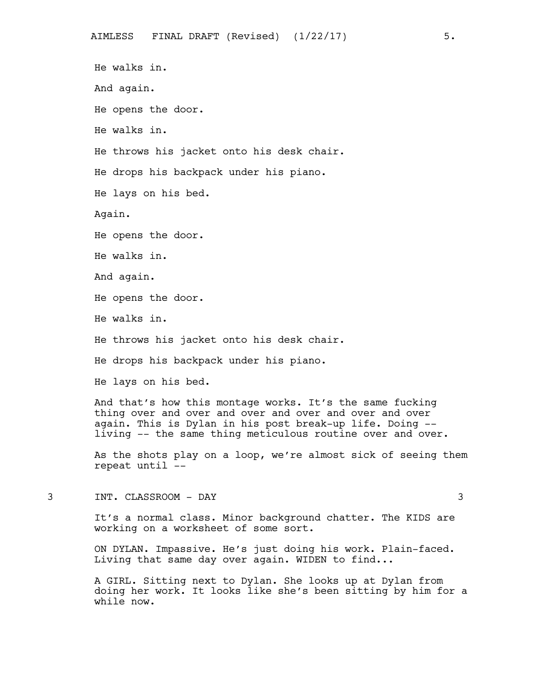He walks in. And again. He opens the door. He walks in. He throws his jacket onto his desk chair. He drops his backpack under his piano. He lays on his bed. Again. He opens the door. He walks in. And again. He opens the door. He walks in. He throws his jacket onto his desk chair. He drops his backpack under his piano. He lays on his bed. And that's how this montage works. It's the same fucking thing over and over and over and over and over and over again. This is Dylan in his post break-up life. Doing - living -- the same thing meticulous routine over and over.

As the shots play on a loop, we're almost sick of seeing them repeat until --

3 INT. CLASSROOM - DAY 3

It's a normal class. Minor background chatter. The KIDS are working on a worksheet of some sort.

ON DYLAN. Impassive. He's just doing his work. Plain-faced. Living that same day over again. WIDEN to find...

A GIRL. Sitting next to Dylan. She looks up at Dylan from doing her work. It looks like she's been sitting by him for a while now.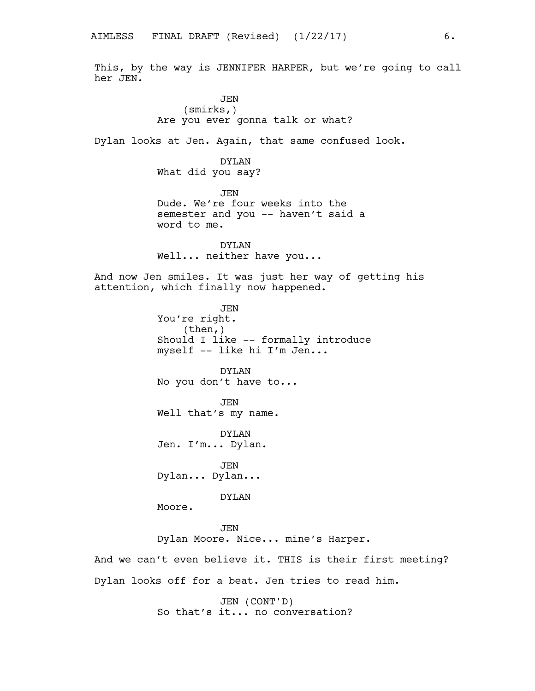This, by the way is JENNIFER HARPER, but we're going to call her JEN.

> JEN (smirks,) Are you ever gonna talk or what?

Dylan looks at Jen. Again, that same confused look.

DYLAN What did you say?

JEN Dude. We're four weeks into the semester and you -- haven't said a word to me.

DYLAN Well... neither have you...

And now Jen smiles. It was just her way of getting his attention, which finally now happened.

> JEN You're right. (then,) Should I like -- formally introduce myself -- like hi I'm Jen...

DYLAN No you don't have to...

JEN Well that's my name.

DYLAN Jen. I'm... Dylan.

JEN Dylan... Dylan...

DYLAN

Moore.

**JEN** Dylan Moore. Nice... mine's Harper.

And we can't even believe it. THIS is their first meeting? Dylan looks off for a beat. Jen tries to read him.

> JEN (CONT'D) So that's it... no conversation?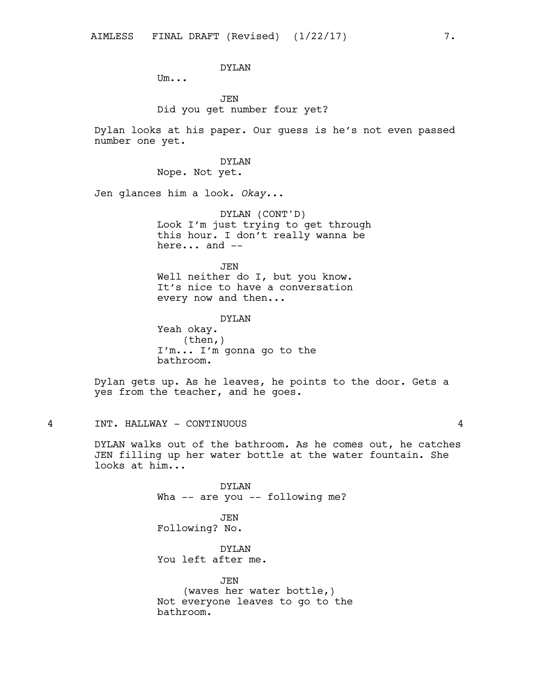## DYLAN

Um...

## JEN Did you get number four yet?

Dylan looks at his paper. Our guess is he's not even passed number one yet.

### DYLAN

Nope. Not yet.

Jen glances him a look. *Okay...*

DYLAN (CONT'D) Look I'm just trying to get through this hour. I don't really wanna be here... and --

**JEN** Well neither do I, but you know. It's nice to have a conversation every now and then...

DYLAN

Yeah okay. (then,) I'm... I'm gonna go to the bathroom.

Dylan gets up. As he leaves, he points to the door. Gets a yes from the teacher, and he goes.

## 4 INT. HALLWAY - CONTINUOUS 4

DYLAN walks out of the bathroom. As he comes out, he catches JEN filling up her water bottle at the water fountain. She looks at him...

> DYLAN Wha -- are you -- following me? JEN Following? No. DYLAN You left after me.

JEN (waves her water bottle,) Not everyone leaves to go to the bathroom.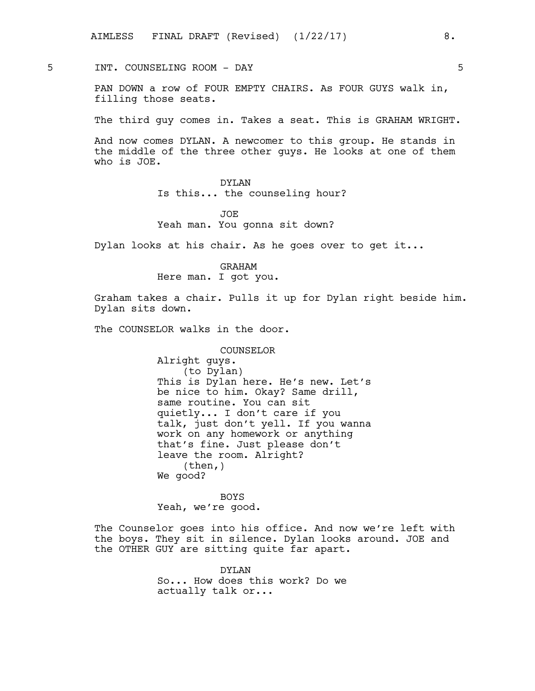5 INT. COUNSELING ROOM - DAY 5

PAN DOWN a row of FOUR EMPTY CHAIRS. As FOUR GUYS walk in, filling those seats.

The third guy comes in. Takes a seat. This is GRAHAM WRIGHT.

And now comes DYLAN. A newcomer to this group. He stands in the middle of the three other guys. He looks at one of them who is JOE.

## DYLAN

Is this... the counseling hour?

JOE Yeah man. You gonna sit down?

Dylan looks at his chair. As he goes over to get it...

GRAHAM Here man. I got you.

Graham takes a chair. Pulls it up for Dylan right beside him. Dylan sits down.

The COUNSELOR walks in the door.

COUNSELOR Alright guys. (to Dylan) This is Dylan here. He's new. Let's be nice to him. Okay? Same drill, same routine. You can sit quietly... I don't care if you talk, just don't yell. If you wanna work on any homework or anything that's fine. Just please don't leave the room. Alright?  $(then, )$ We good?

BOYS Yeah, we're good.

The Counselor goes into his office. And now we're left with the boys. They sit in silence. Dylan looks around. JOE and the OTHER GUY are sitting quite far apart.

> DYLAN So... How does this work? Do we actually talk or...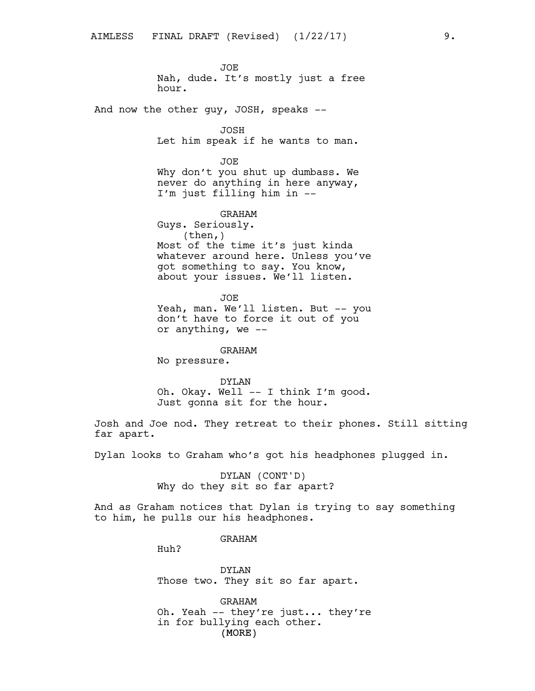JOE Nah, dude. It's mostly just a free hour.

And now the other guy, JOSH, speaks --

JOSH Let him speak if he wants to man.

JOE Why don't you shut up dumbass. We never do anything in here anyway, I'm just filling him in --

GRAHAM Guys. Seriously. (then,) Most of the time it's just kinda whatever around here. Unless you've got something to say. You know, about your issues. We'll listen.

JOE Yeah, man. We'll listen. But -- you don't have to force it out of you or anything, we --

GRAHAM No pressure.

## DYLAN

Oh. Okay. Well -- I think I'm good. Just gonna sit for the hour.

Josh and Joe nod. They retreat to their phones. Still sitting far apart.

Dylan looks to Graham who's got his headphones plugged in.

DYLAN (CONT'D) Why do they sit so far apart?

And as Graham notices that Dylan is trying to say something to him, he pulls our his headphones.

GRAHAM

Huh?

DYLAN Those two. They sit so far apart.

(MORE) GRAHAM Oh. Yeah -- they're just... they're in for bullying each other.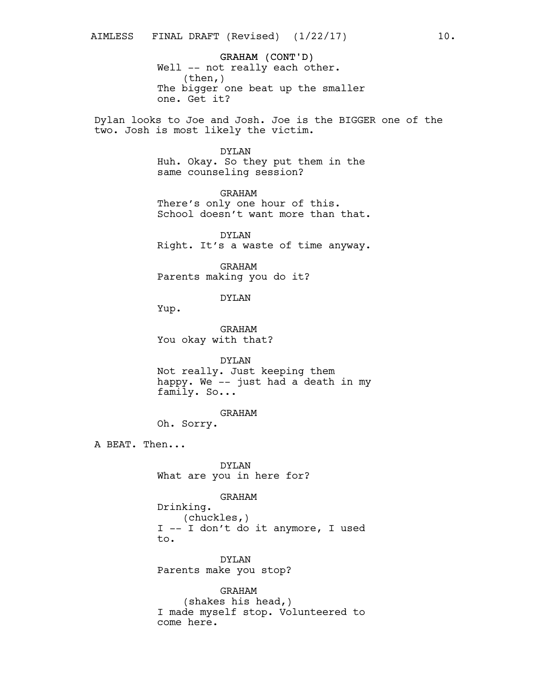GRAHAM (CONT'D) Well -- not really each other. (then,) The bigger one beat up the smaller one. Get it?

Dylan looks to Joe and Josh. Joe is the BIGGER one of the two. Josh is most likely the victim.

### DYLAN

Huh. Okay. So they put them in the same counseling session?

GRAHAM There's only one hour of this. School doesn't want more than that.

DYLAN Right. It's a waste of time anyway.

GRAHAM Parents making you do it?

DYLAN

Yup.

GRAHAM You okay with that?

DYLAN

Not really. Just keeping them happy. We -- just had a death in my family. So...

GRAHAM

Oh. Sorry.

A BEAT. Then...

DYLAN What are you in here for?

GRAHAM

Drinking. (chuckles,) I -- I don't do it anymore, I used to.

DYLAN Parents make you stop?

GRAHAM (shakes his head,) I made myself stop. Volunteered to come here.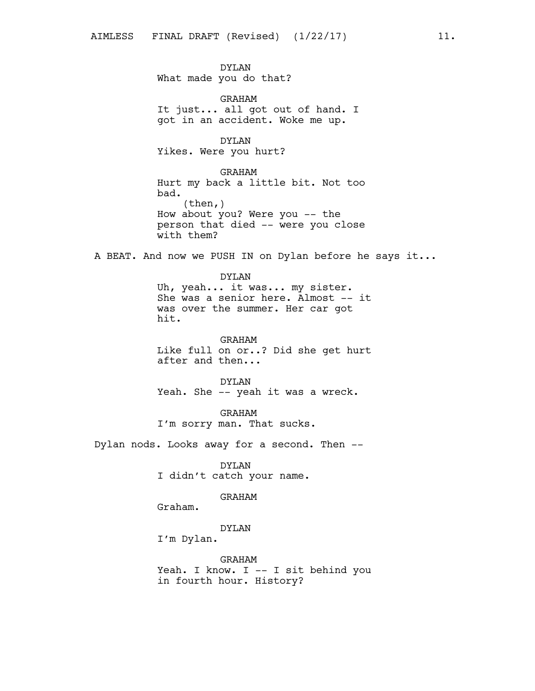DYLAN What made you do that? GRAHAM It just... all got out of hand. I got in an accident. Woke me up. DYLAN Yikes. Were you hurt? GRAHAM Hurt my back a little bit. Not too bad.  $(then, )$ How about you? Were you -- the person that died -- were you close with them? A BEAT. And now we PUSH IN on Dylan before he says it... DYLAN Uh, yeah... it was... my sister. She was a senior here. Almost -- it was over the summer. Her car got

> GRAHAM Like full on or..? Did she get hurt after and then...

DYLAN Yeah. She -- yeah it was a wreck.

GRAHAM I'm sorry man. That sucks.

Dylan nods. Looks away for a second. Then --

DYLAN I didn't catch your name.

GRAHAM

Graham.

hit.

DYLAN

I'm Dylan.

GRAHAM Yeah. I know. I -- I sit behind you in fourth hour. History?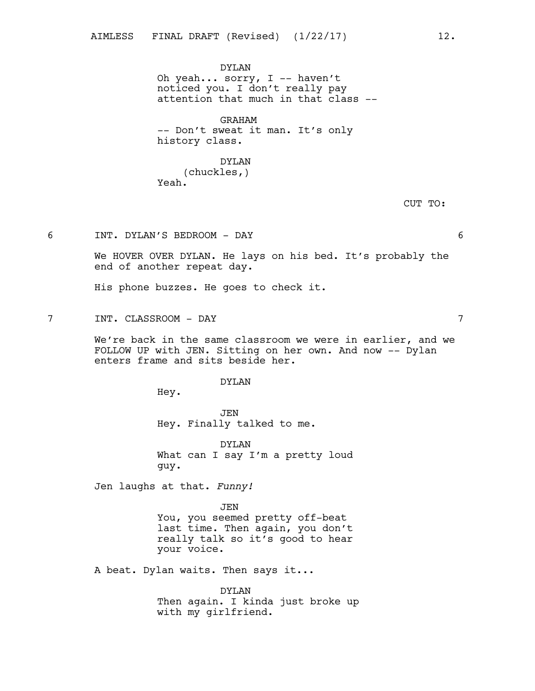DYLAN Oh yeah... sorry, I -- haven't noticed you. I don't really pay attention that much in that class --

GRAHAM -- Don't sweat it man. It's only history class.

## DYLAN (chuckles,) Yeah.

CUT TO:

6 INT. DYLAN'S BEDROOM - DAY 6

We HOVER OVER DYLAN. He lays on his bed. It's probably the end of another repeat day.

His phone buzzes. He goes to check it.

7 INT. CLASSROOM - DAY 7

We're back in the same classroom we were in earlier, and we FOLLOW UP with JEN. Sitting on her own. And now -- Dylan enters frame and sits beside her.

#### DYLAN

Hey.

JEN Hey. Finally talked to me.

DYLAN What can I say I'm a pretty loud guy.

Jen laughs at that. *Funny!*

JEN You, you seemed pretty off-beat last time. Then again, you don't really talk so it's good to hear your voice.

A beat. Dylan waits. Then says it...

DYLAN Then again. I kinda just broke up with my girlfriend.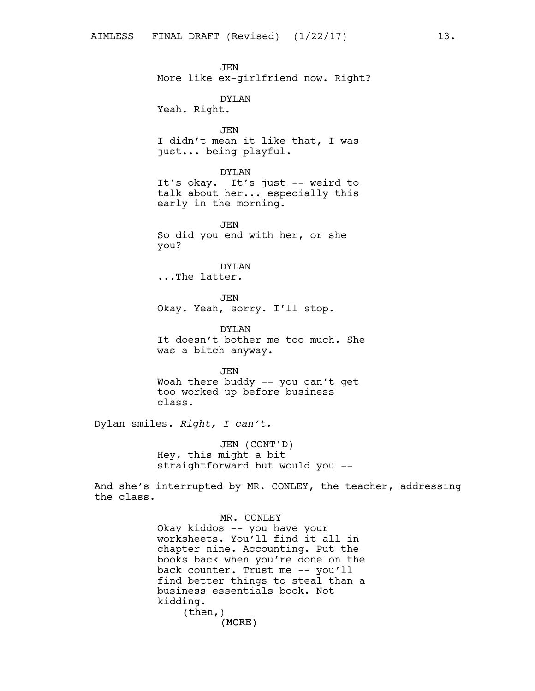**JEN** More like ex-girlfriend now. Right? DYLAN Yeah. Right. JEN I didn't mean it like that, I was just... being playful. DYLAN It's okay. It's just -- weird to talk about her... especially this early in the morning. **JEN** So did you end with her, or she you? DYLAN ...The latter. JEN Okay. Yeah, sorry. I'll stop. DYLAN It doesn't bother me too much. She was a bitch anyway. JEN Woah there buddy -- you can't get too worked up before business class. Dylan smiles. *Right, I can't.* JEN (CONT'D) Hey, this might a bit straightforward but would you --

And she's interrupted by MR. CONLEY, the teacher, addressing the class.

> (MORE) MR. CONLEY Okay kiddos -- you have your worksheets. You'll find it all in chapter nine. Accounting. Put the books back when you're done on the back counter. Trust me -- you'll find better things to steal than a business essentials book. Not kidding. (then,)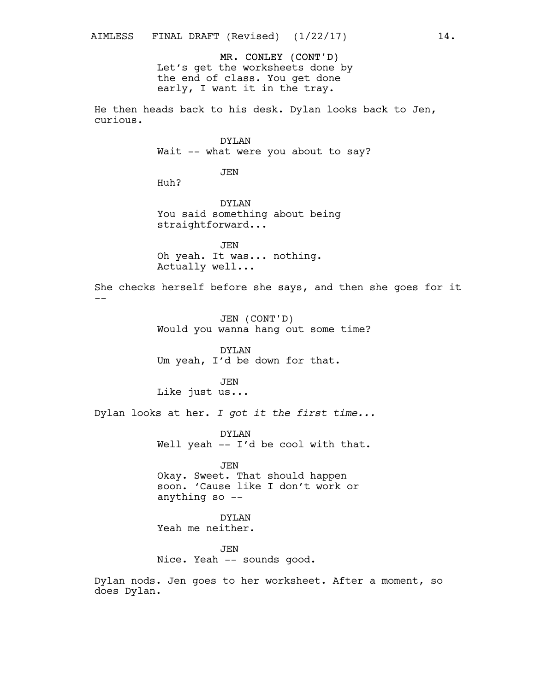MR. CONLEY (CONT'D) Let's get the worksheets done by the end of class. You get done early, I want it in the tray.

He then heads back to his desk. Dylan looks back to Jen, curious.

> DYLAN Wait -- what were you about to say?

> > JEN

Huh?

DYLAN You said something about being straightforward...

JEN Oh yeah. It was... nothing. Actually well...

She checks herself before she says, and then she goes for it --

> JEN (CONT'D) Would you wanna hang out some time?

DYLAN Um yeah, I'd be down for that.

JEN Like just us...

Dylan looks at her. *I got it the first time...*

DYLAN Well yeah -- I'd be cool with that.

JEN Okay. Sweet. That should happen soon. 'Cause like I don't work or anything so --

DYLAN Yeah me neither.

JEN Nice. Yeah -- sounds good.

Dylan nods. Jen goes to her worksheet. After a moment, so does Dylan.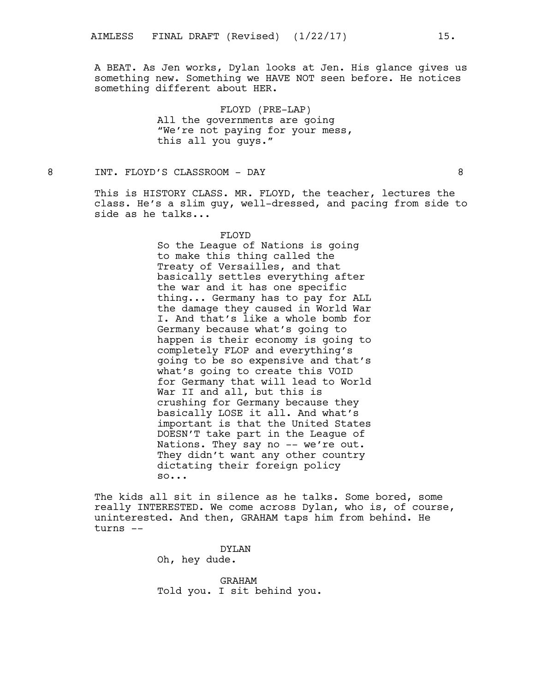A BEAT. As Jen works, Dylan looks at Jen. His glance gives us something new. Something we HAVE NOT seen before. He notices something different about HER.

> FLOYD (PRE-LAP) All the governments are going "We're not paying for your mess, this all you guys."

8 INT. FLOYD'S CLASSROOM - DAY 8

This is HISTORY CLASS. MR. FLOYD, the teacher, lectures the class. He's a slim guy, well-dressed, and pacing from side to side as he talks...

#### FLOYD

So the League of Nations is going to make this thing called the Treaty of Versailles, and that basically settles everything after the war and it has one specific thing... Germany has to pay for ALL the damage they caused in World War I. And that's like a whole bomb for Germany because what's going to happen is their economy is going to completely FLOP and everything's going to be so expensive and that's what's going to create this VOID for Germany that will lead to World War II and all, but this is crushing for Germany because they basically LOSE it all. And what's important is that the United States DOESN'T take part in the League of Nations. They say no -- we're out. They didn't want any other country dictating their foreign policy so...

The kids all sit in silence as he talks. Some bored, some really INTERESTED. We come across Dylan, who is, of course, uninterested. And then, GRAHAM taps him from behind. He turns --

> DYLAN Oh, hey dude.

GRAHAM Told you. I sit behind you.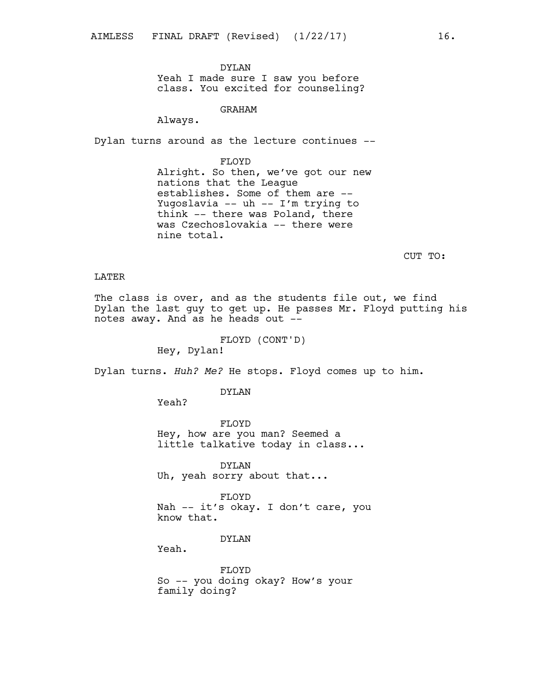DYLAN Yeah I made sure I saw you before class. You excited for counseling?

GRAHAM

Always.

Dylan turns around as the lecture continues --

FLOYD Alright. So then, we've got our new nations that the League establishes. Some of them are -- Yugoslavia -- uh -- I'm trying to think -- there was Poland, there was Czechoslovakia -- there were nine total.

CUT TO:

### LATER

The class is over, and as the students file out, we find Dylan the last guy to get up. He passes Mr. Floyd putting his notes away. And as he heads out --

FLOYD (CONT'D)

Hey, Dylan!

Dylan turns. *Huh? Me?* He stops. Floyd comes up to him.

DYLAN

Yeah?

FLOYD Hey, how are you man? Seemed a little talkative today in class...

DYLAN Uh, yeah sorry about that...

FLOYD Nah -- it's okay. I don't care, you know that.

DYLAN

Yeah.

FLOYD So -- you doing okay? How's your family doing?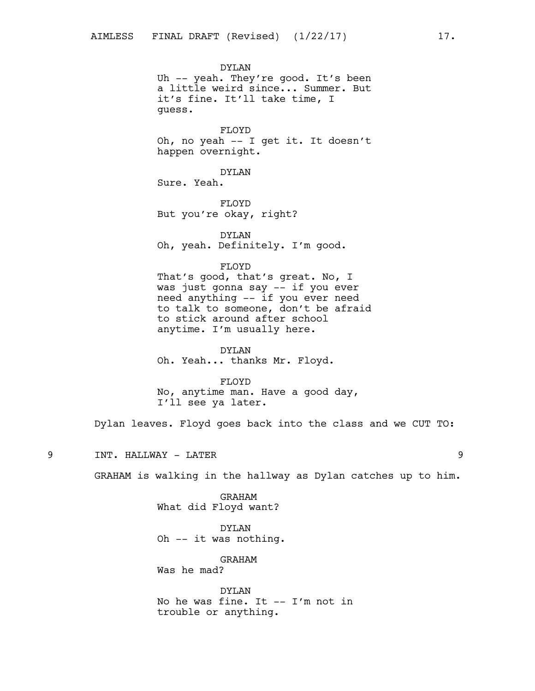DYLAN Uh -- yeah. They're good. It's been a little weird since... Summer. But it's fine. It'll take time, I guess.

FLOYD Oh, no yeah -- I get it. It doesn't happen overnight.

DYLAN Sure. Yeah.

FLOYD But you're okay, right?

DYLAN Oh, yeah. Definitely. I'm good.

FLOYD That's good, that's great. No, I was just gonna say -- if you ever need anything -- if you ever need to talk to someone, don't be afraid to stick around after school

DYLAN Oh. Yeah... thanks Mr. Floyd.

anytime. I'm usually here.

FLOYD No, anytime man. Have a good day,

I'll see ya later.

Dylan leaves. Floyd goes back into the class and we CUT TO:

9 INT. HALLWAY - LATER 9

GRAHAM is walking in the hallway as Dylan catches up to him.

GRAHAM What did Floyd want?

DYLAN Oh -- it was nothing.

GRAHAM Was he mad?

DYLAN No he was fine. It -- I'm not in trouble or anything.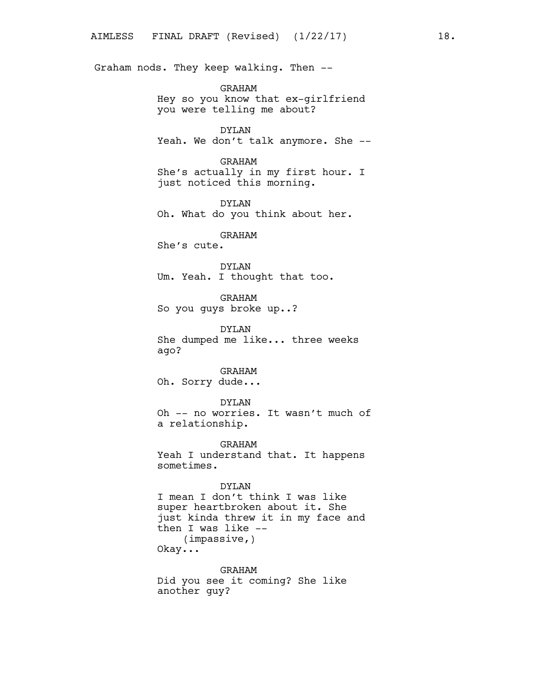Graham nods. They keep walking. Then --

GRAHAM Hey so you know that ex-girlfriend you were telling me about?

DYLAN Yeah. We don't talk anymore. She --

GRAHAM She's actually in my first hour. I just noticed this morning.

DYLAN Oh. What do you think about her.

GRAHAM

She's cute.

DYLAN Um. Yeah. I thought that too.

GRAHAM So you guys broke up..?

DYLAN She dumped me like... three weeks ago?

GRAHAM Oh. Sorry dude...

DYLAN Oh -- no worries. It wasn't much of a relationship.

GRAHAM Yeah I understand that. It happens sometimes.

DYLAN I mean I don't think I was like super heartbroken about it. She just kinda threw it in my face and then I was like -- (impassive,)

Okay...

GRAHAM Did you see it coming? She like another guy?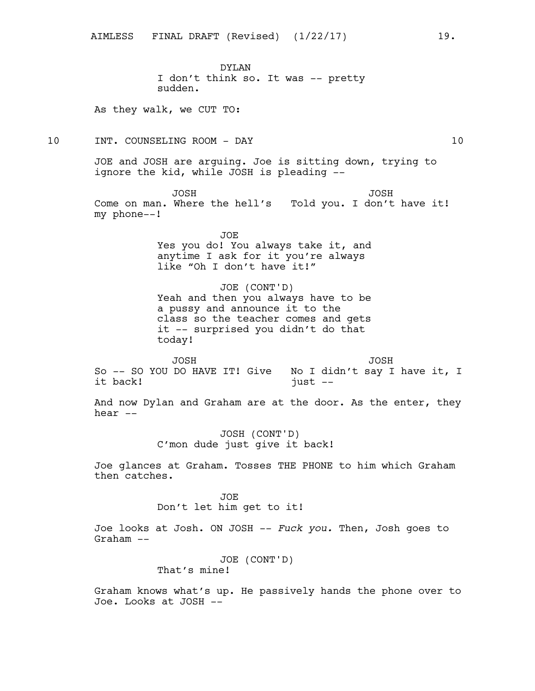DYLAN I don't think so. It was -- pretty sudden.

As they walk, we CUT TO:

10 INT. COUNSELING ROOM - DAY 10

JOE and JOSH are arguing. Joe is sitting down, trying to ignore the kid, while JOSH is pleading --

JOSH Come on man. Where the hell's Told you. I don't have it! my phone--! JOSH

> JOE Yes you do! You always take it, and anytime I ask for it you're always like "Oh I don't have it!"

> JOE (CONT'D) Yeah and then you always have to be a pussy and announce it to the class so the teacher comes and gets it -- surprised you didn't do that today!

JOSH So -- SO YOU DO HAVE IT! Give it back! JOSH No I didn't say I have it, I  $just$   $--$ 

And now Dylan and Graham are at the door. As the enter, they hear --

> JOSH (CONT'D) C'mon dude just give it back!

Joe glances at Graham. Tosses THE PHONE to him which Graham then catches.

> JOE Don't let him get to it!

Joe looks at Josh. ON JOSH -- *Fuck you.* Then, Josh goes to Graham --

JOE (CONT'D)

That's mine!

Graham knows what's up. He passively hands the phone over to Joe. Looks at JOSH --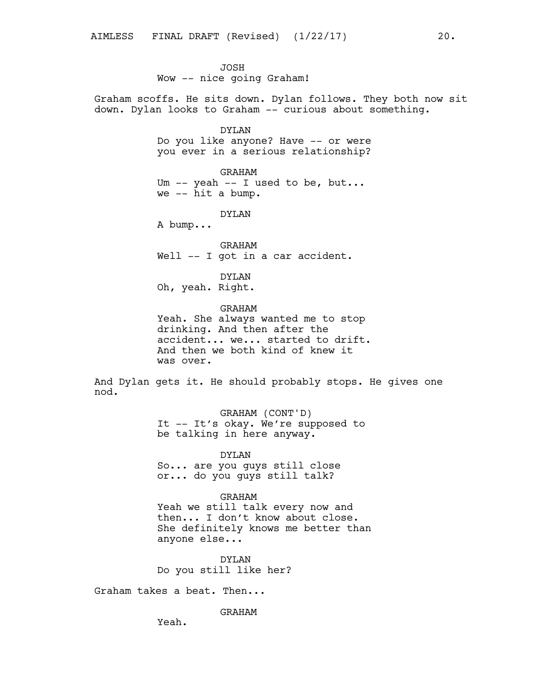JOSH Wow -- nice going Graham!

Graham scoffs. He sits down. Dylan follows. They both now sit down. Dylan looks to Graham -- curious about something.

> DYLAN Do you like anyone? Have -- or were you ever in a serious relationship?

GRAHAM Um -- yeah -- I used to be, but... we -- hit a bump.

DYLAN

A bump...

GRAHAM Well -- I got in a car accident.

DYLAN Oh, yeah. Right.

GRAHAM

Yeah. She always wanted me to stop drinking. And then after the accident... we... started to drift. And then we both kind of knew it was over.

And Dylan gets it. He should probably stops. He gives one nod.

> GRAHAM (CONT'D) It -- It's okay. We're supposed to be talking in here anyway.

DYLAN So... are you guys still close or... do you guys still talk?

GRAHAM Yeah we still talk every now and then... I don't know about close. She definitely knows me better than

DYLAN Do you still like her?

Graham takes a beat. Then...

anyone else...

GRAHAM

Yeah.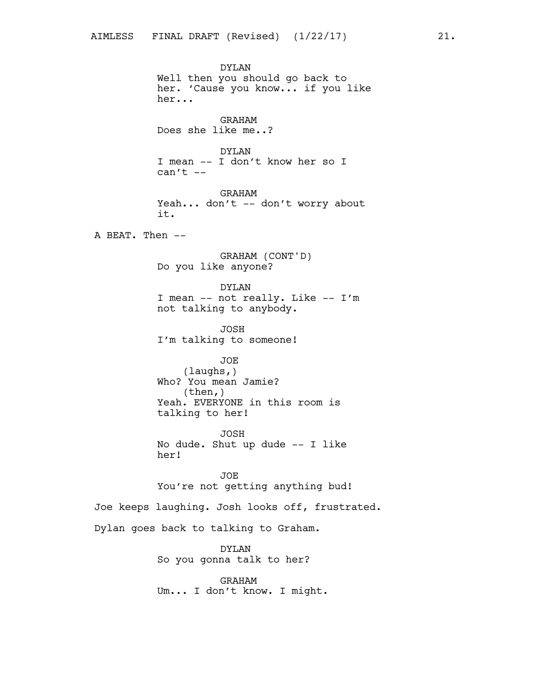DYLAN Well then you should go back to her. 'Cause you know... if you like her... GRAHAM Does she like me..? DYLAN I mean -- I don't know her so I  $can't --$ GRAHAM Yeah... don't -- don't worry about it. A BEAT. Then -- GRAHAM (CONT'D) Do you like anyone? DYLAN I mean -- not really. Like -- I'm not talking to anybody. JOSH I'm talking to someone! JOE (laughs,) Who? You mean Jamie? (then,) Yeah. EVERYONE in this room is talking to her! JOSH No dude. Shut up dude -- I like her! JOE You're not getting anything bud! Joe keeps laughing. Josh looks off, frustrated. Dylan goes back to talking to Graham. DYLAN So you gonna talk to her?

GRAHAM Um... I don't know. I might.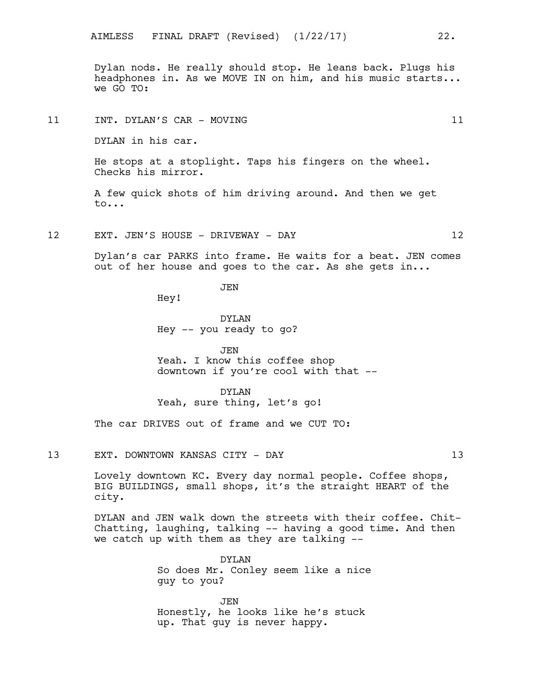Dylan nods. He really should stop. He leans back. Plugs his headphones in. As we MOVE IN on him, and his music starts... we GO TO:

11 INT. DYLAN'S CAR - MOVING 11

DYLAN in his car.

He stops at a stoplight. Taps his fingers on the wheel. Checks his mirror.

A few quick shots of him driving around. And then we get to...

12 EXT. JEN'S HOUSE - DRIVEWAY - DAY 12

Dylan's car PARKS into frame. He waits for a beat. JEN comes out of her house and goes to the car. As she gets in...

JEN

Hey!

DYLAN Hey -- you ready to go?

JEN Yeah. I know this coffee shop downtown if you're cool with that --

DYLAN Yeah, sure thing, let's go!

The car DRIVES out of frame and we CUT TO:

13 EXT. DOWNTOWN KANSAS CITY - DAY 13

Lovely downtown KC. Every day normal people. Coffee shops, BIG BUILDINGS, small shops, it's the straight HEART of the city.

DYLAN and JEN walk down the streets with their coffee. Chit-Chatting, laughing, talking -- having a good time. And then we catch up with them as they are talking --

> DYLAN So does Mr. Conley seem like a nice guy to you?

JEN Honestly, he looks like he's stuck up. That guy is never happy.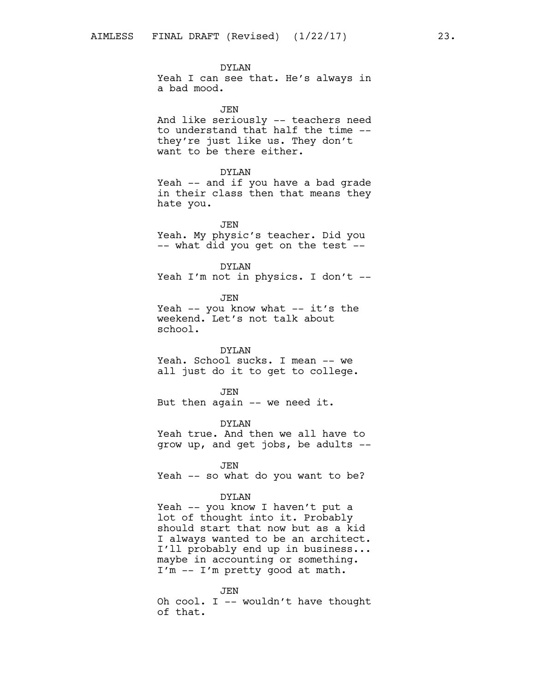DYLAN Yeah I can see that. He's always in a bad mood.

JEN And like seriously -- teachers need to understand that half the time - they're just like us. They don't want to be there either.

#### DYLAN

Yeah -- and if you have a bad grade in their class then that means they hate you.

JEN Yeah. My physic's teacher. Did you -- what did you get on the test --

DYLAN Yeah I'm not in physics. I don't --

JEN Yeah  $--$  you know what  $--$  it's the weekend. Let's not talk about school.

### DYLAN

Yeah. School sucks. I mean -- we all just do it to get to college.

JEN But then again -- we need it.

DYLAN

Yeah true. And then we all have to grow up, and get jobs, be adults --

JEN Yeah -- so what do you want to be?

#### DYLAN

Yeah -- you know I haven't put a lot of thought into it. Probably should start that now but as a kid I always wanted to be an architect. I'll probably end up in business... maybe in accounting or something. I'm -- I'm pretty good at math.

JEN

Oh cool. I -- wouldn't have thought of that.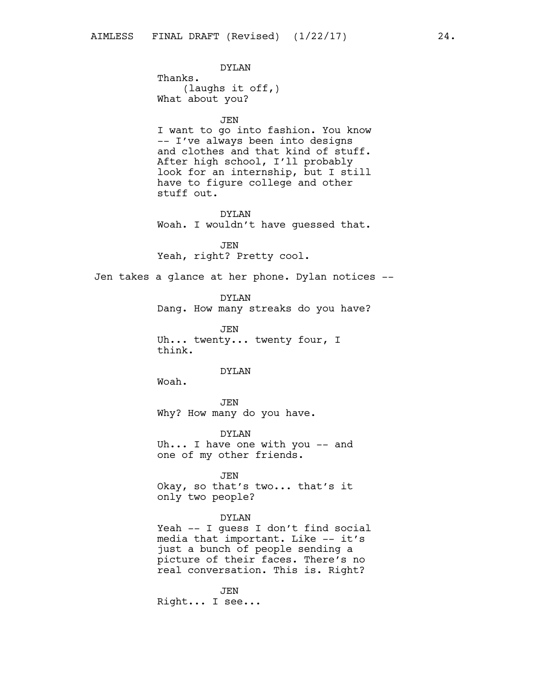DYLAN Thanks. (laughs it off,) What about you? JEN I want to go into fashion. You know -- I've always been into designs and clothes and that kind of stuff. After high school, I'll probably look for an internship, but I still have to figure college and other stuff out. DYLAN Woah. I wouldn't have guessed that. JEN Yeah, right? Pretty cool. Jen takes a glance at her phone. Dylan notices -- DYLAN Dang. How many streaks do you have? JEN Uh... twenty... twenty four, I think. DYLAN Woah. JEN Why? How many do you have. DYLAN Uh... I have one with you -- and one of my other friends. JEN Okay, so that's two... that's it only two people? DYLAN Yeah -- I guess I don't find social

media that important. Like -- it's just a bunch of people sending a picture of their faces. There's no real conversation. This is. Right?

JEN Right... I see...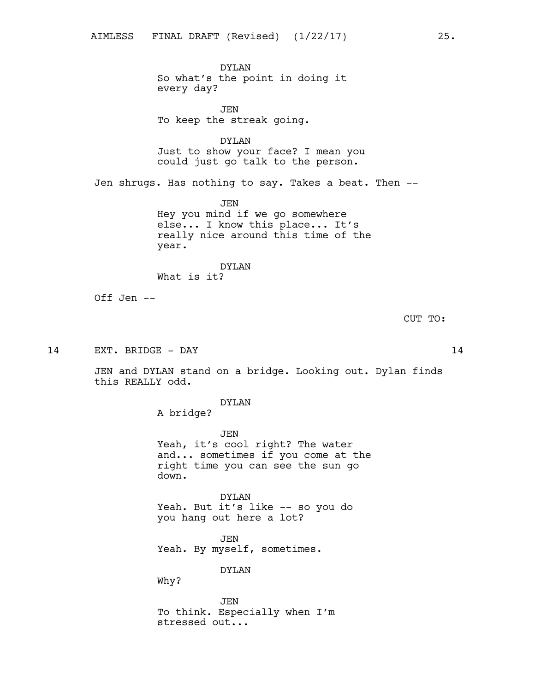DYLAN So what's the point in doing it every day?

JEN To keep the streak going.

DYLAN Just to show your face? I mean you could just go talk to the person.

Jen shrugs. Has nothing to say. Takes a beat. Then --

JEN Hey you mind if we go somewhere else... I know this place... It's really nice around this time of the year.

DYLAN What is it?

Off Jen --

CUT TO:

14 EXT. BRIDGE - DAY 14

JEN and DYLAN stand on a bridge. Looking out. Dylan finds this REALLY odd.

DYLAN

A bridge?

JEN Yeah, it's cool right? The water and... sometimes if you come at the right time you can see the sun go down.

DYLAN Yeah. But it's like -- so you do you hang out here a lot?

JEN Yeah. By myself, sometimes.

DYLAN

Why?

JEN To think. Especially when I'm stressed out...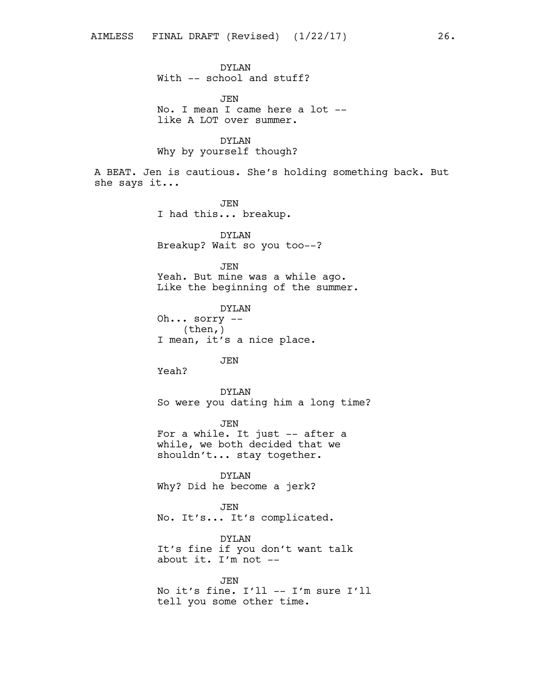DYLAN With -- school and stuff? JEN No. I mean I came here a lot - like A LOT over summer. DYLAN Why by yourself though? A BEAT. Jen is cautious. She's holding something back. But she says it... JEN I had this... breakup. DYLAN Breakup? Wait so you too--? JEN Yeah. But mine was a while ago. Like the beginning of the summer. DYLAN Oh... sorry -- (then,) I mean, it's a nice place. JEN Yeah? DYLAN So were you dating him a long time? JEN For a while. It just -- after a while, we both decided that we shouldn't... stay together. DYLAN Why? Did he become a jerk? JEN No. It's... It's complicated. DYLAN It's fine if you don't want talk about it. I'm not -- JEN

No it's fine. I'll -- I'm sure I'll tell you some other time.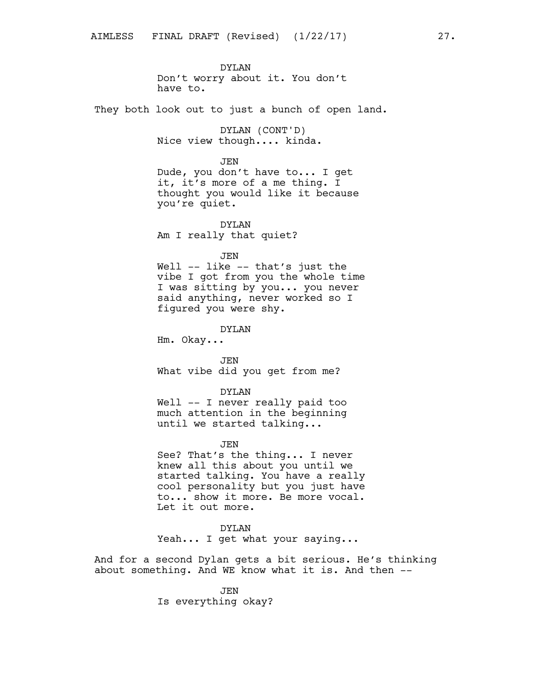DYLAN Don't worry about it. You don't have to.

They both look out to just a bunch of open land.

DYLAN (CONT'D) Nice view though.... kinda.

JEN

Dude, you don't have to... I get it, it's more of a me thing. I thought you would like it because you're quiet.

DYLAN Am I really that quiet?

JEN

Well -- like -- that's just the vibe I got from you the whole time I was sitting by you... you never said anything, never worked so I figured you were shy.

DYLAN

Hm. Okay...

JEN What vibe did you get from me?

DYLAN

Well -- I never really paid too much attention in the beginning until we started talking...

JEN

See? That's the thing... I never knew all this about you until we started talking. You have a really cool personality but you just have to... show it more. Be more vocal. Let it out more.

DYLAN

Yeah... I get what your saying...

And for a second Dylan gets a bit serious. He's thinking about something. And WE know what it is. And then --

> JEN Is everything okay?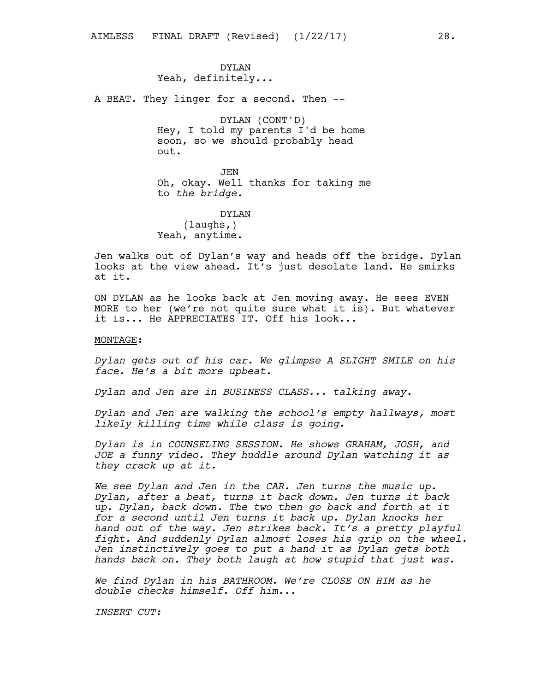DYLAN Yeah, definitely...

A BEAT. They linger for a second. Then --

DYLAN (CONT'D) Hey, I told my parents I'd be home soon, so we should probably head out.

JEN Oh, okay. Well thanks for taking me to *the bridge.*

DYLAN (laughs,) Yeah, anytime.

Jen walks out of Dylan's way and heads off the bridge. Dylan looks at the view ahead. It's just desolate land. He smirks at it.

ON DYLAN as he looks back at Jen moving away. He sees EVEN MORE to her (we're not quite sure what it is). But whatever it is... He APPRECIATES IT. Off his look...

### MONTAGE:

*Dylan gets out of his car. We glimpse A SLIGHT SMILE on his face. He's a bit more upbeat.*

*Dylan and Jen are in BUSINESS CLASS... talking away.*

*Dylan and Jen are walking the school's empty hallways, most likely killing time while class is going.*

*Dylan is in COUNSELING SESSION. He shows GRAHAM, JOSH, and JOE a funny video. They huddle around Dylan watching it as they crack up at it.*

*We see Dylan and Jen in the CAR. Jen turns the music up. Dylan, after a beat, turns it back down. Jen turns it back up. Dylan, back down. The two then go back and forth at it for a second until Jen turns it back up. Dylan knocks her hand out of the way. Jen strikes back. It's a pretty playful fight. And suddenly Dylan almost loses his grip on the wheel. Jen instinctively goes to put a hand it as Dylan gets both hands back on. They both laugh at how stupid that just was.*

*We find Dylan in his BATHROOM. We're CLOSE ON HIM as he double checks himself. Off him...*

*INSERT CUT:*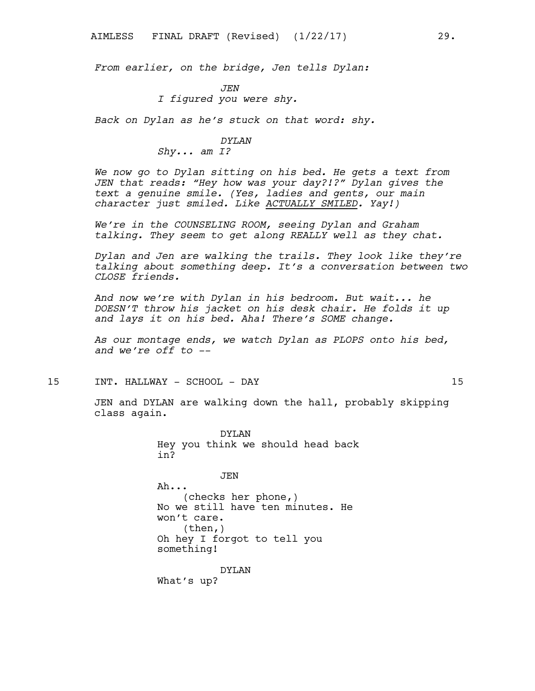*From earlier, on the bridge, Jen tells Dylan:*

*JEN I figured you were shy.*

*Back on Dylan as he's stuck on that word: shy.*

### *DYLAN*

*Shy... am I?*

*We now go to Dylan sitting on his bed. He gets a text from JEN that reads: "Hey how was your day?!?" Dylan gives the text a genuine smile. (Yes, ladies and gents, our main character just smiled. Like ACTUALLY SMILED. Yay!)*

*We're in the COUNSELING ROOM, seeing Dylan and Graham talking. They seem to get along REALLY well as they chat.*

*Dylan and Jen are walking the trails. They look like they're talking about something deep. It's a conversation between two CLOSE friends.*

*And now we're with Dylan in his bedroom. But wait... he DOESN'T throw his jacket on his desk chair. He folds it up and lays it on his bed. Aha! There's SOME change.*

*As our montage ends, we watch Dylan as PLOPS onto his bed, and we're off to --*

15 INT. HALLWAY - SCHOOL - DAY 15

JEN and DYLAN are walking down the hall, probably skipping class again.

> DYLAN Hey you think we should head back in?

> > JEN

Ah... (checks her phone,) No we still have ten minutes. He won't care. (then,) Oh hey I forgot to tell you something!

DYLAN

What's up?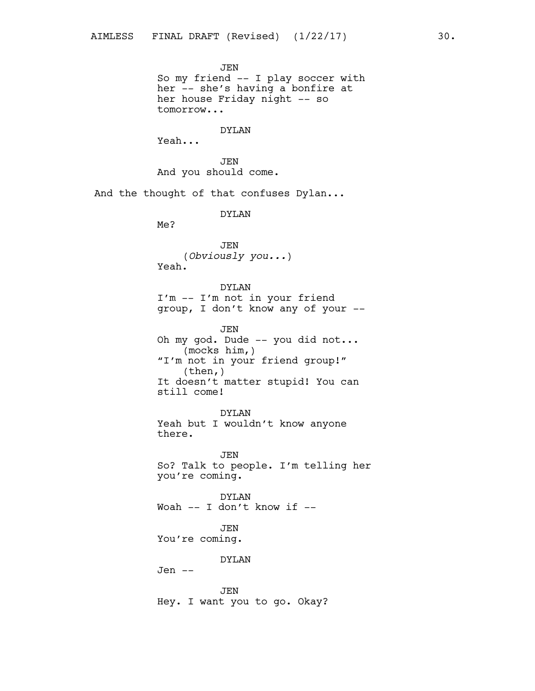JEN So my friend -- I play soccer with her -- she's having a bonfire at her house Friday night -- so tomorrow... DYLAN Yeah... JEN And you should come. And the thought of that confuses Dylan... DYLAN Me? JEN (*Obviously you...*) Yeah. DYLAN I'm -- I'm not in your friend group, I don't know any of your -- JEN Oh my god. Dude -- you did not... (mocks him,) "I'm not in your friend group!" (then,) It doesn't matter stupid! You can still come! DYLAN Yeah but I wouldn't know anyone there. JEN So? Talk to people. I'm telling her you're coming. DYLAN Woah -- I don't know if -- JEN You're coming. DYLAN Jen -- JEN Hey. I want you to go. Okay?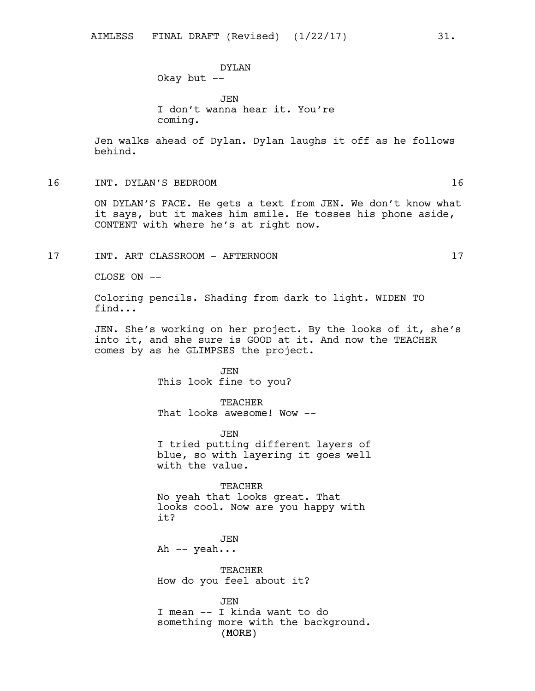JEN I don't wanna hear it. You're coming.

Jen walks ahead of Dylan. Dylan laughs it off as he follows behind.

16 INT. DYLAN'S BEDROOM 16

ON DYLAN'S FACE. He gets a text from JEN. We don't know what it says, but it makes him smile. He tosses his phone aside, CONTENT with where he's at right now.

17 INT. ART CLASSROOM - AFTERNOON 17

CLOSE ON --

Coloring pencils. Shading from dark to light. WIDEN TO find...

JEN. She's working on her project. By the looks of it, she's into it, and she sure is GOOD at it. And now the TEACHER comes by as he GLIMPSES the project.

> JEN This look fine to you?

TEACHER That looks awesome! Wow --

JEN I tried putting different layers of blue, so with layering it goes well with the value.

TEACHER No yeah that looks great. That looks cool. Now are you happy with it?

JEN Ah -- yeah...

TEACHER How do you feel about it?

(MORE) JEN I mean -- I kinda want to do something more with the background.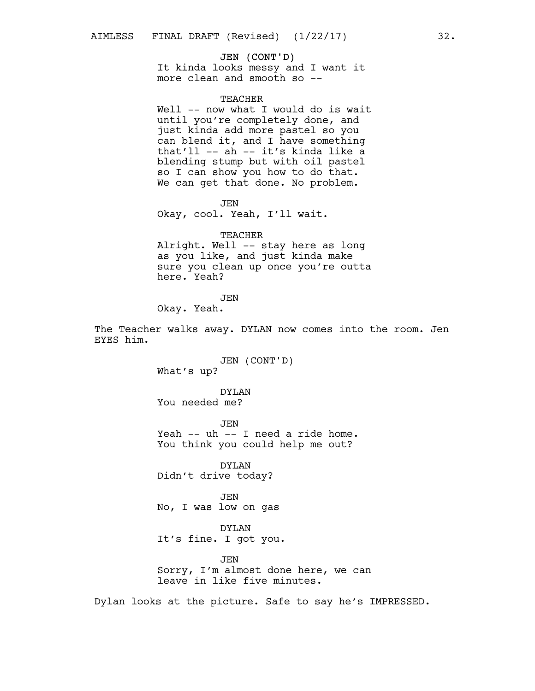### JEN (CONT'D)

It kinda looks messy and I want it more clean and smooth so --

### TEACHER

Well -- now what I would do is wait until you're completely done, and just kinda add more pastel so you can blend it, and I have something that'll -- ah -- it's kinda like a blending stump but with oil pastel so I can show you how to do that. We can get that done. No problem.

JEN Okay, cool. Yeah, I'll wait.

#### TEACHER

Alright. Well -- stay here as long as you like, and just kinda make sure you clean up once you're outta here. Yeah?

**JEN** 

Okay. Yeah.

The Teacher walks away. DYLAN now comes into the room. Jen EYES him.

> JEN (CONT'D) What's up?

DYLAN You needed me?

JEN Yeah -- uh -- I need a ride home. You think you could help me out?

DYLAN Didn't drive today?

JEN No, I was low on gas

DYLAN It's fine. I got you.

JEN Sorry, I'm almost done here, we can leave in like five minutes.

Dylan looks at the picture. Safe to say he's IMPRESSED.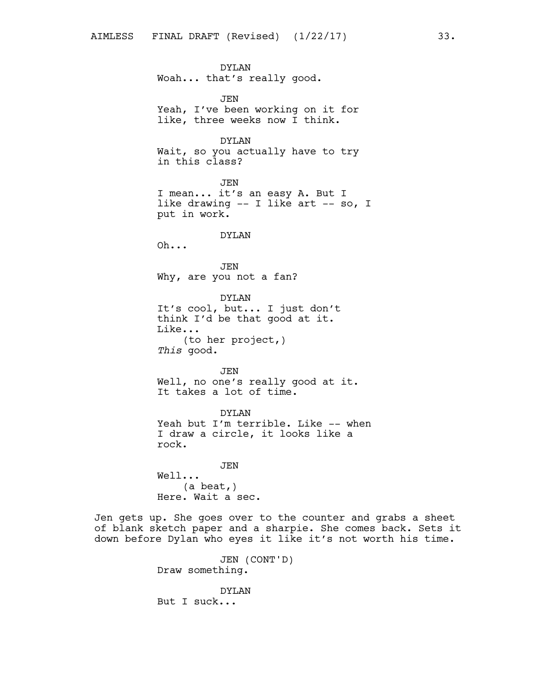DYLAN Woah... that's really good. JEN Yeah, I've been working on it for like, three weeks now I think. DYLAN Wait, so you actually have to try in this class? JEN I mean... it's an easy A. But I like drawing -- I like art -- so, I put in work. DYLAN Oh... JEN Why, are you not a fan? DYLAN It's cool, but... I just don't think I'd be that good at it. Like... (to her project,) *This* good. JEN Well, no one's really good at it. It takes a lot of time. DYLAN Yeah but I'm terrible. Like -- when I draw a circle, it looks like a rock. JEN Well... (a beat,) Here. Wait a sec. Jen gets up. She goes over to the counter and grabs a sheet

of blank sketch paper and a sharpie. She comes back. Sets it down before Dylan who eyes it like it's not worth his time.

> JEN (CONT'D) Draw something.

DYLAN But I suck...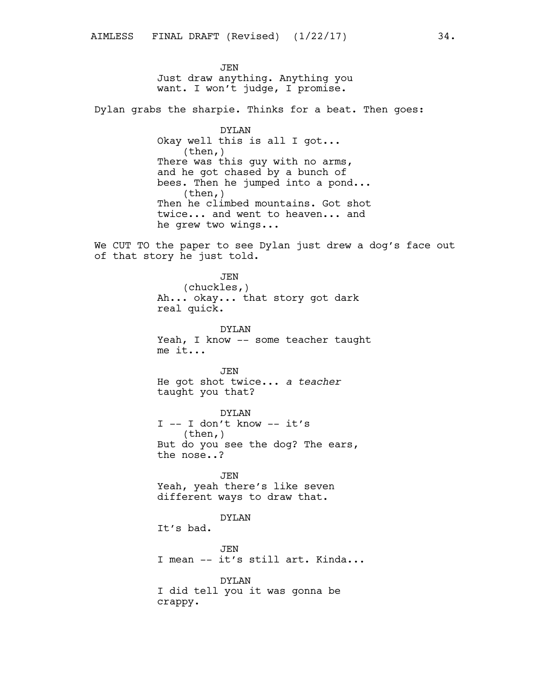**JEN** Just draw anything. Anything you want. I won't judge, I promise.

Dylan grabs the sharpie. Thinks for a beat. Then goes:

DYLAN Okay well this is all I got... (then,) There was this guy with no arms, and he got chased by a bunch of bees. Then he jumped into a pond...  $(then, )$ Then he climbed mountains. Got shot twice... and went to heaven... and he grew two wings...

We CUT TO the paper to see Dylan just drew a dog's face out of that story he just told.

> **JEN** (chuckles,) Ah... okay... that story got dark real quick.

DYLAN Yeah, I know -- some teacher taught me it...

**JEN** He got shot twice... *a teacher* taught you that?

DYLAN I -- I don't know -- it's (then,) But do you see the dog? The ears, the nose..?

JEN Yeah, yeah there's like seven different ways to draw that.

## DYLAN

It's bad.

JEN I mean -- it's still art. Kinda...

DYLAN I did tell you it was gonna be crappy.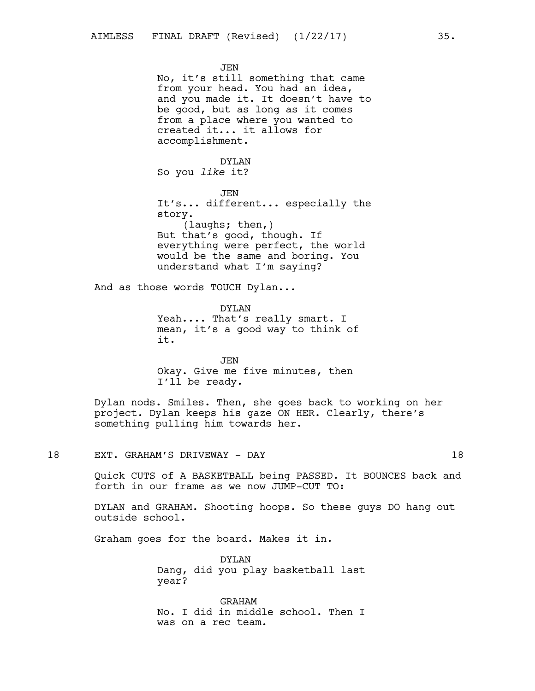**JEN** No, it's still something that came from your head. You had an idea, and you made it. It doesn't have to be good, but as long as it comes from a place where you wanted to created it... it allows for accomplishment. DYLAN So you *like* it? JEN It's... different... especially the story. (laughs; then,) But that's good, though. If everything were perfect, the world would be the same and boring. You understand what I'm saying? And as those words TOUCH Dylan... DYLAN Yeah.... That's really smart. I mean, it's a good way to think of it. JEN Okay. Give me five minutes, then I'll be ready. Dylan nods. Smiles. Then, she goes back to working on her

project. Dylan keeps his gaze ON HER. Clearly, there's something pulling him towards her.

## 18 EXT. GRAHAM'S DRIVEWAY - DAY 18

Quick CUTS of A BASKETBALL being PASSED. It BOUNCES back and forth in our frame as we now JUMP-CUT TO:

DYLAN and GRAHAM. Shooting hoops. So these guys DO hang out outside school.

Graham goes for the board. Makes it in.

DYLAN Dang, did you play basketball last year?

GRAHAM No. I did in middle school. Then I was on a rec team.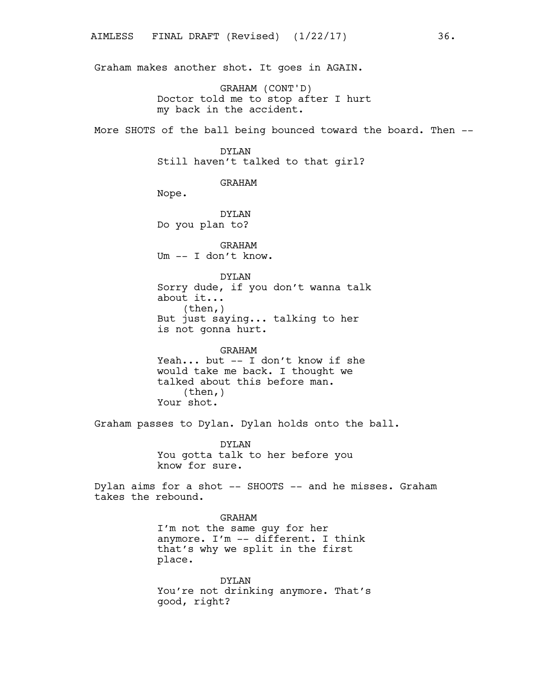Graham makes another shot. It goes in AGAIN.

GRAHAM (CONT'D) Doctor told me to stop after I hurt my back in the accident.

More SHOTS of the ball being bounced toward the board. Then --

# DYLAN

Still haven't talked to that girl?

### GRAHAM

Nope.

DYLAN Do you plan to?

GRAHAM Um -- I don't know.

DYLAN Sorry dude, if you don't wanna talk about it... (then,) But just saying... talking to her is not gonna hurt.

GRAHAM Yeah... but -- I don't know if she would take me back. I thought we talked about this before man. (then,) Your shot.

Graham passes to Dylan. Dylan holds onto the ball.

DYLAN You gotta talk to her before you know for sure.

Dylan aims for a shot -- SHOOTS -- and he misses. Graham takes the rebound.

### GRAHAM

I'm not the same guy for her anymore. I'm -- different. I think that's why we split in the first place.

DYLAN You're not drinking anymore. That's good, right?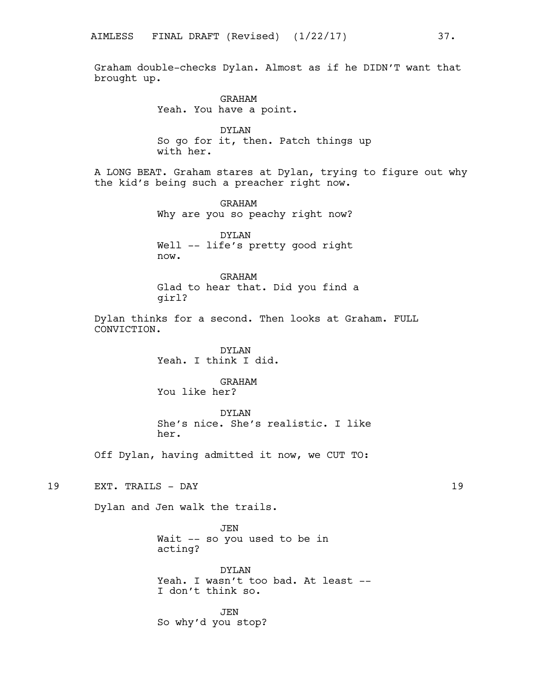Graham double-checks Dylan. Almost as if he DIDN'T want that brought up.

> GRAHAM Yeah. You have a point.

DYLAN So go for it, then. Patch things up with her.

A LONG BEAT. Graham stares at Dylan, trying to figure out why the kid's being such a preacher right now.

> GRAHAM Why are you so peachy right now?

> DYLAN Well -- life's pretty good right now.

GRAHAM Glad to hear that. Did you find a girl?

Dylan thinks for a second. Then looks at Graham. FULL CONVICTION.

> DYLAN Yeah. I think I did.

GRAHAM You like her?

DYLAN She's nice. She's realistic. I like her.

Off Dylan, having admitted it now, we CUT TO:

19 EXT. TRAILS - DAY 19

Dylan and Jen walk the trails.

JEN Wait -- so you used to be in acting?

DYLAN Yeah. I wasn't too bad. At least --I don't think so.

JEN So why'd you stop?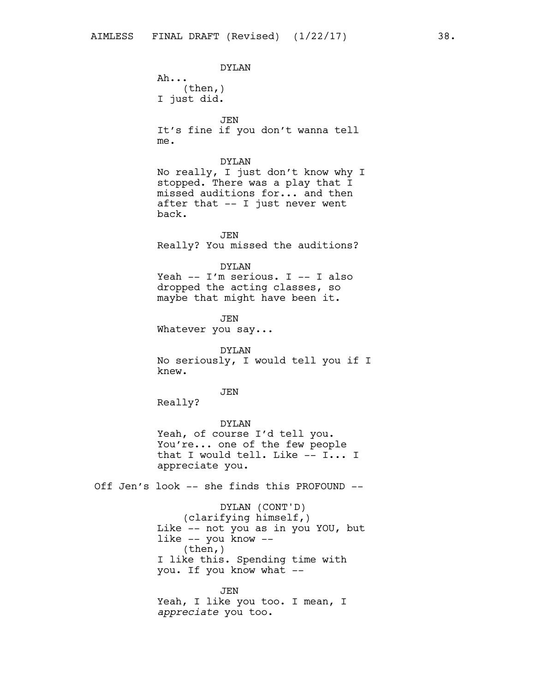DYLAN Ah... (then,) I just did. JEN It's fine if you don't wanna tell me. DYLAN No really, I just don't know why I stopped. There was a play that I missed auditions for... and then after that -- I just never went back. JEN Really? You missed the auditions? DYLAN Yeah -- I'm serious. I -- I also dropped the acting classes, so maybe that might have been it. JEN Whatever you say... DYLAN No seriously, I would tell you if I knew. JEN Really? DYLAN Yeah, of course I'd tell you. You're... one of the few people that I would tell. Like -- I... I appreciate you. Off Jen's look -- she finds this PROFOUND -- DYLAN (CONT'D) (clarifying himself,) Like -- not you as in you YOU, but like -- you know -- (then,) I like this. Spending time with you. If you know what -- JEN Yeah, I like you too. I mean, I *appreciate* you too.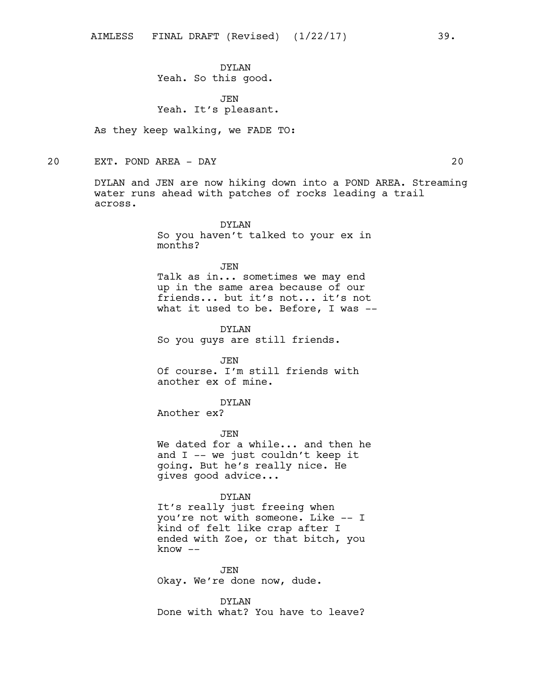DYLAN Yeah. So this good.

JEN Yeah. It's pleasant.

As they keep walking, we FADE TO:

20 EXT. POND AREA - DAY 20

DYLAN and JEN are now hiking down into a POND AREA. Streaming water runs ahead with patches of rocks leading a trail across.

> DYLAN So you haven't talked to your ex in months?

JEN Talk as in... sometimes we may end up in the same area because of our friends... but it's not... it's not what it used to be. Before, I was --

DYLAN So you guys are still friends.

JEN Of course. I'm still friends with another ex of mine.

DYLAN

Another ex?

JEN

We dated for a while... and then he and I -- we just couldn't keep it going. But he's really nice. He gives good advice...

## DYLAN

It's really just freeing when you're not with someone. Like -- I kind of felt like crap after I ended with Zoe, or that bitch, you know --

JEN Okay. We're done now, dude.

DYLAN Done with what? You have to leave?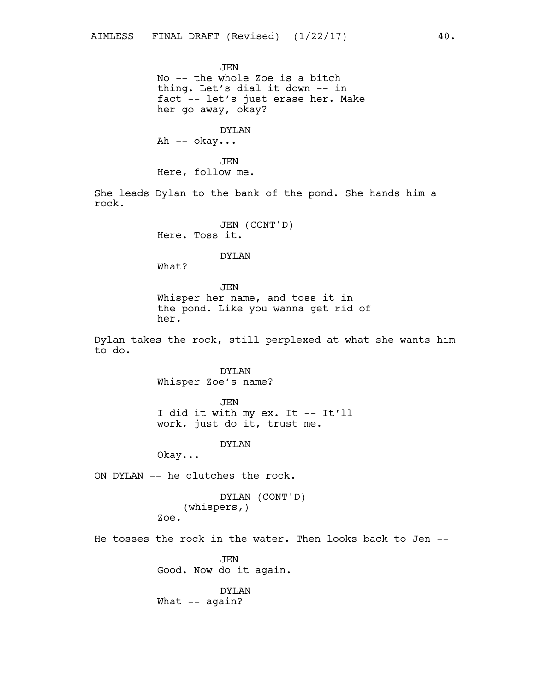JEN No -- the whole Zoe is a bitch thing. Let's dial it down -- in fact -- let's just erase her. Make her go away, okay?

DYLAN Ah -- okay...

JEN Here, follow me.

She leads Dylan to the bank of the pond. She hands him a rock.

> JEN (CONT'D) Here. Toss it.

### DYLAN

What?

# JEN

Whisper her name, and toss it in the pond. Like you wanna get rid of her.

Dylan takes the rock, still perplexed at what she wants him to do.

> DYLAN Whisper Zoe's name?

> > JEN

I did it with my ex. It -- It'll work, just do it, trust me.

DYLAN

Okay...

ON DYLAN -- he clutches the rock.

DYLAN (CONT'D) (whispers,) Zoe.

He tosses the rock in the water. Then looks back to Jen --

JEN Good. Now do it again.

DYLAN What -- again?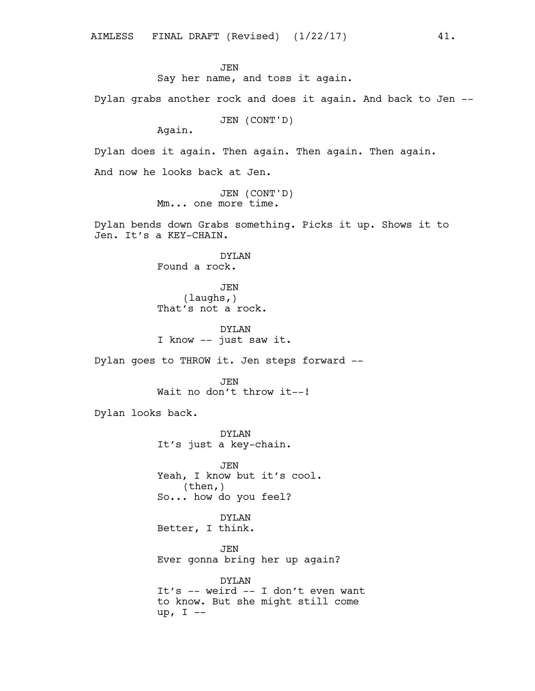up, I --

**JEN** Say her name, and toss it again. Dylan grabs another rock and does it again. And back to Jen -- JEN (CONT'D) Again. Dylan does it again. Then again. Then again. Then again. And now he looks back at Jen. JEN (CONT'D) Mm... one more time. Dylan bends down Grabs something. Picks it up. Shows it to Jen. It's a KEY-CHAIN. DYLAN Found a rock. JEN (laughs,) That's not a rock. DYLAN I know -- just saw it. Dylan goes to THROW it. Jen steps forward -- **JEN** Wait no don't throw it --! Dylan looks back. DYLAN It's just a key-chain. JEN Yeah, I know but it's cool. (then,) So... how do you feel? DYLAN Better, I think. JEN Ever gonna bring her up again? DYLAN It's -- weird -- I don't even want to know. But she might still come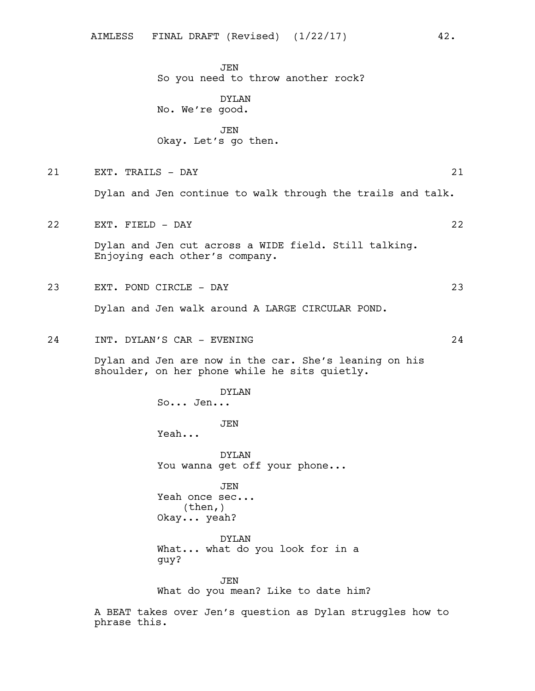**JEN** So you need to throw another rock?

DYLAN No. We're good.

JEN Okay. Let's go then.

21 EXT. TRAILS - DAY 21

Dylan and Jen continue to walk through the trails and talk.

22 EXT. FIELD - DAY 22

Dylan and Jen cut across a WIDE field. Still talking. Enjoying each other's company.

- 23 EXT. POND CIRCLE DAY 23 Dylan and Jen walk around A LARGE CIRCULAR POND.
- 24 INT. DYLAN'S CAR EVENING 24

Dylan and Jen are now in the car. She's leaning on his shoulder, on her phone while he sits quietly.

DYLAN So... Jen... JEN Yeah... DYLAN You wanna get off your phone... JEN Yeah once sec... (then,) Okay... yeah? DYLAN What... what do you look for in a guy? JEN

What do you mean? Like to date him?

A BEAT takes over Jen's question as Dylan struggles how to phrase this.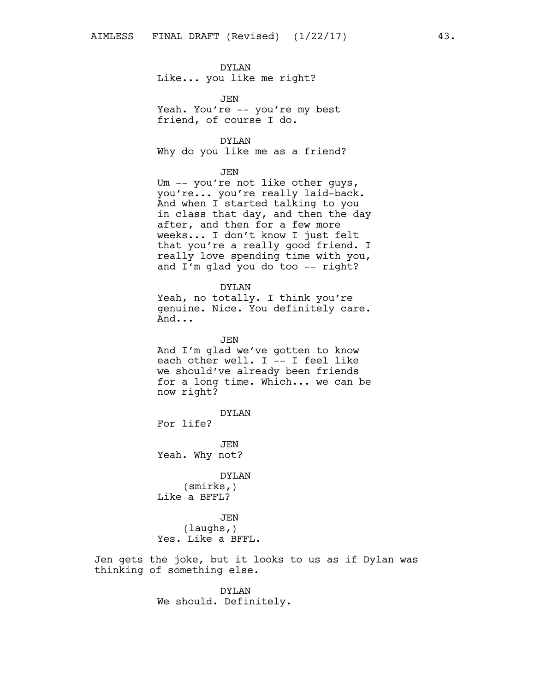# DYLAN

Like... you like me right?

JEN Yeah. You're -- you're my best friend, of course I do.

## DYLAN

Why do you like me as a friend?

#### JEN

Um -- you're not like other guys, you're... you're really laid-back. And when I started talking to you in class that day, and then the day after, and then for a few more weeks... I don't know I just felt that you're a really good friend. I really love spending time with you, and I'm glad you do too -- right?

#### DYLAN

Yeah, no totally. I think you're genuine. Nice. You definitely care. And...

JEN And I'm glad we've gotten to know each other well. I -- I feel like we should've already been friends for a long time. Which... we can be now right?

DYLAN

For life?

JEN Yeah. Why not?

DYLAN (smirks,) Like a BFFL?

JEN (laughs,) Yes. Like a BFFL.

Jen gets the joke, but it looks to us as if Dylan was thinking of something else.

> DYLAN We should. Definitely.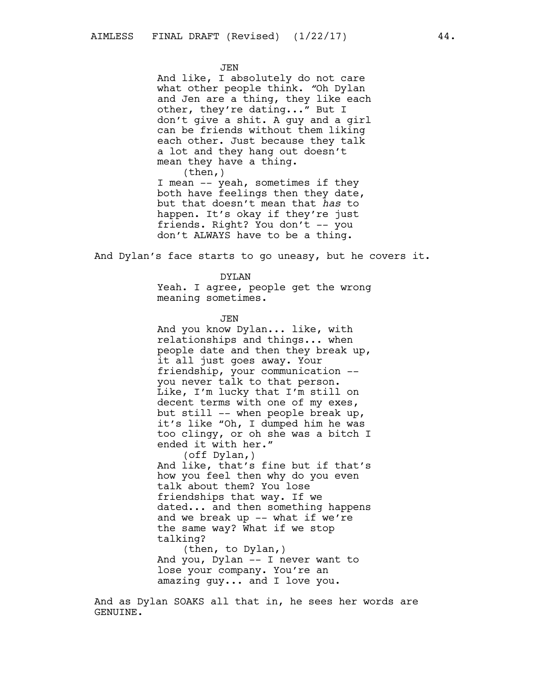JEN

And like, I absolutely do not care what other people think. *"*Oh Dylan and Jen are a thing, they like each other, they're dating..." But I don't give a shit. A guy and a girl can be friends without them liking each other. Just because they talk a lot and they hang out doesn't mean they have a thing.  $(then, )$ 

I mean -- yeah, sometimes if they both have feelings then they date, but that doesn't mean that *has* to happen. It's okay if they're just friends. Right? You don't -- you don't ALWAYS have to be a thing.

And Dylan's face starts to go uneasy, but he covers it.

#### DYLAN

Yeah. I agree, people get the wrong meaning sometimes.

JEN

And you know Dylan... like, with relationships and things... when people date and then they break up, it all just goes away. Your friendship, your communication - you never talk to that person. Like, I'm lucky that I'm still on decent terms with one of my exes, but still -- when people break up, it's like "Oh, I dumped him he was too clingy, or oh she was a bitch I ended it with her."

(off Dylan,) And like, that's fine but if that's how you feel then why do you even talk about them? You lose friendships that way. If we dated... and then something happens and we break up -- what if we're the same way? What if we stop talking?

(then, to Dylan,) And you, Dylan -- I never want to lose your company. You're an amazing guy... and I love you.

And as Dylan SOAKS all that in, he sees her words are GENUINE.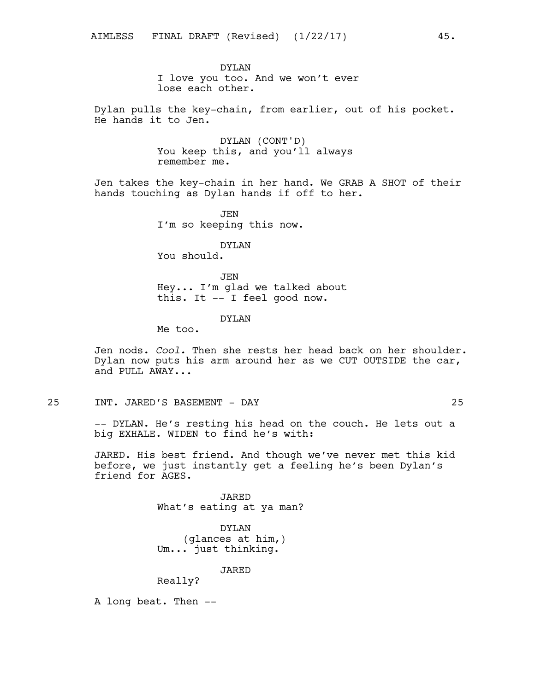DYLAN I love you too. And we won't ever lose each other.

Dylan pulls the key-chain, from earlier, out of his pocket. He hands it to Jen.

> DYLAN (CONT'D) You keep this, and you'll always remember me.

Jen takes the key-chain in her hand. We GRAB A SHOT of their hands touching as Dylan hands if off to her.

> JEN I'm so keeping this now.

DYLAN You should.

JEN Hey... I'm glad we talked about this. It -- I feel good now.

# DYLAN

Me too.

Jen nods. *Cool.* Then she rests her head back on her shoulder. Dylan now puts his arm around her as we CUT OUTSIDE the car, and PULL AWAY...

25 INT. JARED'S BASEMENT - DAY 25

-- DYLAN. He's resting his head on the couch. He lets out a big EXHALE. WIDEN to find he's with:

JARED. His best friend. And though we've never met this kid before, we just instantly get a feeling he's been Dylan's friend for AGES.

> JARED What's eating at ya man?

DYLAN (glances at him,) Um... just thinking.

JARED

Really?

A long beat. Then --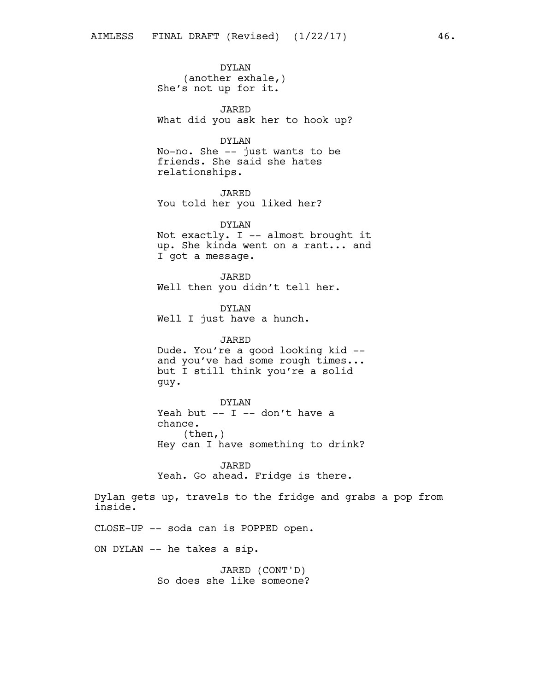DYLAN (another exhale,) She's not up for it.

JARED What did you ask her to hook up?

DYLAN

No-no. She -- just wants to be friends. She said she hates relationships.

JARED You told her you liked her?

DYLAN Not exactly. I -- almost brought it up. She kinda went on a rant... and I got a message.

JARED Well then you didn't tell her.

DYLAN Well I just have a hunch.

JARED Dude. You're a good looking kid - and you've had some rough times... but I still think you're a solid guy.

DYLAN Yeah but  $-$  I  $-$  don't have a chance.  $(then, )$ Hey can I have something to drink?

JARED Yeah. Go ahead. Fridge is there.

Dylan gets up, travels to the fridge and grabs a pop from inside.

CLOSE-UP -- soda can is POPPED open.

ON DYLAN -- he takes a sip.

JARED (CONT'D) So does she like someone?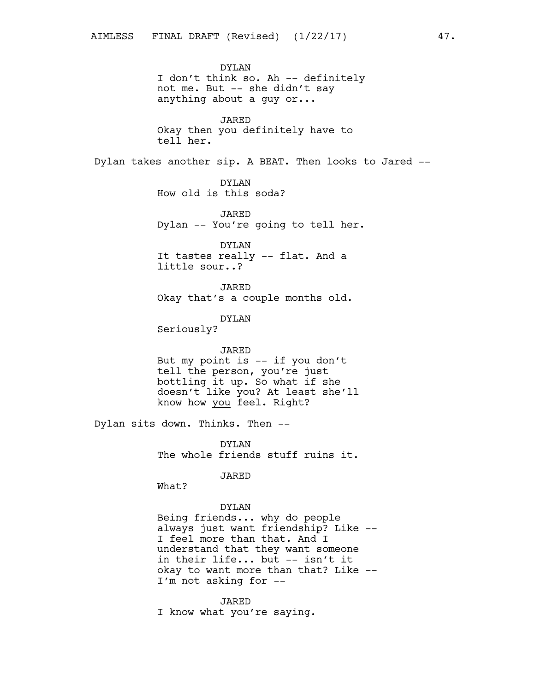DYLAN I don't think so. Ah -- definitely not me. But -- she didn't say anything about a guy or... JARED Okay then you definitely have to tell her. Dylan takes another sip. A BEAT. Then looks to Jared -- DYLAN How old is this soda? JARED Dylan -- You're going to tell her. DYLAN It tastes really -- flat. And a little sour..? JARED Okay that's a couple months old. DYLAN Seriously? JARED But my point is -- if you don't tell the person, you're just bottling it up. So what if she doesn't like you? At least she'll know how you feel. Right? Dylan sits down. Thinks. Then -- DYLAN The whole friends stuff ruins it. JARED What? DYLAN Being friends... why do people always just want friendship? Like -- I feel more than that. And I understand that they want someone in their life... but -- isn't it okay to want more than that? Like --

> I'm not asking for -- JARED

I know what you're saying.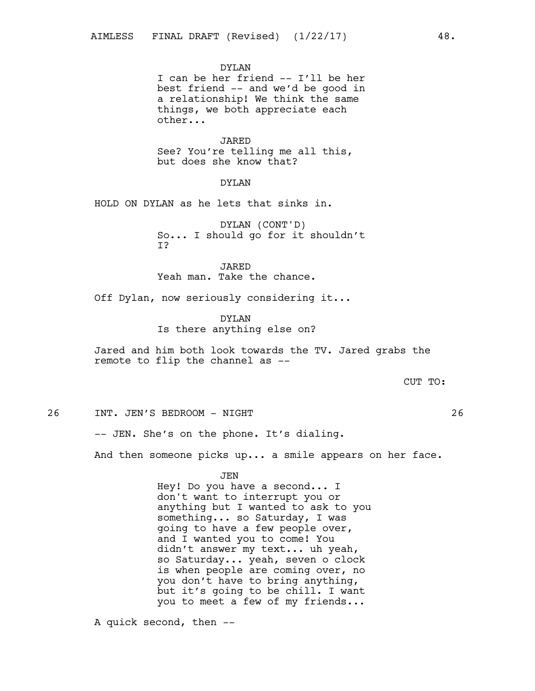DYLAN

I can be her friend -- I'll be her best friend -- and we'd be good in a relationship! We think the same things, we both appreciate each other...

JARED See? You're telling me all this, but does she know that?

# DYLAN

HOLD ON DYLAN as he lets that sinks in.

DYLAN (CONT'D) So... I should go for it shouldn't I?

JARED Yeah man. Take the chance.

Off Dylan, now seriously considering it...

DYLAN Is there anything else on?

Jared and him both look towards the TV. Jared grabs the remote to flip the channel as --

### CUT TO:

26 INT. JEN'S BEDROOM - NIGHT 26

-- JEN. She's on the phone. It's dialing.

And then someone picks up... a smile appears on her face.

JEN Hey! Do you have a second... I don't want to interrupt you or anything but I wanted to ask to you something... so Saturday, I was going to have a few people over, and I wanted you to come! You didn't answer my text... uh yeah, so Saturday... yeah, seven o clock is when people are coming over, no you don't have to bring anything, but it's going to be chill. I want you to meet a few of my friends...

A quick second, then --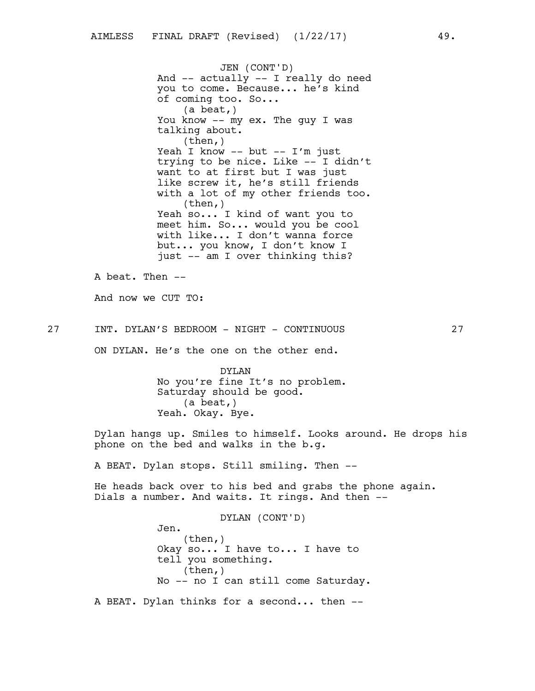JEN (CONT'D) And -- actually -- I really do need you to come. Because... he's kind of coming too. So... (a beat,) You know -- my ex. The guy I was talking about.  $(then, )$ Yeah I know -- but -- I'm just trying to be nice. Like -- I didn't want to at first but I was just like screw it, he's still friends with a lot of my other friends too. (then,) Yeah so... I kind of want you to meet him. So... would you be cool with like... I don't wanna force but... you know, I don't know I just -- am I over thinking this?

A beat. Then -- And now we CUT TO:

27 INT. DYLAN'S BEDROOM - NIGHT - CONTINUOUS 27

Jen.

ON DYLAN. He's the one on the other end.

DYLAN No you're fine It's no problem. Saturday should be good. (a beat,) Yeah. Okay. Bye.

Dylan hangs up. Smiles to himself. Looks around. He drops his phone on the bed and walks in the b.g.

A BEAT. Dylan stops. Still smiling. Then --

He heads back over to his bed and grabs the phone again. Dials a number. And waits. It rings. And then --

DYLAN (CONT'D)

(then,) Okay so... I have to... I have to tell you something. (then,) No -- no I can still come Saturday.

A BEAT. Dylan thinks for a second... then --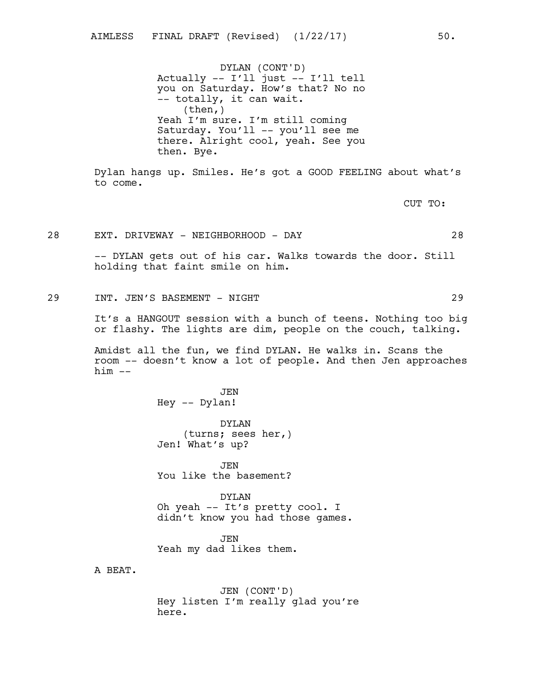DYLAN (CONT'D) Actually -- I'll just -- I'll tell you on Saturday. How's that? No no -- totally, it can wait.  $(then, )$ Yeah I'm sure. I'm still coming Saturday. You'll -- you'll see me there. Alright cool, yeah. See you then. Bye.

Dylan hangs up. Smiles. He's got a GOOD FEELING about what's to come.

CUT TO:

28 EXT. DRIVEWAY - NEIGHBORHOOD - DAY 28

-- DYLAN gets out of his car. Walks towards the door. Still holding that faint smile on him.

29 INT. JEN'S BASEMENT - NIGHT 29

It's a HANGOUT session with a bunch of teens. Nothing too big or flashy. The lights are dim, people on the couch, talking.

Amidst all the fun, we find DYLAN. He walks in. Scans the room -- doesn't know a lot of people. And then Jen approaches him --

> **JEN** Hey -- Dylan!

DYLAN (turns; sees her,) Jen! What's up?

JEN You like the basement?

DYLAN Oh yeah -- It's pretty cool. I didn't know you had those games.

JEN Yeah my dad likes them.

A BEAT.

JEN (CONT'D) Hey listen I'm really glad you're here.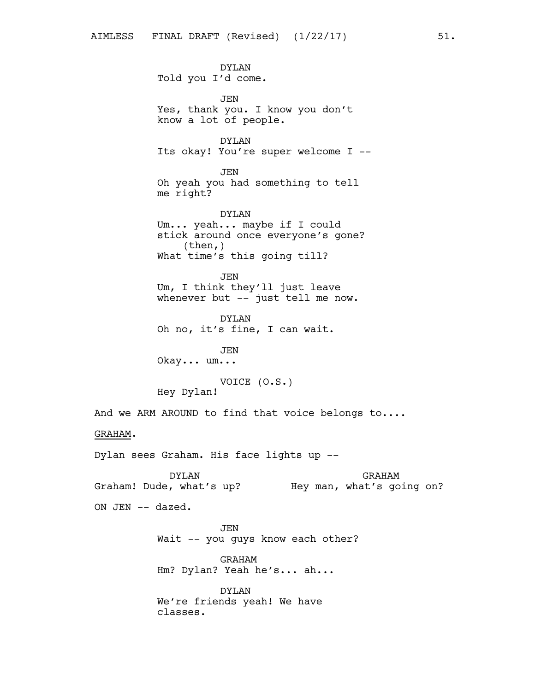DYLAN Told you I'd come. JEN Yes, thank you. I know you don't know a lot of people. DYLAN Its okay! You're super welcome I -- JEN Oh yeah you had something to tell me right? DYLAN Um... yeah... maybe if I could stick around once everyone's gone? (then,) What time's this going till? JEN Um, I think they'll just leave whenever but -- just tell me now. DYLAN Oh no, it's fine, I can wait. JEN Okay... um... VOICE (O.S.) Hey Dylan! And we ARM AROUND to find that voice belongs to.... GRAHAM. Dylan sees Graham. His face lights up -- DYLAN Graham! Dude, what's up? Hey man, what's going on? GRAHAM ON JEN -- dazed. **JEN** 

> GRAHAM Hm? Dylan? Yeah he's... ah...

Wait -- you guys know each other?

DYLAN We're friends yeah! We have classes.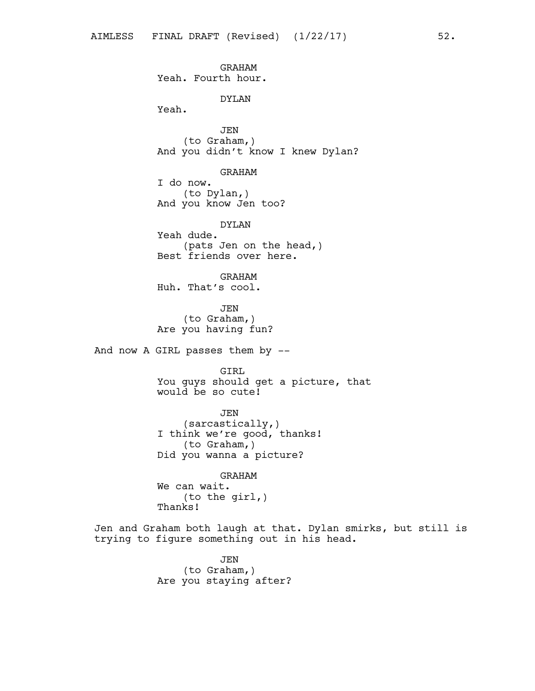GRAHAM Yeah. Fourth hour. DYLAN Yeah. JEN (to Graham,) And you didn't know I knew Dylan? GRAHAM I do now. (to Dylan,) And you know Jen too? DYLAN Yeah dude. (pats Jen on the head,) Best friends over here. GRAHAM Huh. That's cool. JEN (to Graham,) Are you having fun? And now A GIRL passes them by -- GIRL You guys should get a picture, that would be so cute! JEN (sarcastically,) I think we're good, thanks! (to Graham,) Did you wanna a picture? GRAHAM We can wait. (to the girl,) Thanks!

Jen and Graham both laugh at that. Dylan smirks, but still is trying to figure something out in his head.

> JEN (to Graham,) Are you staying after?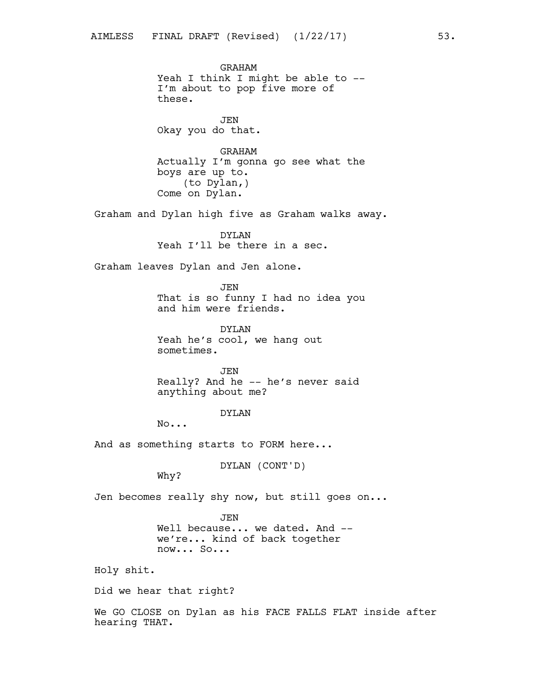GRAHAM Yeah I think I might be able to --I'm about to pop five more of these.

JEN Okay you do that.

GRAHAM Actually I'm gonna go see what the boys are up to. (to Dylan,) Come on Dylan.

Graham and Dylan high five as Graham walks away.

DYLAN Yeah I'll be there in a sec.

Graham leaves Dylan and Jen alone.

JEN That is so funny I had no idea you and him were friends.

DYLAN Yeah he's cool, we hang out sometimes.

JEN Really? And he -- he's never said anything about me?

DYLAN

No...

And as something starts to FORM here...

DYLAN (CONT'D)

Why?

Jen becomes really shy now, but still goes on...

JEN Well because... we dated. And -we're... kind of back together now... So...

Holy shit.

Did we hear that right?

We GO CLOSE on Dylan as his FACE FALLS FLAT inside after hearing THAT.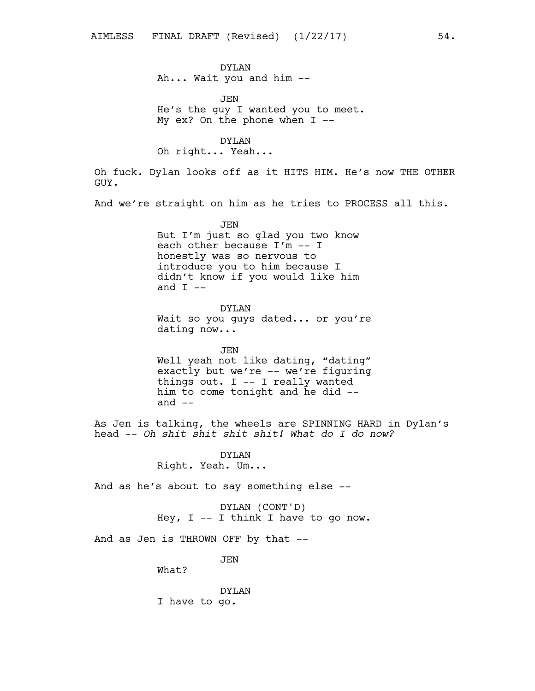DYLAN Ah... Wait you and him --

JEN He's the guy I wanted you to meet. My ex? On the phone when  $I$  --

DYLAN

Oh right... Yeah...

Oh fuck. Dylan looks off as it HITS HIM. He's now THE OTHER GUY.

And we're straight on him as he tries to PROCESS all this.

JEN But I'm just so glad you two know each other because I'm -- I honestly was so nervous to introduce you to him because I didn't know if you would like him and  $I$  --

DYLAN Wait so you guys dated... or you're dating now...

JEN Well yeah not like dating, "dating" exactly but we're -- we're figuring things out. I -- I really wanted him to come tonight and he did - and  $--$ 

As Jen is talking, the wheels are SPINNING HARD in Dylan's head -- *Oh shit shit shit shit! What do I do now?*

> DYLAN Right. Yeah. Um...

And as he's about to say something else --

DYLAN (CONT'D) Hey,  $I$  -- I think I have to go now.

And as Jen is THROWN OFF by that --

JEN

What?

DYLAN I have to go.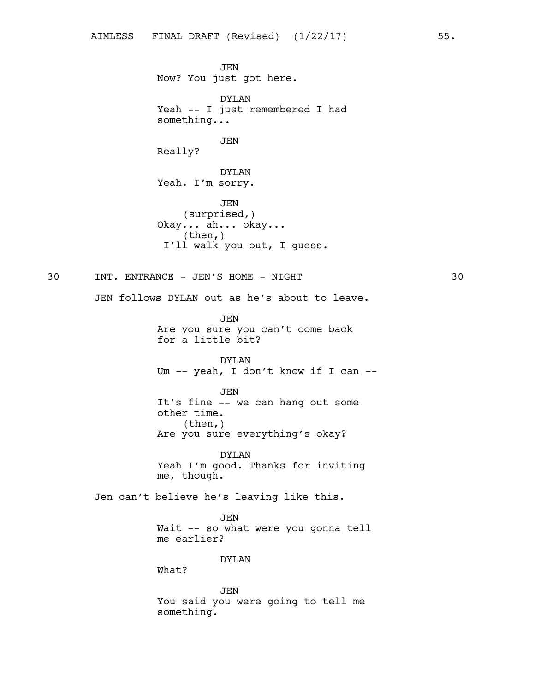JEN Now? You just got here. DYLAN Yeah -- I just remembered I had something... JEN Really? DYLAN Yeah. I'm sorry. JEN (surprised,) Okay... ah... okay... (then,) I'll walk you out, I guess. 30 INT. ENTRANCE - JEN'S HOME - NIGHT 30 JEN follows DYLAN out as he's about to leave. JEN Are you sure you can't come back for a little bit? DYLAN Um -- yeah, I don't know if I can -- JEN It's fine -- we can hang out some other time. (then,) Are you sure everything's okay? DYLAN Yeah I'm good. Thanks for inviting me, though. Jen can't believe he's leaving like this. JEN Wait -- so what were you gonna tell me earlier? DYLAN What? JEN

You said you were going to tell me something.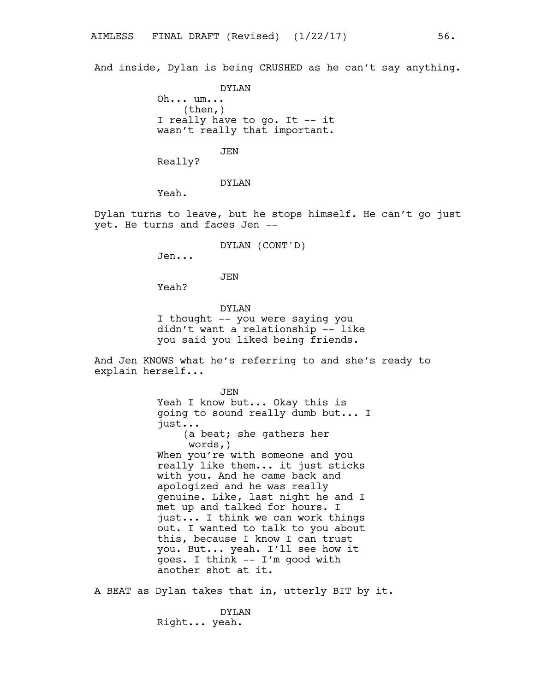And inside, Dylan is being CRUSHED as he can't say anything.

DYLAN Oh... um...  $(then, )$ I really have to go. It -- it wasn't really that important.

JEN

Really?

DYLAN

Yeah.

Dylan turns to leave, but he stops himself. He can't go just yet. He turns and faces Jen --

DYLAN (CONT'D)

Jen...

JEN

Yeah?

DYLAN I thought -- you were saying you didn't want a relationship -- like you said you liked being friends.

And Jen KNOWS what he's referring to and she's ready to explain herself...

> JEN Yeah I know but... Okay this is going to sound really dumb but... I just... (a beat; she gathers her words,) When you're with someone and you really like them... it just sticks with you. And he came back and apologized and he was really genuine. Like, last night he and I met up and talked for hours. I just... I think we can work things out. I wanted to talk to you about this, because I know I can trust you. But... yeah. I'll see how it goes. I think -- I'm good with another shot at it.

A BEAT as Dylan takes that in, utterly BIT by it.

DYLAN Right... yeah.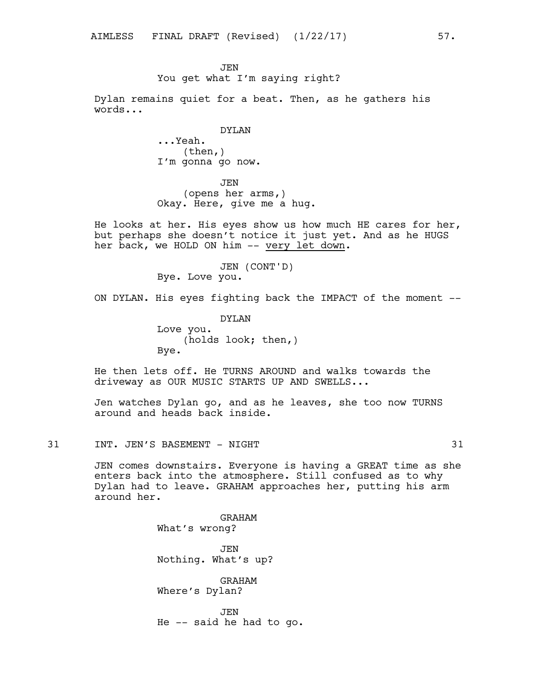# **JEN** You get what I'm saying right?

Dylan remains quiet for a beat. Then, as he gathers his words...

## DYLAN

...Yeah. (then,) I'm gonna go now.

JEN (opens her arms,) Okay. Here, give me a hug.

He looks at her. His eyes show us how much HE cares for her, but perhaps she doesn't notice it just yet. And as he HUGS her back, we HOLD ON him -- very let down.

> JEN (CONT'D) Bye. Love you.

ON DYLAN. His eyes fighting back the IMPACT of the moment --

DYLAN Love you. (holds look; then,) Bye.

He then lets off. He TURNS AROUND and walks towards the driveway as OUR MUSIC STARTS UP AND SWELLS...

Jen watches Dylan go, and as he leaves, she too now TURNS around and heads back inside.

31 INT. JEN'S BASEMENT - NIGHT 31

JEN comes downstairs. Everyone is having a GREAT time as she enters back into the atmosphere. Still confused as to why Dylan had to leave. GRAHAM approaches her, putting his arm around her.

> GRAHAM What's wrong? JEN Nothing. What's up? GRAHAM Where's Dylan? JEN He -- said he had to go.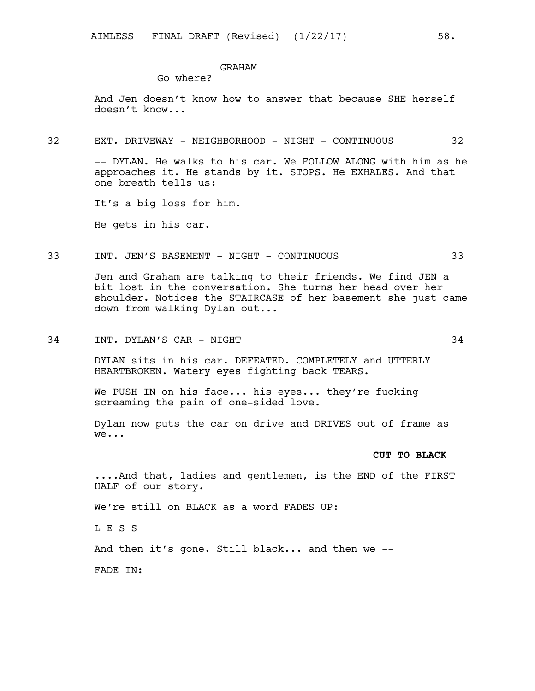## GRAHAM

Go where?

And Jen doesn't know how to answer that because SHE herself doesn't know...

#### 32 EXT. DRIVEWAY - NEIGHBORHOOD - NIGHT - CONTINUOUS 32

-- DYLAN. He walks to his car. We FOLLOW ALONG with him as he approaches it. He stands by it. STOPS. He EXHALES. And that one breath tells us:

It's a big loss for him.

He gets in his car.

#### 33 INT. JEN'S BASEMENT - NIGHT - CONTINUOUS 33

Jen and Graham are talking to their friends. We find JEN a bit lost in the conversation. She turns her head over her shoulder. Notices the STAIRCASE of her basement she just came down from walking Dylan out...

34 INT. DYLAN'S CAR - NIGHT 34

DYLAN sits in his car. DEFEATED. COMPLETELY and UTTERLY HEARTBROKEN. Watery eyes fighting back TEARS.

We PUSH IN on his face... his eyes... they're fucking screaming the pain of one-sided love.

Dylan now puts the car on drive and DRIVES out of frame as we...

#### **CUT TO BLACK**

....And that, ladies and gentlemen, is the END of the FIRST HALF of our story.

We're still on BLACK as a word FADES UP:

L E S S

And then it's gone. Still black... and then we --

FADE IN: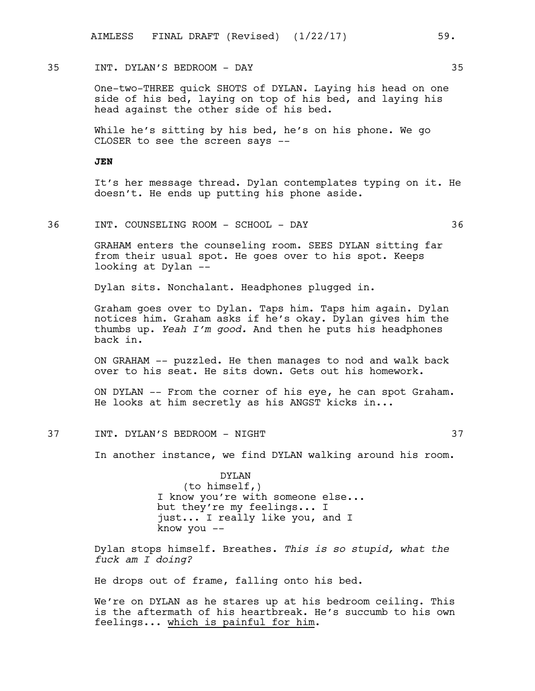# 35 INT. DYLAN'S BEDROOM - DAY 35

One-two-THREE quick SHOTS of DYLAN. Laying his head on one side of his bed, laying on top of his bed, and laying his head against the other side of his bed.

While he's sitting by his bed, he's on his phone. We go CLOSER to see the screen says --

## **JEN**

It's her message thread. Dylan contemplates typing on it. He doesn't. He ends up putting his phone aside.

### 36 INT. COUNSELING ROOM - SCHOOL - DAY 36

GRAHAM enters the counseling room. SEES DYLAN sitting far from their usual spot. He goes over to his spot. Keeps looking at Dylan --

Dylan sits. Nonchalant. Headphones plugged in.

Graham goes over to Dylan. Taps him. Taps him again. Dylan notices him. Graham asks if he's okay. Dylan gives him the thumbs up. *Yeah I'm good.* And then he puts his headphones back in.

ON GRAHAM -- puzzled. He then manages to nod and walk back over to his seat. He sits down. Gets out his homework.

ON DYLAN -- From the corner of his eye, he can spot Graham. He looks at him secretly as his ANGST kicks in...

# 37 INT. DYLAN'S BEDROOM - NIGHT 37

In another instance, we find DYLAN walking around his room.

DYLAN (to himself,) I know you're with someone else... but they're my feelings... I just... I really like you, and I know you --

Dylan stops himself. Breathes. *This is so stupid, what the fuck am I doing?*

He drops out of frame, falling onto his bed.

We're on DYLAN as he stares up at his bedroom ceiling. This is the aftermath of his heartbreak. He's succumb to his own feelings... which is painful for him.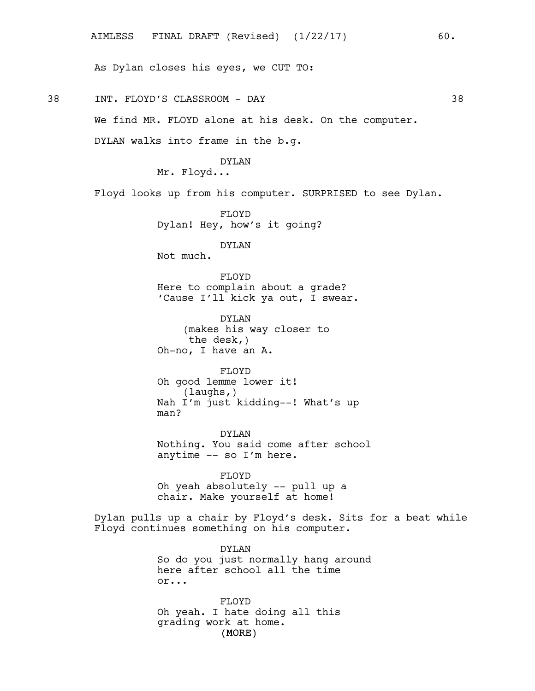As Dylan closes his eyes, we CUT TO:

38 INT. FLOYD'S CLASSROOM - DAY 38

We find MR. FLOYD alone at his desk. On the computer.

DYLAN walks into frame in the b.g.

## DYLAN

Mr. Floyd...

Floyd looks up from his computer. SURPRISED to see Dylan.

FLOYD Dylan! Hey, how's it going?

DYLAN

Not much.

FLOYD Here to complain about a grade? 'Cause I'll kick ya out, I swear.

DYLAN (makes his way closer to the desk,) Oh-no, I have an A.

FLOYD Oh good lemme lower it! (laughs,) Nah I'm just kidding--! What's up man?

DYLAN Nothing. You said come after school anytime -- so I'm here.

FLOYD Oh yeah absolutely -- pull up a chair. Make yourself at home!

Dylan pulls up a chair by Floyd's desk. Sits for a beat while Floyd continues something on his computer.

> DYLAN So do you just normally hang around here after school all the time or...

(MORE) FLOYD Oh yeah. I hate doing all this grading work at home.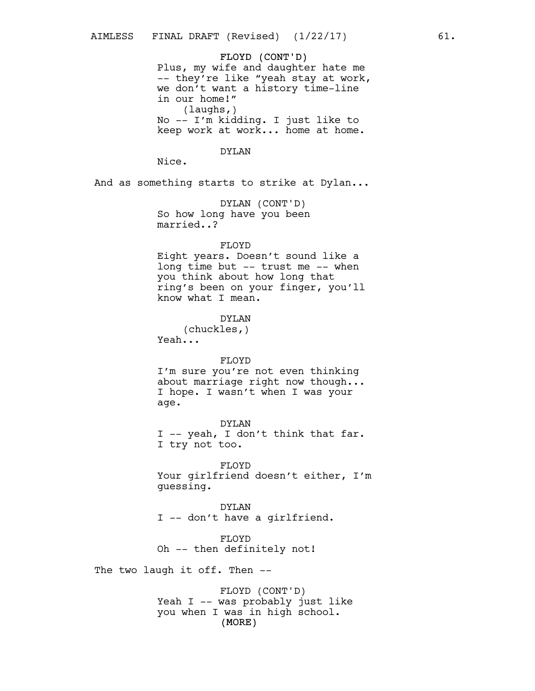FLOYD (CONT'D) Plus, my wife and daughter hate me -- they're like "yeah stay at work, we don't want a history time-line in our home!" (laughs,) No -- I'm kidding. I just like to keep work at work... home at home.

### DYLAN

Nice.

And as something starts to strike at Dylan...

DYLAN (CONT'D) So how long have you been married..?

### FLOYD

Eight years. Doesn't sound like a long time but -- trust me -- when you think about how long that ring's been on your finger, you'll know what I mean.

## DYLAN

(chuckles,) Yeah...

### FLOYD

I'm sure you're not even thinking about marriage right now though... I hope. I wasn't when I was your age.

DYLAN I -- yeah, I don't think that far. I try not too.

FLOYD Your girlfriend doesn't either, I'm guessing.

DYLAN I -- don't have a girlfriend.

FLOYD Oh -- then definitely not!

The two laugh it off. Then --

(MORE) FLOYD (CONT'D) Yeah I -- was probably just like you when I was in high school.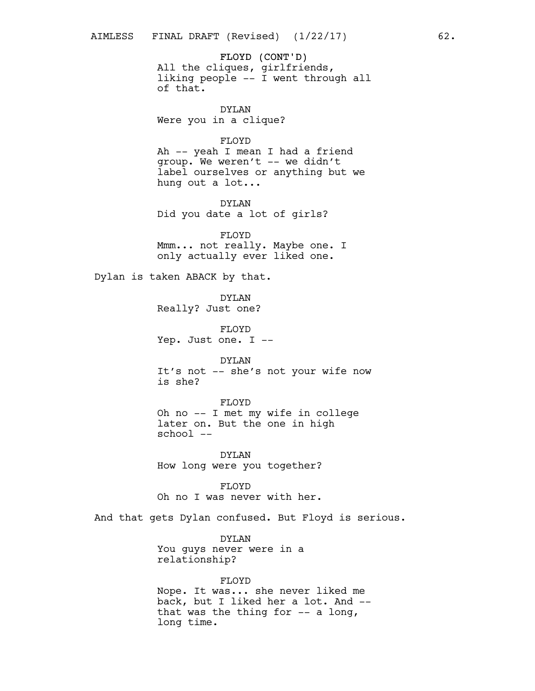FLOYD (CONT'D) All the cliques, girlfriends, liking people -- I went through all of that.

DYLAN Were you in a clique?

FLOYD

Ah -- yeah I mean I had a friend group. We weren't -- we didn't label ourselves or anything but we hung out a lot...

DYLAN Did you date a lot of girls?

FLOYD Mmm... not really. Maybe one. I only actually ever liked one.

Dylan is taken ABACK by that.

DYLAN Really? Just one?

FLOYD Yep. Just one. I --

DYLAN It's not -- she's not your wife now is she?

FLOYD Oh no -- I met my wife in college later on. But the one in high school --

DYLAN How long were you together?

FLOYD Oh no I was never with her.

And that gets Dylan confused. But Floyd is serious.

DYLAN You guys never were in a relationship?

FLOYD Nope. It was... she never liked me back, but I liked her a lot. And - that was the thing for  $-$  a long, long time.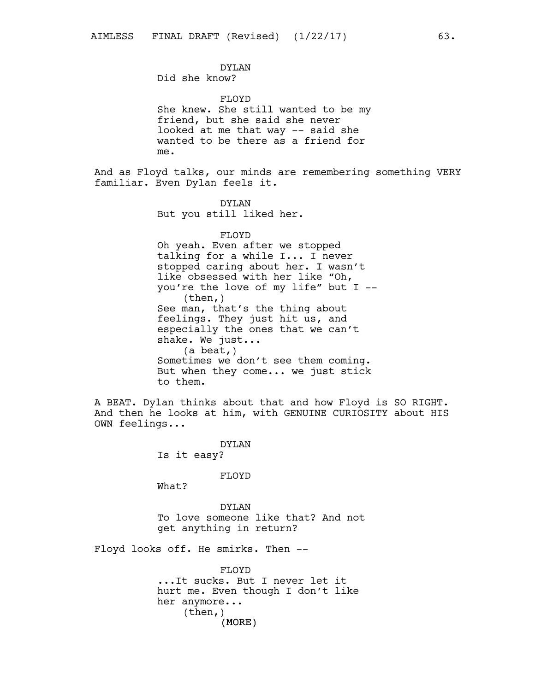Did she know?

FLOYD She knew. She still wanted to be my friend, but she said she never looked at me that way -- said she wanted to be there as a friend for me.

And as Floyd talks, our minds are remembering something VERY familiar. Even Dylan feels it.

> DYLAN But you still liked her.

FLOYD Oh yeah. Even after we stopped talking for a while I... I never

stopped caring about her. I wasn't like obsessed with her like "Oh, you're the love of my life" but I -- (then,) See man, that's the thing about feelings. They just hit us, and especially the ones that we can't shake. We just... (a beat,) Sometimes we don't see them coming. But when they come... we just stick to them.

A BEAT. Dylan thinks about that and how Floyd is SO RIGHT. And then he looks at him, with GENUINE CURIOSITY about HIS OWN feelings...

> DYLAN Is it easy?

> > FLOYD

What?

DYLAN To love someone like that? And not get anything in return?

Floyd looks off. He smirks. Then --

(MORE) FLOYD ...It sucks. But I never let it hurt me. Even though I don't like her anymore... (then,)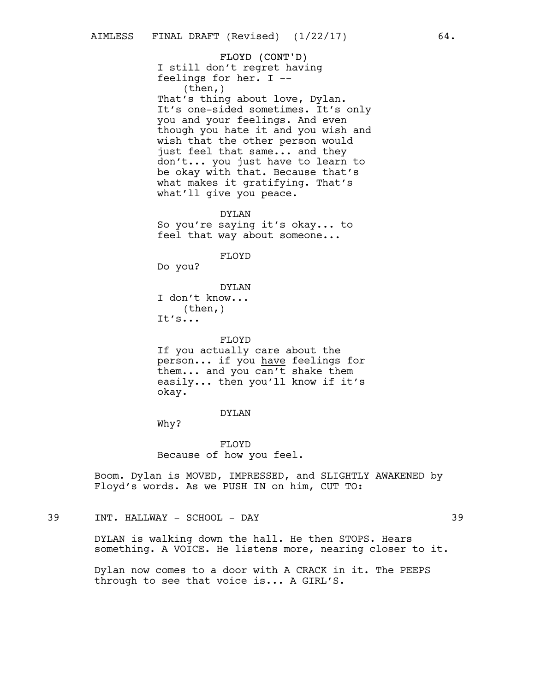FLOYD (CONT'D) I still don't regret having feelings for her. I -- (then,) That's thing about love, Dylan. It's one-sided sometimes. It's only you and your feelings. And even though you hate it and you wish and wish that the other person would just feel that same... and they don't... you just have to learn to be okay with that. Because that's what makes it gratifying. That's what'll give you peace.

DYLAN So you're saying it's okay... to feel that way about someone...

FLOYD

Do you?

DYLAN I don't know... (then,) It's...

FLOYD If you actually care about the person... if you have feelings for them... and you can't shake them easily... then you'll know if it's okay.

### DYLAN

Why?

FLOYD Because of how you feel.

Boom. Dylan is MOVED, IMPRESSED, and SLIGHTLY AWAKENED by Floyd's words. As we PUSH IN on him, CUT TO:

39 INT. HALLWAY - SCHOOL - DAY 39

DYLAN is walking down the hall. He then STOPS. Hears something. A VOICE. He listens more, nearing closer to it.

Dylan now comes to a door with A CRACK in it. The PEEPS through to see that voice is... A GIRL'S.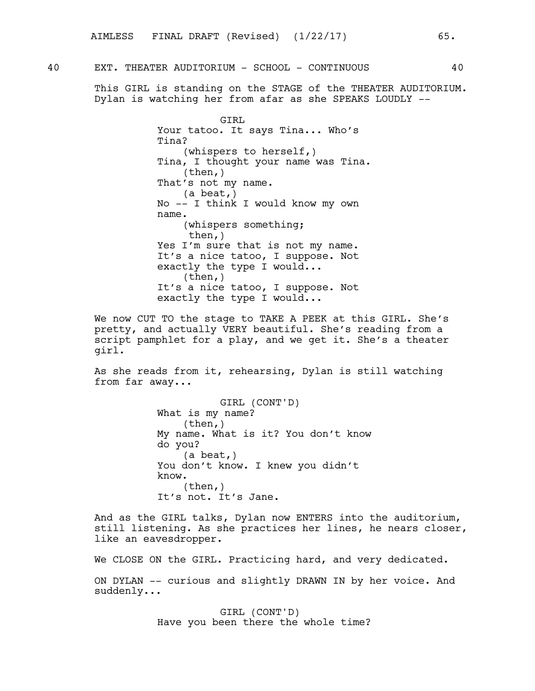40 EXT. THEATER AUDITORIUM - SCHOOL - CONTINUOUS 40

This GIRL is standing on the STAGE of the THEATER AUDITORIUM. Dylan is watching her from afar as she SPEAKS LOUDLY --

> GIRL Your tatoo. It says Tina... Who's Tina? (whispers to herself,) Tina, I thought your name was Tina. (then,) That's not my name. (a beat,) No -- I think I would know my own name. (whispers something; then,) Yes I'm sure that is not my name. It's a nice tatoo, I suppose. Not exactly the type I would... (then,) It's a nice tatoo, I suppose. Not exactly the type I would...

We now CUT TO the stage to TAKE A PEEK at this GIRL. She's pretty, and actually VERY beautiful. She's reading from a script pamphlet for a play, and we get it. She's a theater girl.

As she reads from it, rehearsing, Dylan is still watching from far away...

> GIRL (CONT'D) What is my name? (then,) My name. What is it? You don't know do you? (a beat,) You don't know. I knew you didn't know.  $(then, )$ It's not. It's Jane.

And as the GIRL talks, Dylan now ENTERS into the auditorium, still listening. As she practices her lines, he nears closer, like an eavesdropper.

We CLOSE ON the GIRL. Practicing hard, and very dedicated. ON DYLAN -- curious and slightly DRAWN IN by her voice. And

suddenly...

GIRL (CONT'D) Have you been there the whole time?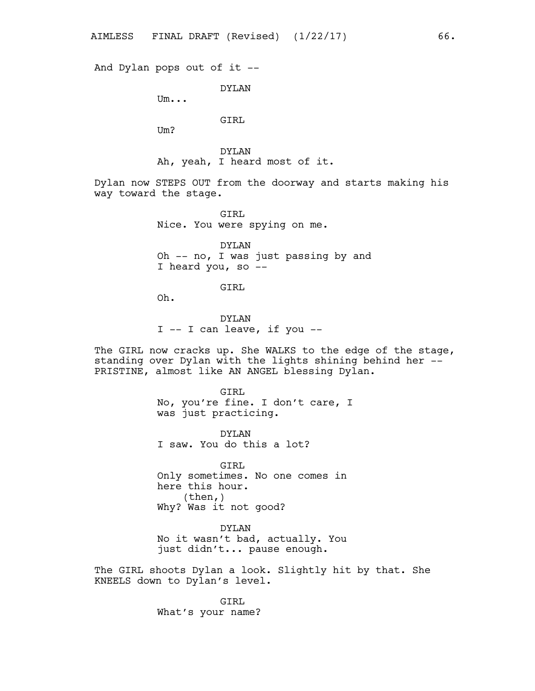And Dylan pops out of it --

DYLAN

Um...

# GIRL

Um?

DYLAN Ah, yeah, I heard most of it.

Dylan now STEPS OUT from the doorway and starts making his way toward the stage.

> GIRL Nice. You were spying on me.

DYLAN Oh -- no, I was just passing by and I heard you, so --

GIRL

Oh.

DYLAN I -- I can leave, if you --

The GIRL now cracks up. She WALKS to the edge of the stage, standing over Dylan with the lights shining behind her -- PRISTINE, almost like AN ANGEL blessing Dylan.

> GTRT. No, you're fine. I don't care, I was just practicing.

DYLAN I saw. You do this a lot?

GIRL Only sometimes. No one comes in here this hour.  $(then, )$ Why? Was it not good?

DYLAN No it wasn't bad, actually. You just didn't... pause enough.

The GIRL shoots Dylan a look. Slightly hit by that. She KNEELS down to Dylan's level.

> GIRL What's your name?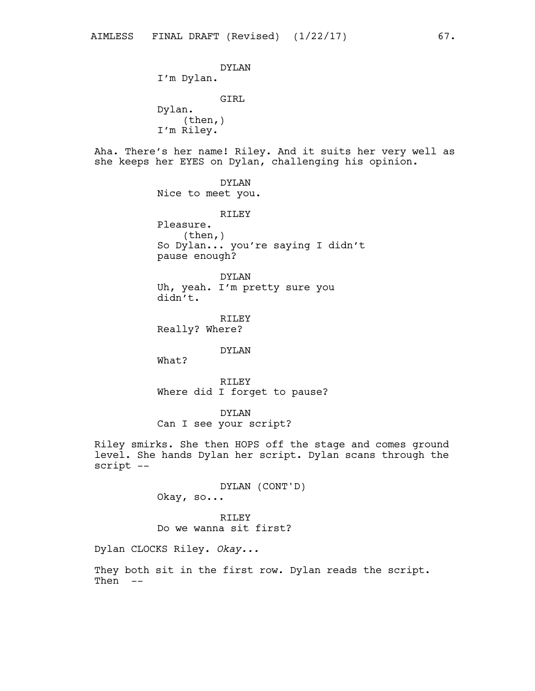DYLAN I'm Dylan. GIRL Dylan.  $(then, )$ I'm Riley. Aha. There's her name! Riley. And it suits her very well as she keeps her EYES on Dylan, challenging his opinion. DYLAN Nice to meet you. RILEY Pleasure. (then,) So Dylan... you're saying I didn't pause enough? DYLAN Uh, yeah. I'm pretty sure you didn't. RILEY Really? Where? DYLAN What? RILEY Where did I forget to pause? DYLAN Can I see your script? Riley smirks. She then HOPS off the stage and comes ground level. She hands Dylan her script. Dylan scans through the script -- DYLAN (CONT'D) Okay, so... RILEY Do we wanna sit first? Dylan CLOCKS Riley. *Okay...*

They both sit in the first row. Dylan reads the script. Then --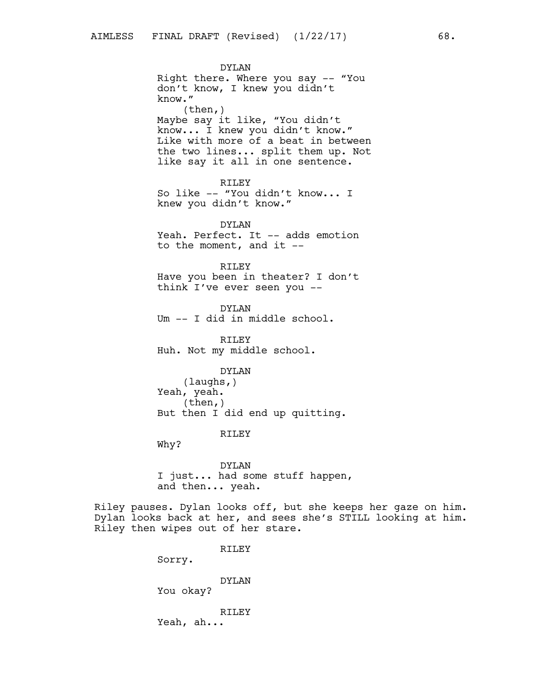DYLAN Right there. Where you say -- "You don't know, I knew you didn't know." (then,) Maybe say it like, "You didn't know... I knew you didn't know." Like with more of a beat in between the two lines... split them up. Not like say it all in one sentence.

RILEY So like -- "You didn't know... I knew you didn't know."

DYLAN Yeah. Perfect. It -- adds emotion to the moment, and it  $-$ 

### RILEY

Have you been in theater? I don't think I've ever seen you --

DYLAN Um -- I did in middle school.

RILEY Huh. Not my middle school.

DYLAN

(laughs,) Yeah, yeah. (then,) But then I did end up quitting.

# RILEY

Why?

DYLAN I just... had some stuff happen, and then... yeah.

Riley pauses. Dylan looks off, but she keeps her gaze on him. Dylan looks back at her, and sees she's STILL looking at him. Riley then wipes out of her stare.

RILEY

Sorry.

DYLAN You okay?

RILEY

Yeah, ah...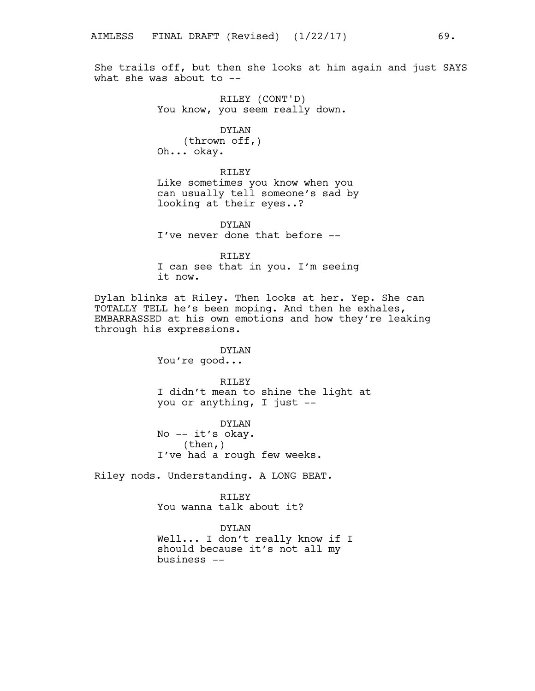She trails off, but then she looks at him again and just SAYS what she was about to --

> RILEY (CONT'D) You know, you seem really down.

DYLAN (thrown off,) Oh... okay.

RILEY Like sometimes you know when you can usually tell someone's sad by looking at their eyes..?

DYLAN I've never done that before --

RILEY I can see that in you. I'm seeing it now.

Dylan blinks at Riley. Then looks at her. Yep. She can TOTALLY TELL he's been moping. And then he exhales, EMBARRASSED at his own emotions and how they're leaking through his expressions.

> DYLAN You're good...

RILEY I didn't mean to shine the light at you or anything, I just --

DYLAN No -- it's okay. (then,) I've had a rough few weeks.

Riley nods. Understanding. A LONG BEAT.

RILEY You wanna talk about it?

DYLAN Well... I don't really know if I should because it's not all my business --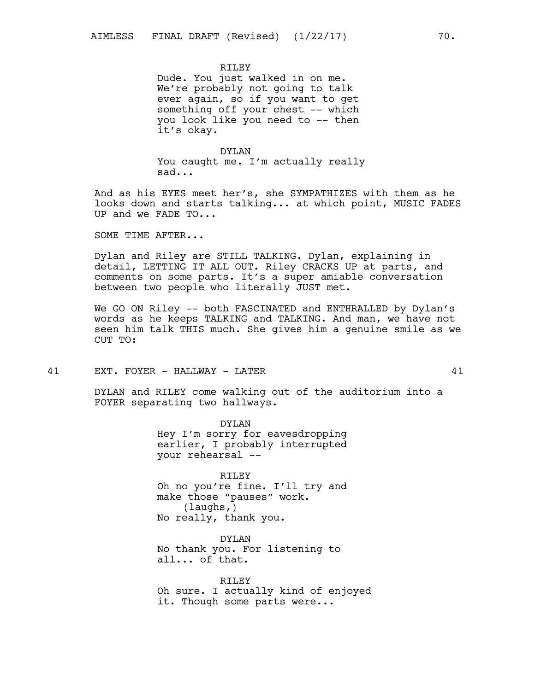RTLEY

Dude. You just walked in on me. We're probably not going to talk ever again, so if you want to get something off your chest -- which you look like you need to -- then it's okay.

#### DYLAN

You caught me. I'm actually really sad...

And as his EYES meet her's, she SYMPATHIZES with them as he looks down and starts talking... at which point, MUSIC FADES UP and we FADE TO...

SOME TIME AFTER...

Dylan and Riley are STILL TALKING. Dylan, explaining in detail, LETTING IT ALL OUT. Riley CRACKS UP at parts, and comments on some parts. It's a super amiable conversation between two people who literally JUST met.

We GO ON Riley -- both FASCINATED and ENTHRALLED by Dylan's words as he keeps TALKING and TALKING. And man, we have not seen him talk THIS much. She gives him a genuine smile as we CUT TO:

41 EXT. FOYER - HALLWAY - LATER 41

DYLAN and RILEY come walking out of the auditorium into a FOYER separating two hallways.

> DYLAN Hey I'm sorry for eavesdropping earlier, I probably interrupted your rehearsal --

> RILEY Oh no you're fine. I'll try and make those "pauses" work. (laughs,) No really, thank you.

DYLAN No thank you. For listening to all... of that.

RILEY Oh sure. I actually kind of enjoyed it. Though some parts were...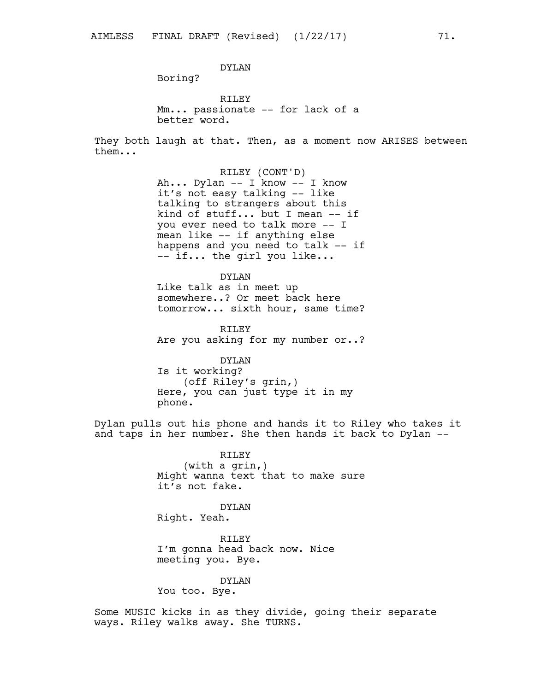DYLAN

Boring?

RILEY Mm... passionate -- for lack of a better word.

They both laugh at that. Then, as a moment now ARISES between them...

> RILEY (CONT'D) Ah... Dylan -- I know -- I know it's not easy talking -- like talking to strangers about this kind of stuff... but I mean -- if you ever need to talk more -- I mean like -- if anything else happens and you need to talk -- if -- if... the girl you like...

> DYLAN Like talk as in meet up somewhere..? Or meet back here tomorrow... sixth hour, same time?

RILEY Are you asking for my number or..?

DYLAN Is it working? (off Riley's grin,) Here, you can just type it in my phone.

Dylan pulls out his phone and hands it to Riley who takes it and taps in her number. She then hands it back to Dylan --

> RILEY (with a grin,) Might wanna text that to make sure it's not fake.

> > DYLAN

Right. Yeah.

RILEY I'm gonna head back now. Nice meeting you. Bye.

DYLAN

You too. Bye.

Some MUSIC kicks in as they divide, going their separate ways. Riley walks away. She TURNS.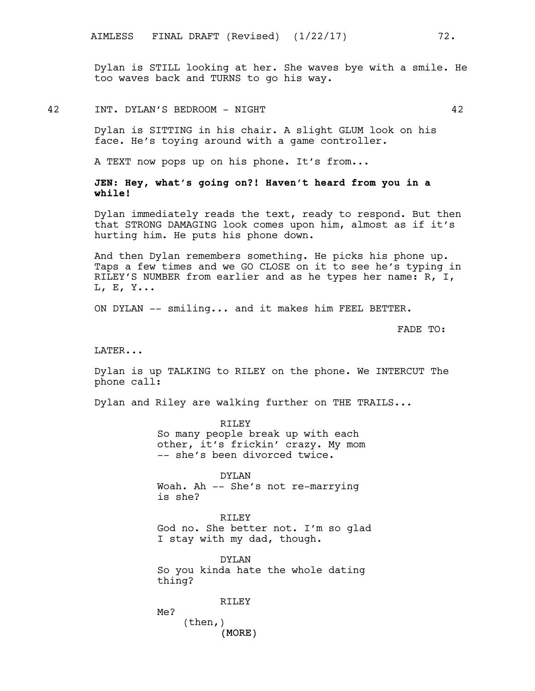Dylan is STILL looking at her. She waves bye with a smile. He too waves back and TURNS to go his way.

42 INT. DYLAN'S BEDROOM - NIGHT 42

Dylan is SITTING in his chair. A slight GLUM look on his face. He's toying around with a game controller.

A TEXT now pops up on his phone. It's from...

**JEN: Hey, what's going on?! Haven't heard from you in a while!**

Dylan immediately reads the text, ready to respond. But then that STRONG DAMAGING look comes upon him, almost as if it's hurting him. He puts his phone down.

And then Dylan remembers something. He picks his phone up. Taps a few times and we GO CLOSE on it to see he's typing in RILEY'S NUMBER from earlier and as he types her name: R, I, L, E, Y...

ON DYLAN -- smiling... and it makes him FEEL BETTER.

FADE TO:

LATER...

Dylan is up TALKING to RILEY on the phone. We INTERCUT The phone call:

Dylan and Riley are walking further on THE TRAILS...

RILEY So many people break up with each other, it's frickin' crazy. My mom -- she's been divorced twice.

DYLAN Woah. Ah -- She's not re-marrying is she?

RILEY God no. She better not. I'm so glad I stay with my dad, though.

DYLAN So you kinda hate the whole dating thing?

RILEY

Me? (then,)

(MORE)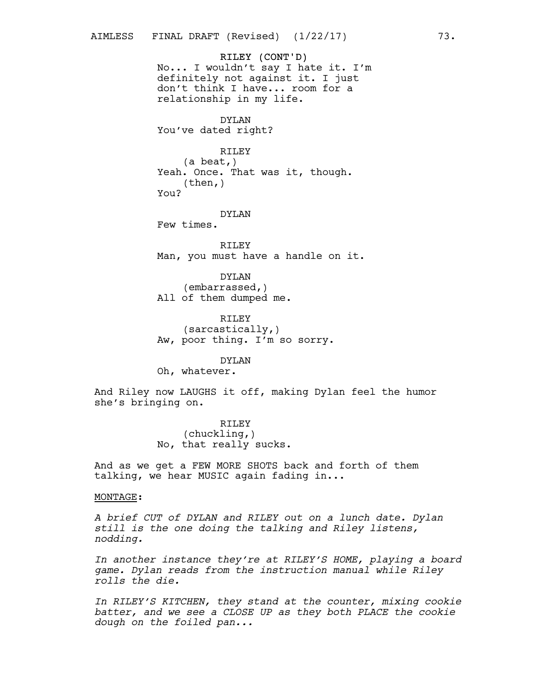RILEY (CONT'D) No... I wouldn't say I hate it. I'm definitely not against it. I just don't think I have... room for a relationship in my life.

DYLAN You've dated right?

RILEY (a beat,) Yeah. Once. That was it, though. (then,) You?

DYLAN Few times.

RILEY Man, you must have a handle on it.

DYLAN (embarrassed,) All of them dumped me.

RILEY (sarcastically,) Aw, poor thing. I'm so sorry.

DYLAN

Oh, whatever.

And Riley now LAUGHS it off, making Dylan feel the humor she's bringing on.

> RILEY (chuckling,) No, that really sucks.

And as we get a FEW MORE SHOTS back and forth of them talking, we hear MUSIC again fading in...

#### MONTAGE:

*A brief CUT of DYLAN and RILEY out on a lunch date. Dylan still is the one doing the talking and Riley listens, nodding.*

*In another instance they're at RILEY'S HOME, playing a board game. Dylan reads from the instruction manual while Riley rolls the die.*

*In RILEY'S KITCHEN, they stand at the counter, mixing cookie batter, and we see a CLOSE UP as they both PLACE the cookie dough on the foiled pan...*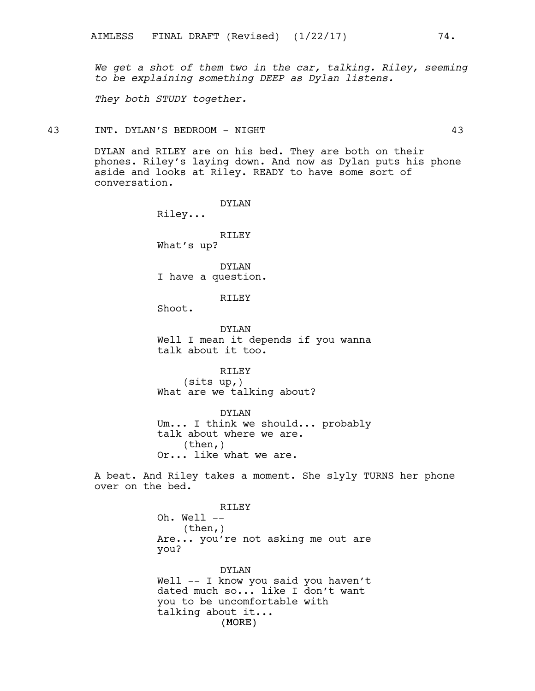*We get a shot of them two in the car, talking. Riley, seeming to be explaining something DEEP as Dylan listens.*

*They both STUDY together.*

43 INT. DYLAN'S BEDROOM - NIGHT 43

DYLAN and RILEY are on his bed. They are both on their phones. Riley's laying down. And now as Dylan puts his phone aside and looks at Riley. READY to have some sort of conversation.

> DYLAN Riley...

> RILEY What's up?

DYLAN I have a question.

RTLEY

Shoot.

DYLAN Well I mean it depends if you wanna talk about it too.

RILEY (sits up,) What are we talking about?

DYLAN Um... I think we should... probably talk about where we are. (then,) Or... like what we are.

A beat. And Riley takes a moment. She slyly TURNS her phone over on the bed.

> RILEY Oh. Well -- (then,) Are... you're not asking me out are you?

(MORE) DYLAN Well -- I know you said you haven't dated much so... like I don't want you to be uncomfortable with talking about it...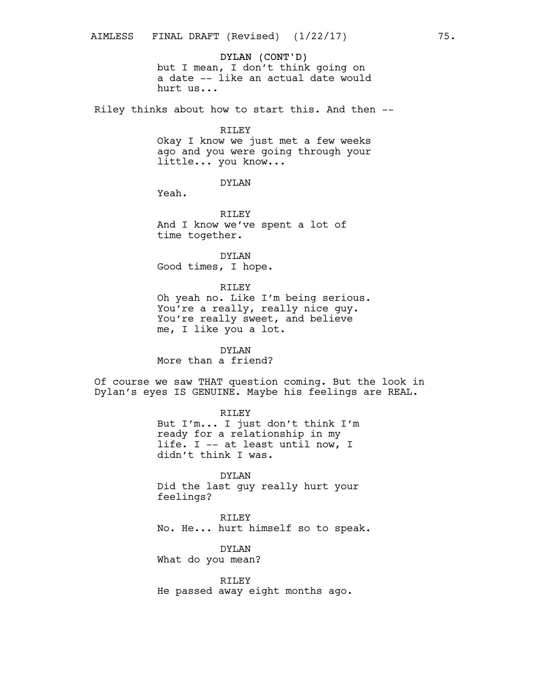### DYLAN (CONT'D)

but I mean, I don't think going on a date -- like an actual date would hurt us...

Riley thinks about how to start this. And then --

#### RILEY

Okay I know we just met a few weeks ago and you were going through your little... you know...

DYLAN

Yeah.

RILEY And I know we've spent a lot of time together.

DYLAN Good times, I hope.

### RILEY

Oh yeah no. Like I'm being serious. You're a really, really nice guy. You're really sweet, and believe me, I like you a lot.

DYLAN

More than a friend?

Of course we saw THAT question coming. But the look in Dylan's eyes IS GENUINE. Maybe his feelings are REAL.

> RILEY But I'm... I just don't think I'm ready for a relationship in my life. I -- at least until now, I didn't think I was.

> DYLAN Did the last guy really hurt your feelings?

RILEY No. He... hurt himself so to speak.

DYLAN What do you mean?

RILEY He passed away eight months ago.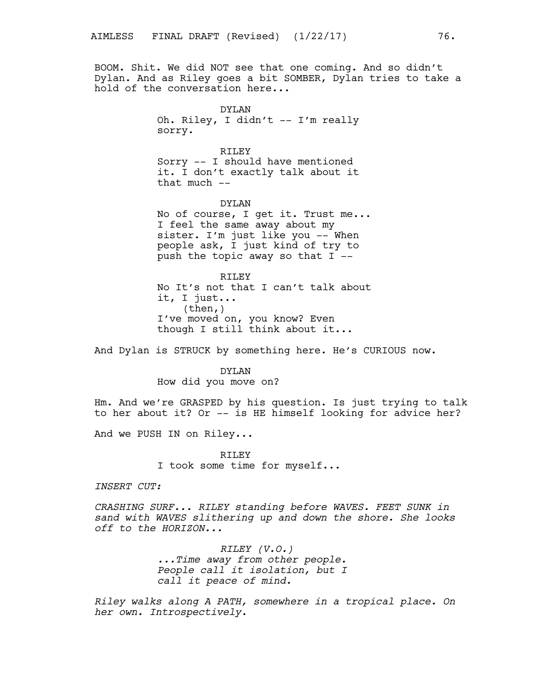BOOM. Shit. We did NOT see that one coming. And so didn't Dylan. And as Riley goes a bit SOMBER, Dylan tries to take a hold of the conversation here...

> DYLAN Oh. Riley, I didn't -- I'm really sorry.

> RILEY Sorry -- I should have mentioned it. I don't exactly talk about it that much --

DYLAN No of course, I get it. Trust me... I feel the same away about my sister. I'm just like you -- When people ask, I just kind of try to push the topic away so that I --

RTLEY No It's not that I can't talk about it, I just... (then,) I've moved on, you know? Even though I still think about it...

And Dylan is STRUCK by something here. He's CURIOUS now.

DYLAN How did you move on?

Hm. And we're GRASPED by his question. Is just trying to talk to her about it? Or -- is HE himself looking for advice her?

And we PUSH IN on Riley...

RILEY I took some time for myself...

*INSERT CUT:*

*CRASHING SURF... RILEY standing before WAVES. FEET SUNK in sand with WAVES slithering up and down the shore. She looks off to the HORIZON...*

> *RILEY (V.O.) ...Time away from other people. People call it isolation, but I call it peace of mind.*

*Riley walks along A PATH, somewhere in a tropical place. On her own. Introspectively.*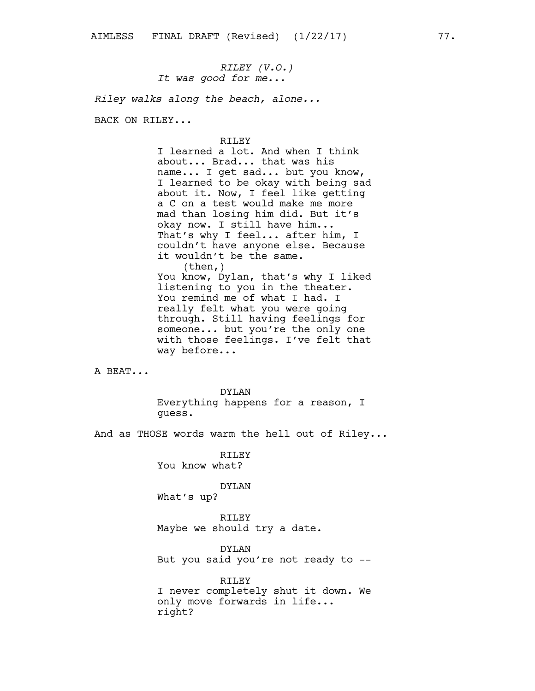*RILEY (V.O.) It was good for me...*

*Riley walks along the beach, alone...*

BACK ON RILEY...

### RILEY

I learned a lot. And when I think about... Brad... that was his name... I get sad... but you know, I learned to be okay with being sad about it. Now, I feel like getting a C on a test would make me more mad than losing him did. But it's okay now. I still have him... That's why I feel... after him, I couldn't have anyone else. Because it wouldn't be the same.  $(then, )$ You know, Dylan, that's why I liked listening to you in the theater. You remind me of what I had. I really felt what you were going through. Still having feelings for someone... but you're the only one with those feelings. I've felt that way before...

A BEAT...

DYLAN Everything happens for a reason, I guess.

And as THOSE words warm the hell out of Riley...

RILEY You know what?

DYLAN

What's up?

RILEY Maybe we should try a date.

DYLAN But you said you're not ready to --

RILEY I never completely shut it down. We only move forwards in life... right?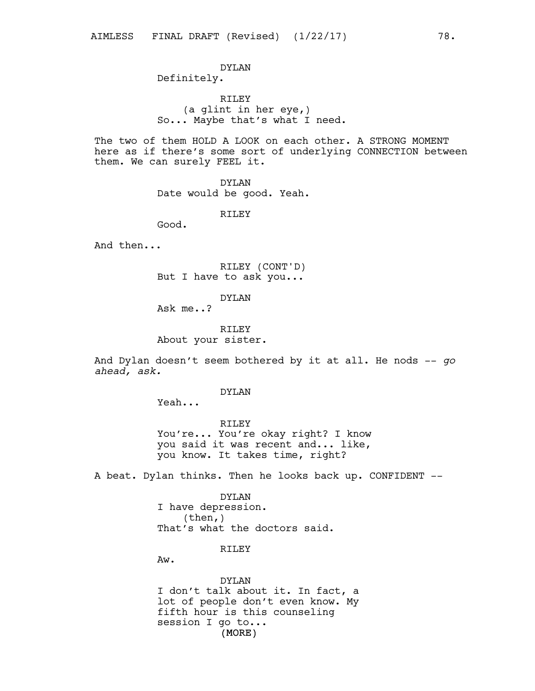## DYLAN Definitely.

RILEY (a glint in her eye,) So... Maybe that's what I need.

The two of them HOLD A LOOK on each other. A STRONG MOMENT here as if there's some sort of underlying CONNECTION between them. We can surely FEEL it.

DYLAN

Date would be good. Yeah.

RILEY

Good.

And then...

RILEY (CONT'D) But I have to ask you...

DYLAN

Ask me..?

RILEY About your sister.

And Dylan doesn't seem bothered by it at all. He nods -- *go ahead, ask.*

DYLAN

Yeah...

RILEY You're... You're okay right? I know you said it was recent and... like, you know. It takes time, right?

A beat. Dylan thinks. Then he looks back up. CONFIDENT --

DYLAN I have depression.  $(then, )$ That's what the doctors said.

RTLEY

Aw.

(MORE) DYLAN I don't talk about it. In fact, a lot of people don't even know. My fifth hour is this counseling session I go to...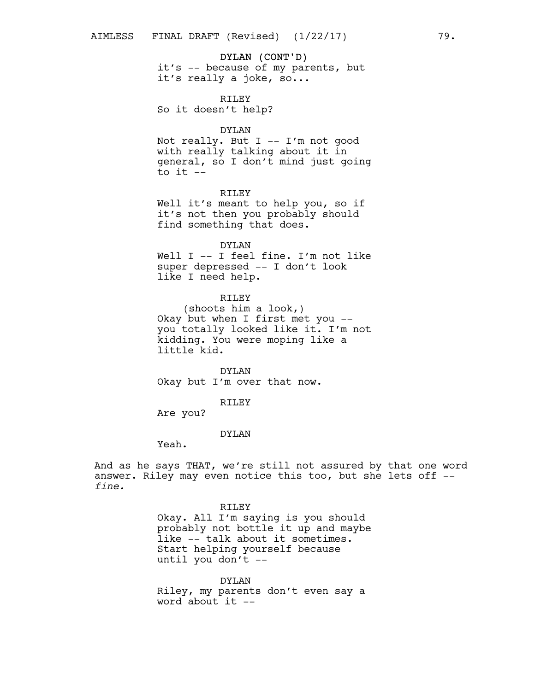# DYLAN (CONT'D)

it's -- because of my parents, but it's really a joke, so...

RILEY

So it doesn't help?

### DYLAN

Not really. But I -- I'm not good with really talking about it in general, so I don't mind just going to it  $-$ 

### RILEY

Well it's meant to help you, so if it's not then you probably should find something that does.

#### DYLAN

Well I -- I feel fine. I'm not like super depressed -- I don't look like I need help.

### RILEY

(shoots him a look,) Okay but when I first met you - you totally looked like it. I'm not kidding. You were moping like a little kid.

DYLAN Okay but I'm over that now.

#### RILEY

Are you?

### DYLAN

Yeah.

And as he says THAT, we're still not assured by that one word answer. Riley may even notice this too, but she lets off - *fine.*

> RILEY Okay. All I'm saying is you should probably not bottle it up and maybe like -- talk about it sometimes. Start helping yourself because until you don't --

DYLAN Riley, my parents don't even say a word about  $it$   $-$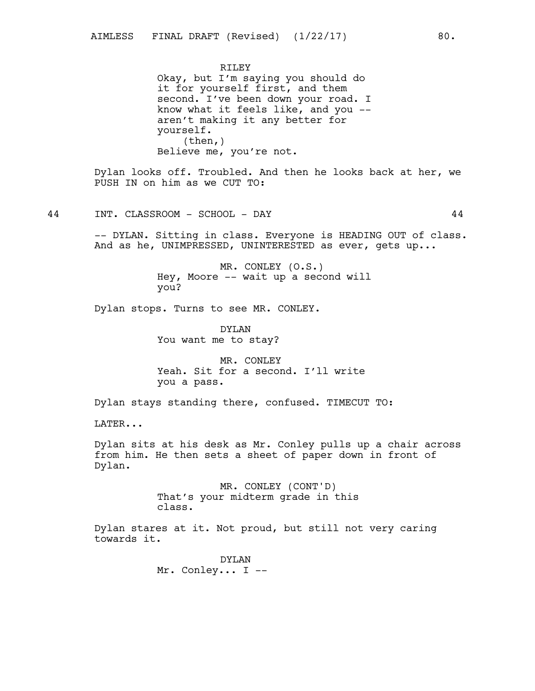RTLEY Okay, but I'm saying you should do it for yourself first, and them second. I've been down your road. I know what it feels like, and you - aren't making it any better for yourself. (then,) Believe me, you're not.

Dylan looks off. Troubled. And then he looks back at her, we PUSH IN on him as we CUT TO:

44 INT. CLASSROOM - SCHOOL - DAY 44

-- DYLAN. Sitting in class. Everyone is HEADING OUT of class. And as he, UNIMPRESSED, UNINTERESTED as ever, gets up...

> MR. CONLEY (O.S.) Hey, Moore -- wait up a second will you?

Dylan stops. Turns to see MR. CONLEY.

DYLAN You want me to stay?

MR. CONLEY Yeah. Sit for a second. I'll write you a pass.

Dylan stays standing there, confused. TIMECUT TO:

LATER...

Dylan sits at his desk as Mr. Conley pulls up a chair across from him. He then sets a sheet of paper down in front of Dylan.

> MR. CONLEY (CONT'D) That's your midterm grade in this class.

Dylan stares at it. Not proud, but still not very caring towards it.

> DYLAN Mr. Conley... I --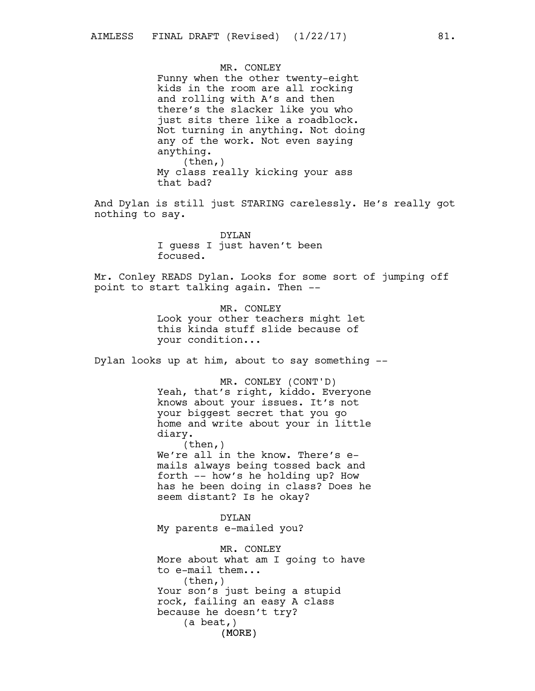MR. CONLEY Funny when the other twenty-eight kids in the room are all rocking and rolling with A's and then there's the slacker like you who just sits there like a roadblock. Not turning in anything. Not doing any of the work. Not even saying anything. (then,) My class really kicking your ass that bad?

And Dylan is still just STARING carelessly. He's really got nothing to say.

> DYLAN I guess I just haven't been focused.

Mr. Conley READS Dylan. Looks for some sort of jumping off point to start talking again. Then --

> MR. CONLEY Look your other teachers might let this kinda stuff slide because of your condition...

Dylan looks up at him, about to say something --

MR. CONLEY (CONT'D) Yeah, that's right, kiddo. Everyone knows about your issues. It's not your biggest secret that you go home and write about your in little diary.  $(then, )$ We're all in the know. There's emails always being tossed back and forth -- how's he holding up? How has he been doing in class? Does he

DYLAN My parents e-mailed you?

seem distant? Is he okay?

(MORE) MR. CONLEY More about what am I going to have to e-mail them... (then,) Your son's just being a stupid rock, failing an easy A class because he doesn't try? (a beat,)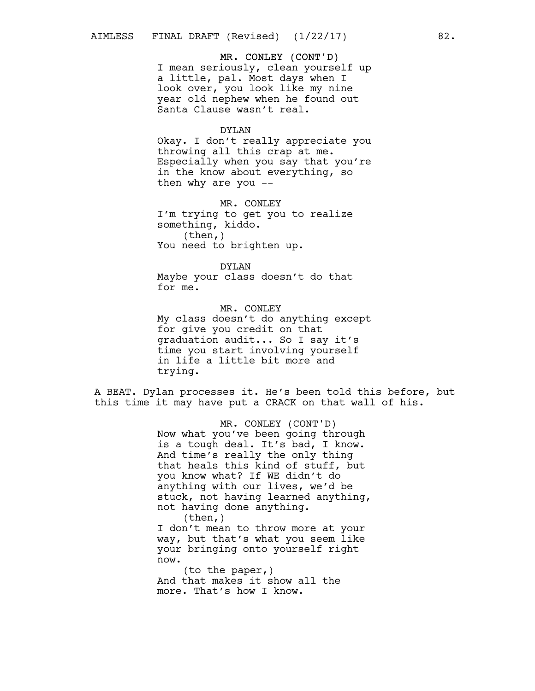### MR. CONLEY (CONT'D)

I mean seriously, clean yourself up a little, pal. Most days when I look over, you look like my nine year old nephew when he found out Santa Clause wasn't real.

#### DYLAN

Okay. I don't really appreciate you throwing all this crap at me. Especially when you say that you're in the know about everything, so then why are you --

MR. CONLEY I'm trying to get you to realize something, kiddo. (then,) You need to brighten up.

#### DYLAN

Maybe your class doesn't do that for me.

MR. CONLEY My class doesn't do anything except for give you credit on that graduation audit... So I say it's time you start involving yourself in life a little bit more and trying.

A BEAT. Dylan processes it. He's been told this before, but this time it may have put a CRACK on that wall of his.

> MR. CONLEY (CONT'D) Now what you've been going through is a tough deal. It's bad, I know. And time's really the only thing that heals this kind of stuff, but you know what? If WE didn't do anything with our lives, we'd be stuck, not having learned anything, not having done anything. (then,)

I don't mean to throw more at your way, but that's what you seem like your bringing onto yourself right now.

(to the paper,) And that makes it show all the more. That's how I know.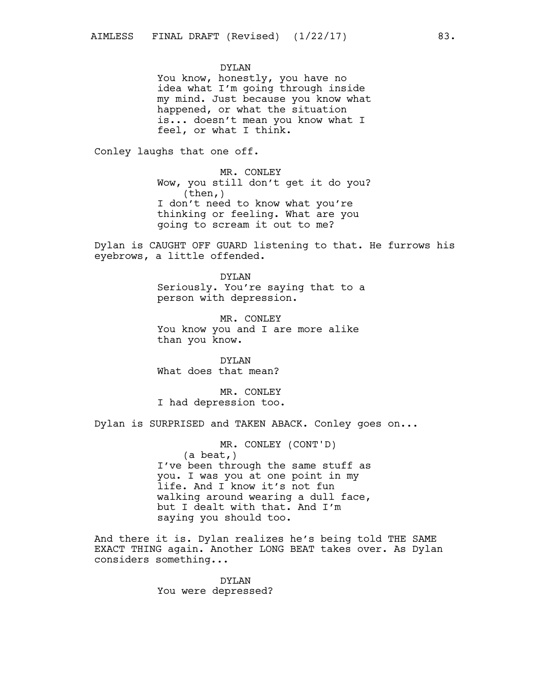DYLAN

You know, honestly, you have no idea what I'm going through inside my mind. Just because you know what happened, or what the situation is... doesn't mean you know what I feel, or what I think.

Conley laughs that one off.

MR. CONLEY Wow, you still don't get it do you?  $(then, )$ I don't need to know what you're thinking or feeling. What are you going to scream it out to me?

Dylan is CAUGHT OFF GUARD listening to that. He furrows his eyebrows, a little offended.

> DYLAN Seriously. You're saying that to a person with depression.

MR. CONLEY You know you and I are more alike than you know.

DYLAN What does that mean?

MR. CONLEY I had depression too.

Dylan is SURPRISED and TAKEN ABACK. Conley goes on...

MR. CONLEY (CONT'D) (a beat,) I've been through the same stuff as you. I was you at one point in my life. And I know it's not fun walking around wearing a dull face, but I dealt with that. And I'm saying you should too.

And there it is. Dylan realizes he's being told THE SAME EXACT THING again. Another LONG BEAT takes over. As Dylan considers something...

> DYLAN You were depressed?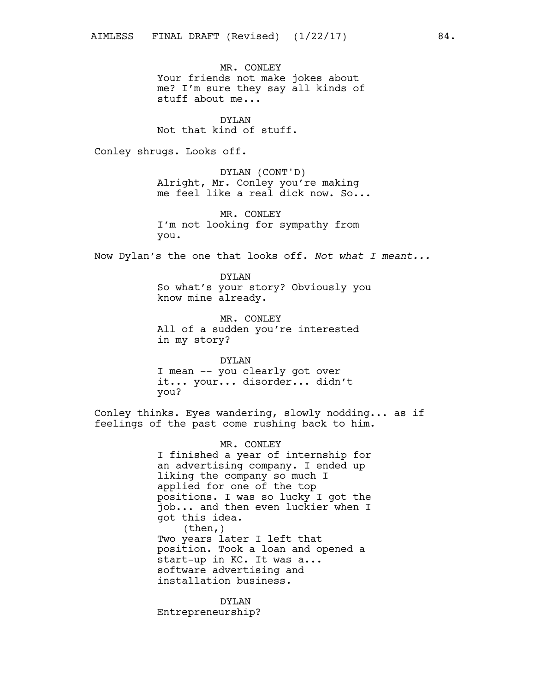MR. CONLEY Your friends not make jokes about me? I'm sure they say all kinds of stuff about me...

DYLAN Not that kind of stuff.

Conley shrugs. Looks off.

DYLAN (CONT'D) Alright, Mr. Conley you're making me feel like a real dick now. So...

MR. CONLEY I'm not looking for sympathy from you.

Now Dylan's the one that looks off. *Not what I meant...*

DYLAN So what's your story? Obviously you know mine already.

MR. CONLEY All of a sudden you're interested in my story?

DYLAN I mean -- you clearly got over it... your... disorder... didn't you?

Conley thinks. Eyes wandering, slowly nodding... as if feelings of the past come rushing back to him.

> MR. CONLEY I finished a year of internship for an advertising company. I ended up liking the company so much I applied for one of the top positions. I was so lucky I got the job... and then even luckier when I got this idea. (then,) Two years later I left that position. Took a loan and opened a start-up in KC. It was a... software advertising and installation business.

DYLAN Entrepreneurship?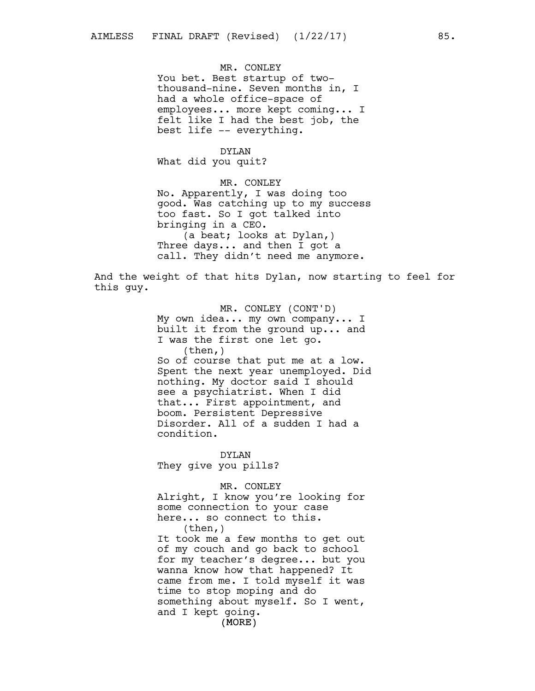MR. CONLEY You bet. Best startup of twothousand-nine. Seven months in, I had a whole office-space of employees... more kept coming... I felt like I had the best job, the best life -- everything.

## DYLAN

What did you quit?

MR. CONLEY No. Apparently, I was doing too good. Was catching up to my success too fast. So I got talked into bringing in a CEO. (a beat; looks at Dylan,) Three days... and then I got a call. They didn't need me anymore.

And the weight of that hits Dylan, now starting to feel for this guy.

> MR. CONLEY (CONT'D) My own idea... my own company... I built it from the ground up... and I was the first one let go.  $(then, )$ So of course that put me at a low. Spent the next year unemployed. Did nothing. My doctor said I should see a psychiatrist. When I did that... First appointment, and boom. Persistent Depressive Disorder. All of a sudden I had a condition.

DYLAN They give you pills?

MR. CONLEY

Alright, I know you're looking for some connection to your case here... so connect to this. (then,)

(MORE) It took me a few months to get out of my couch and go back to school for my teacher's degree... but you wanna know how that happened? It came from me. I told myself it was time to stop moping and do something about myself. So I went, and I kept going.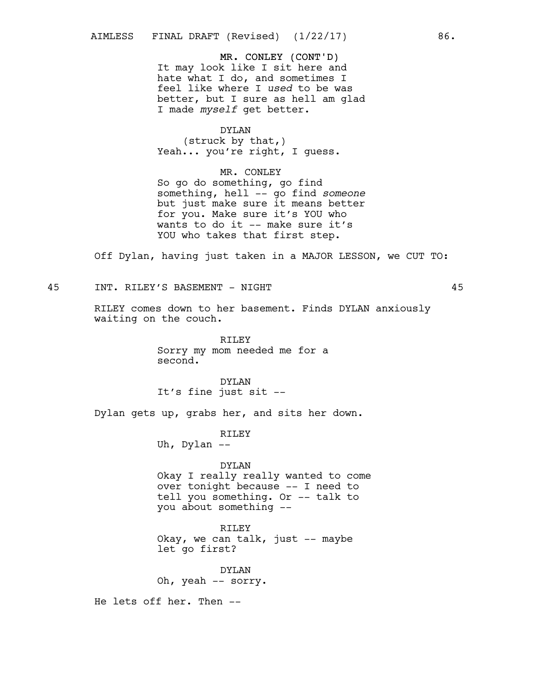## MR. CONLEY (CONT'D)

It may look like I sit here and hate what I do, and sometimes I feel like where I *used* to be was better, but I sure as hell am glad I made *myself* get better.

DYLAN (struck by that,) Yeah... you're right, I quess.

MR. CONLEY So go do something, go find something, hell -- go find *someone* but just make sure it means better for you. Make sure it's YOU who wants to do it -- make sure it's YOU who takes that first step.

Off Dylan, having just taken in a MAJOR LESSON, we CUT TO:

## 45 INT. RILEY'S BASEMENT - NIGHT 45

RILEY comes down to her basement. Finds DYLAN anxiously waiting on the couch.

> RILEY Sorry my mom needed me for a second.

DYLAN It's fine just sit --

Dylan gets up, grabs her, and sits her down.

### RILEY

Uh, Dylan --

#### DYLAN

Okay I really really wanted to come over tonight because -- I need to tell you something. Or -- talk to you about something --

RILEY

Okay, we can talk, just -- maybe let go first?

DYLAN Oh, yeah -- sorry.

He lets off her. Then --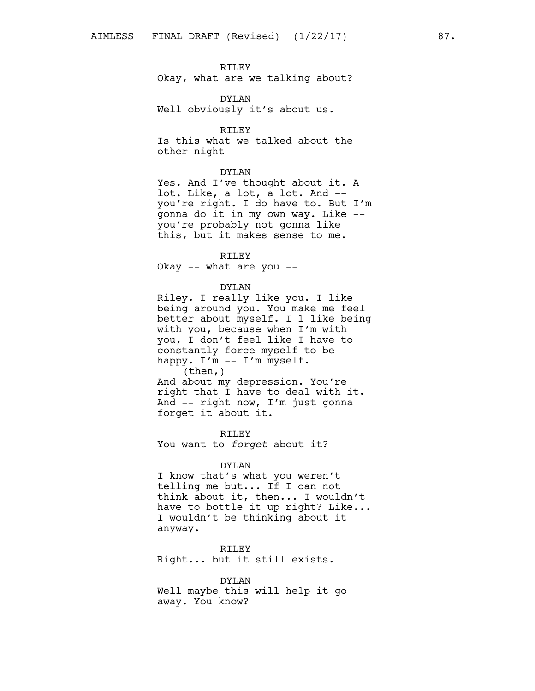## RILEY

Okay, what are we talking about?

DYLAN Well obviously it's about us.

#### RILEY

Is this what we talked about the other night --

#### DYLAN

Yes. And I've thought about it. A lot. Like, a lot, a lot. And - you're right. I do have to. But I'm gonna do it in my own way. Like - you're probably not gonna like this, but it makes sense to me.

### RILEY

Okay -- what are you --

#### DYLAN

Riley. I really like you. I like being around you. You make me feel better about myself. I l like being with you, because when I'm with you, I don't feel like I have to constantly force myself to be happy. I'm -- I'm myself.  $(then, )$ 

And about my depression. You're right that I have to deal with it. And -- right now, I'm just gonna forget it about it.

RILEY You want to *forget* about it?

#### DYLAN

I know that's what you weren't telling me but... If I can not think about it, then... I wouldn't have to bottle it up right? Like... I wouldn't be thinking about it anyway.

RILEY Right... but it still exists.

DYLAN Well maybe this will help it go away. You know?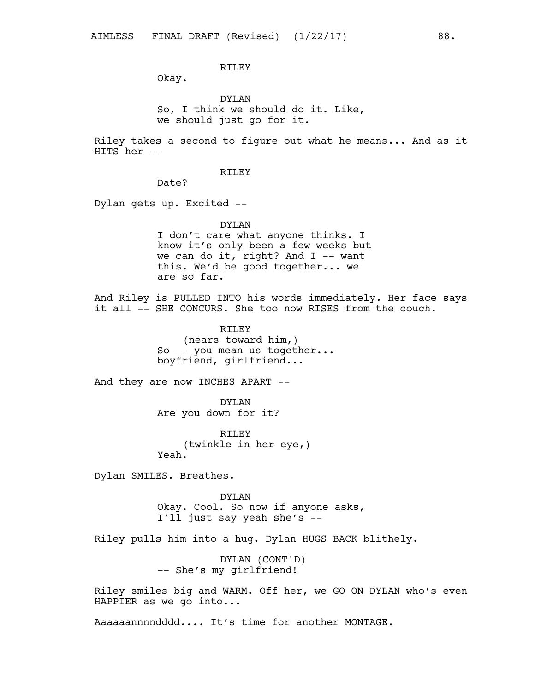# RILEY

Okay.

DYLAN So, I think we should do it. Like, we should just go for it.

Riley takes a second to figure out what he means... And as it HITS her --

## RILEY

Date?

Dylan gets up. Excited --

DYLAN I don't care what anyone thinks. I know it's only been a few weeks but we can do it, right? And  $I$  -- want this. We'd be good together... we are so far.

And Riley is PULLED INTO his words immediately. Her face says it all  $-$ - SHE CONCURS. She too now RISES from the couch.

> RILEY (nears toward him,) So -- you mean us together... boyfriend, girlfriend...

And they are now INCHES APART --

DYLAN Are you down for it?

RTLEY (twinkle in her eye,) Yeah.

Dylan SMILES. Breathes.

DYLAN Okay. Cool. So now if anyone asks, I'll just say yeah she's --

Riley pulls him into a hug. Dylan HUGS BACK blithely.

DYLAN (CONT'D) -- She's my girlfriend!

Riley smiles big and WARM. Off her, we GO ON DYLAN who's even HAPPIER as we go into...

Aaaaaannnndddd.... It's time for another MONTAGE.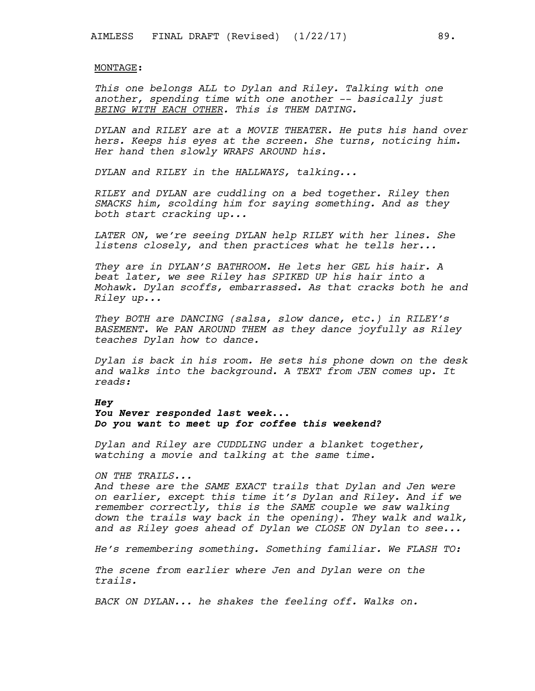### MONTAGE:

*This one belongs ALL to Dylan and Riley. Talking with one another, spending time with one another -- basically just BEING WITH EACH OTHER. This is THEM DATING.*

*DYLAN and RILEY are at a MOVIE THEATER. He puts his hand over hers. Keeps his eyes at the screen. She turns, noticing him. Her hand then slowly WRAPS AROUND his.*

*DYLAN and RILEY in the HALLWAYS, talking...*

*RILEY and DYLAN are cuddling on a bed together. Riley then SMACKS him, scolding him for saying something. And as they both start cracking up...*

*LATER ON, we're seeing DYLAN help RILEY with her lines. She listens closely, and then practices what he tells her...*

*They are in DYLAN'S BATHROOM. He lets her GEL his hair. A beat later, we see Riley has SPIKED UP his hair into a Mohawk. Dylan scoffs, embarrassed. As that cracks both he and Riley up...*

*They BOTH are DANCING (salsa, slow dance, etc.) in RILEY's BASEMENT. We PAN AROUND THEM as they dance joyfully as Riley teaches Dylan how to dance.*

*Dylan is back in his room. He sets his phone down on the desk and walks into the background. A TEXT from JEN comes up. It reads:*

#### *Hey*

## *You Never responded last week... Do you want to meet up for coffee this weekend?*

*Dylan and Riley are CUDDLING under a blanket together, watching a movie and talking at the same time.*

*ON THE TRAILS...*

*And these are the SAME EXACT trails that Dylan and Jen were on earlier, except this time it's Dylan and Riley. And if we remember correctly, this is the SAME couple we saw walking down the trails way back in the opening). They walk and walk, and as Riley goes ahead of Dylan we CLOSE ON Dylan to see...*

*He's remembering something. Something familiar. We FLASH TO:*

*The scene from earlier where Jen and Dylan were on the trails.*

*BACK ON DYLAN... he shakes the feeling off. Walks on.*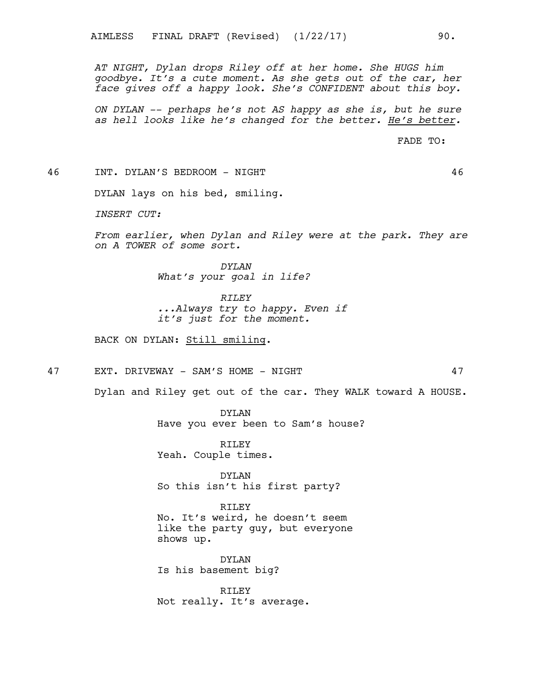*AT NIGHT, Dylan drops Riley off at her home. She HUGS him goodbye. It's a cute moment. As she gets out of the car, her face gives off a happy look. She's CONFIDENT about this boy.*

*ON DYLAN -- perhaps he's not AS happy as she is, but he sure as hell looks like he's changed for the better. He's better.*

FADE TO:

46 INT. DYLAN'S BEDROOM - NIGHT 46

DYLAN lays on his bed, smiling.

*INSERT CUT:*

*From earlier, when Dylan and Riley were at the park. They are on A TOWER of some sort.*

> *DYLAN What's your goal in life?*

> > *RILEY*

*...Always try to happy. Even if it's just for the moment.*

BACK ON DYLAN: Still smiling.

47 EXT. DRIVEWAY - SAM'S HOME - NIGHT 47

Dylan and Riley get out of the car. They WALK toward A HOUSE.

DYLAN Have you ever been to Sam's house?

RILEY Yeah. Couple times.

DYLAN So this isn't his first party?

RTLEY No. It's weird, he doesn't seem like the party guy, but everyone shows up.

DYLAN Is his basement big?

RILEY Not really. It's average.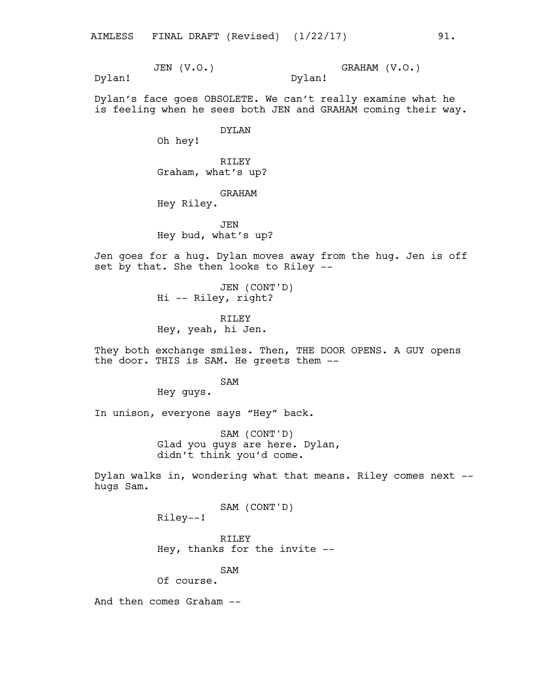GRAHAM (V.O.) Dylan!

Dylan!

Dylan's face goes OBSOLETE. We can't really examine what he is feeling when he sees both JEN and GRAHAM coming their way.

DYLAN

Oh hey!

JEN (V.O.)

RILEY Graham, what's up?

GRAHAM

Hey Riley.

**JEN** Hey bud, what's up?

Jen goes for a hug. Dylan moves away from the hug. Jen is off set by that. She then looks to Riley --

> JEN (CONT'D) Hi -- Riley, right?

RILEY Hey, yeah, hi Jen.

They both exchange smiles. Then, THE DOOR OPENS. A GUY opens the door. THIS is SAM. He greets them --

SAM

Hey guys.

In unison, everyone says "Hey" back.

SAM (CONT'D) Glad you guys are here. Dylan, didn't think you'd come.

Dylan walks in, wondering what that means. Riley comes next - hugs Sam.

SAM (CONT'D)

Riley--!

RILEY Hey, thanks for the invite --

SAM

Of course.

And then comes Graham --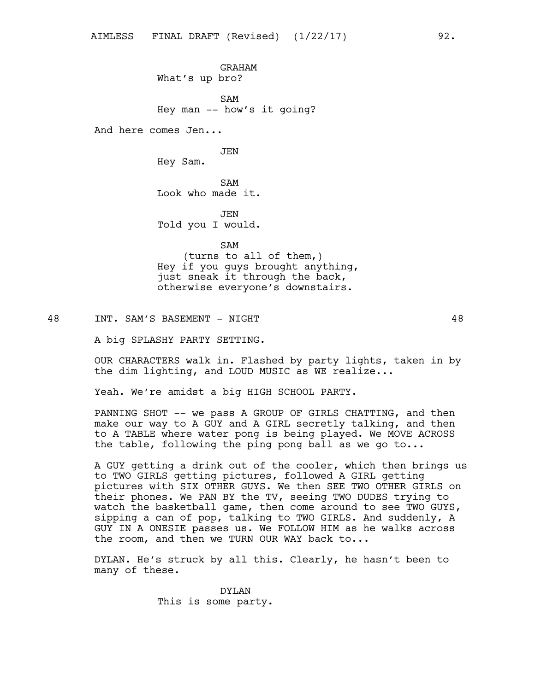GRAHAM What's up bro?

SAM Hey man -- how's it going?

And here comes Jen...

JEN

Hey Sam.

SAM Look who made it.

JEN Told you I would.

SAM (turns to all of them,) Hey if you guys brought anything, just sneak it through the back, otherwise everyone's downstairs.

48 INT. SAM'S BASEMENT - NIGHT 48

A big SPLASHY PARTY SETTING.

OUR CHARACTERS walk in. Flashed by party lights, taken in by the dim lighting, and LOUD MUSIC as WE realize...

Yeah. We're amidst a big HIGH SCHOOL PARTY.

PANNING SHOT -- we pass A GROUP OF GIRLS CHATTING, and then make our way to A GUY and A GIRL secretly talking, and then to A TABLE where water pong is being played. We MOVE ACROSS the table, following the ping pong ball as we go to...

A GUY getting a drink out of the cooler, which then brings us to TWO GIRLS getting pictures, followed A GIRL getting pictures with SIX OTHER GUYS. We then SEE TWO OTHER GIRLS on their phones. We PAN BY the TV, seeing TWO DUDES trying to watch the basketball game, then come around to see TWO GUYS, sipping a can of pop, talking to TWO GIRLS. And suddenly, A GUY IN A ONESIE passes us. We FOLLOW HIM as he walks across the room, and then we TURN OUR WAY back to...

DYLAN. He's struck by all this. Clearly, he hasn't been to many of these.

> DYLAN This is some party.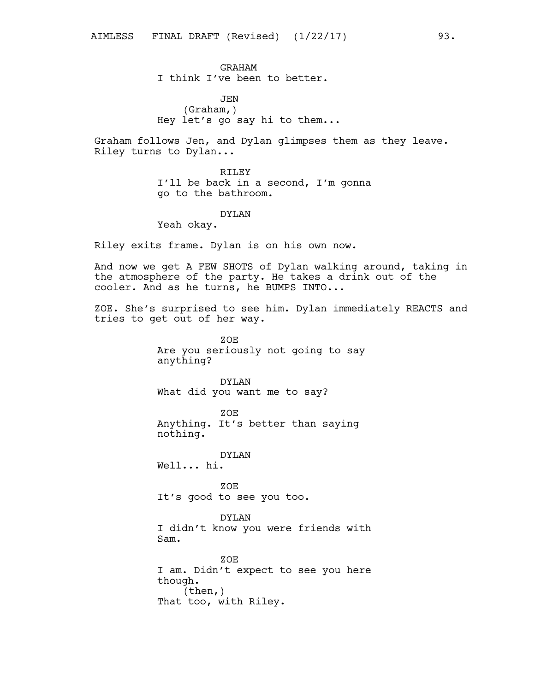JEN (Graham,) Hey let's go say hi to them...

Graham follows Jen, and Dylan glimpses them as they leave. Riley turns to Dylan...

> RILEY I'll be back in a second, I'm gonna go to the bathroom.

> > DYLAN

Yeah okay.

Riley exits frame. Dylan is on his own now.

And now we get A FEW SHOTS of Dylan walking around, taking in the atmosphere of the party. He takes a drink out of the cooler. And as he turns, he BUMPS INTO...

ZOE. She's surprised to see him. Dylan immediately REACTS and tries to get out of her way.

> ZOE Are you seriously not going to say anything?

DYLAN What did you want me to say?

ZOE Anything. It's better than saying nothing.

DYLAN Well... hi.

ZOE It's good to see you too.

DYLAN I didn't know you were friends with Sam.

ZOE I am. Didn't expect to see you here though. (then,) That too, with Riley.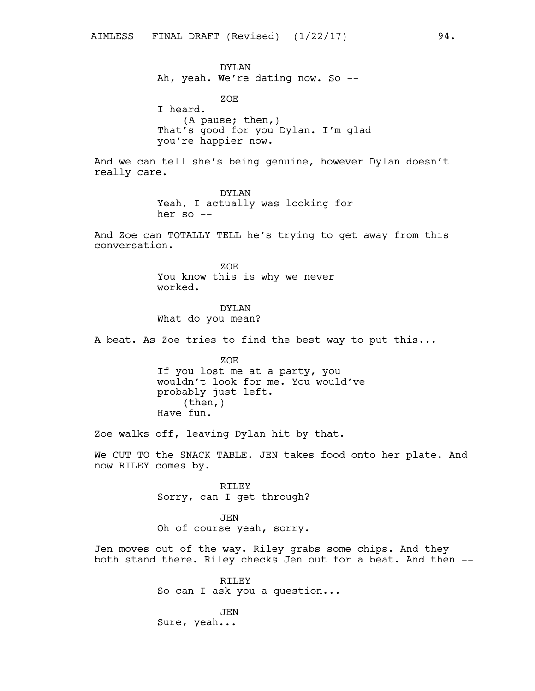DYLAN Ah, yeah. We're dating now. So --

ZOE I heard. (A pause; then,) That's good for you Dylan. I'm glad you're happier now.

And we can tell she's being genuine, however Dylan doesn't really care.

> DYLAN Yeah, I actually was looking for her so  $--$

And Zoe can TOTALLY TELL he's trying to get away from this conversation.

> ZOE You know this is why we never worked.

DYLAN What do you mean?

A beat. As Zoe tries to find the best way to put this...

ZOE If you lost me at a party, you wouldn't look for me. You would've probably just left. (then,) Have fun.

Zoe walks off, leaving Dylan hit by that.

We CUT TO the SNACK TABLE. JEN takes food onto her plate. And now RILEY comes by.

> RILEY Sorry, can I get through?

> JEN Oh of course yeah, sorry.

Jen moves out of the way. Riley grabs some chips. And they both stand there. Riley checks Jen out for a beat. And then --

> RILEY So can I ask you a question...

JEN Sure, yeah...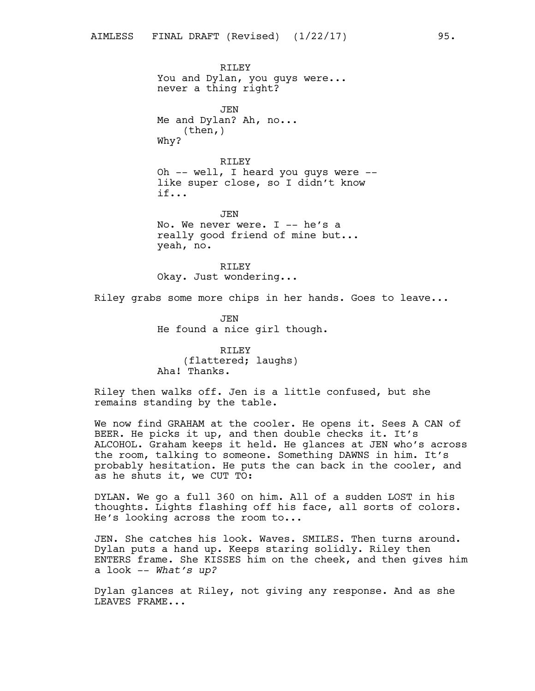never a thing right?

RTLEY

You and Dylan, you guys were...

JEN Me and Dylan? Ah, no... (then,) Why? RILEY Oh -- well, I heard you guys were - like super close, so I didn't know if... JEN No. We never were. I -- he's a really good friend of mine but... yeah, no.

> RILEY Okay. Just wondering...

Riley grabs some more chips in her hands. Goes to leave...

JEN He found a nice girl though.

RILEY (flattered; laughs) Aha! Thanks.

Riley then walks off. Jen is a little confused, but she remains standing by the table.

We now find GRAHAM at the cooler. He opens it. Sees A CAN of BEER. He picks it up, and then double checks it. It's ALCOHOL. Graham keeps it held. He glances at JEN who's across the room, talking to someone. Something DAWNS in him. It's probably hesitation. He puts the can back in the cooler, and as he shuts it, we CUT TO:

DYLAN. We go a full 360 on him. All of a sudden LOST in his thoughts. Lights flashing off his face, all sorts of colors. He's looking across the room to...

JEN. She catches his look. Waves. SMILES. Then turns around. Dylan puts a hand up. Keeps staring solidly. Riley then ENTERS frame. She KISSES him on the cheek, and then gives him a look -- *What's up?*

Dylan glances at Riley, not giving any response. And as she LEAVES FRAME...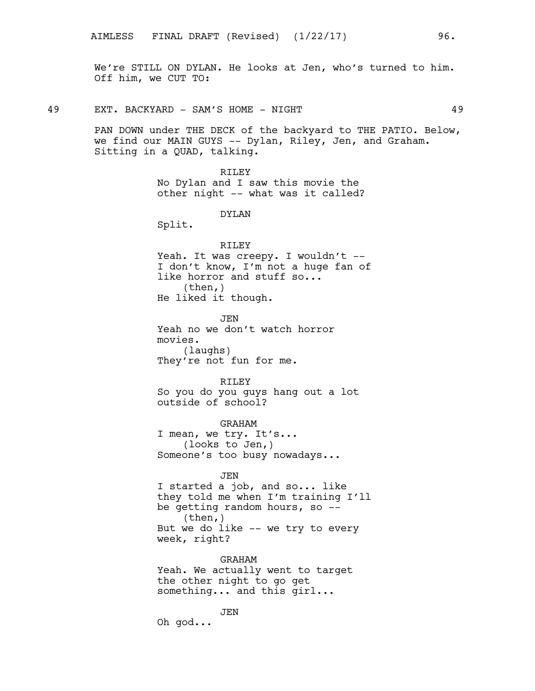We're STILL ON DYLAN. He looks at Jen, who's turned to him. Off him, we CUT TO:

49 EXT. BACKYARD - SAM'S HOME - NIGHT 49

PAN DOWN under THE DECK of the backyard to THE PATIO. Below, we find our MAIN GUYS -- Dylan, Riley, Jen, and Graham. Sitting in a QUAD, talking.

> RILEY No Dylan and I saw this movie the other night -- what was it called?

> > DYLAN

Split.

RILEY Yeah. It was creepy. I wouldn't --I don't know, I'm not a huge fan of like horror and stuff so... (then,) He liked it though.

JEN Yeah no we don't watch horror movies. (laughs) They're not fun for me.

RILEY

So you do you guys hang out a lot outside of school?

GRAHAM I mean, we try. It's... (looks to Jen,) Someone's too busy nowadays...

### JEN

I started a job, and so... like they told me when I'm training I'll be getting random hours, so -- (then,) But we do like -- we try to every week, right?

GRAHAM Yeah. We actually went to target the other night to go get something... and this girl...

JEN Oh god...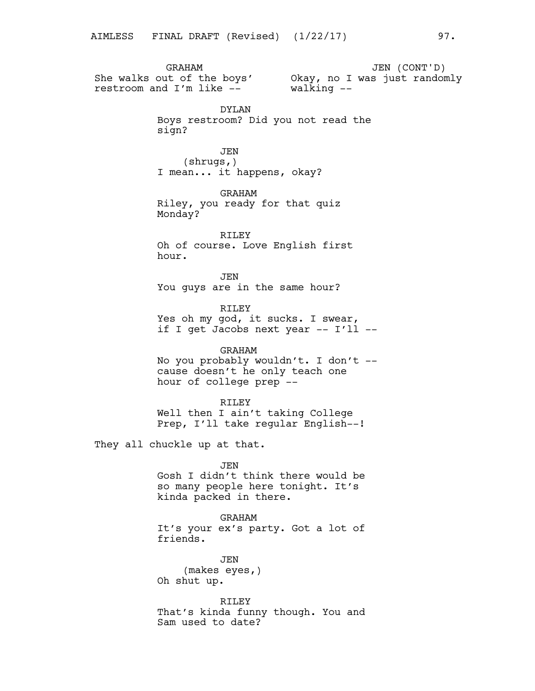GRAHAM She walks out of the boys' Okay, no I was just randomly restroom and I'm like -- JEN (CONT'D) walking -- DYLAN Boys restroom? Did you not read the sign? JEN (shrugs,) I mean... it happens, okay? GRAHAM Riley, you ready for that quiz Monday? RILEY Oh of course. Love English first hour. JEN You guys are in the same hour? RILEY Yes oh my god, it sucks. I swear, if I get Jacobs next year -- I'll --GRAHAM No you probably wouldn't. I don't - cause doesn't he only teach one hour of college prep -- RILEY Well then I ain't taking College Prep, I'll take regular English--! They all chuckle up at that. JEN Gosh I didn't think there would be so many people here tonight. It's kinda packed in there. GRAHAM It's your ex's party. Got a lot of friends.

> JEN (makes eyes,) Oh shut up.

RILEY That's kinda funny though. You and Sam used to date?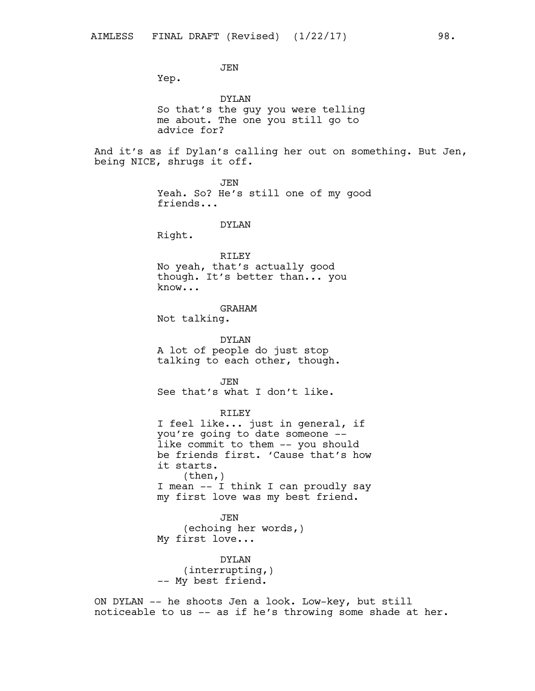JEN Yep. DYLAN So that's the guy you were telling me about. The one you still go to advice for? And it's as if Dylan's calling her out on something. But Jen, being NICE, shrugs it off. JEN Yeah. So? He's still one of my good friends... DYLAN Right. RILEY No yeah, that's actually good though. It's better than... you know... GRAHAM Not talking. DYLAN A lot of people do just stop talking to each other, though. **JEN** See that's what I don't like. RILEY I feel like... just in general, if you're going to date someone - like commit to them -- you should be friends first. 'Cause that's how it starts. (then,) I mean -- I think I can proudly say my first love was my best friend. JEN (echoing her words,) My first love... DYLAN (interrupting,) -- My best friend. ON DYLAN -- he shoots Jen a look. Low-key, but still

noticeable to us -- as if he's throwing some shade at her.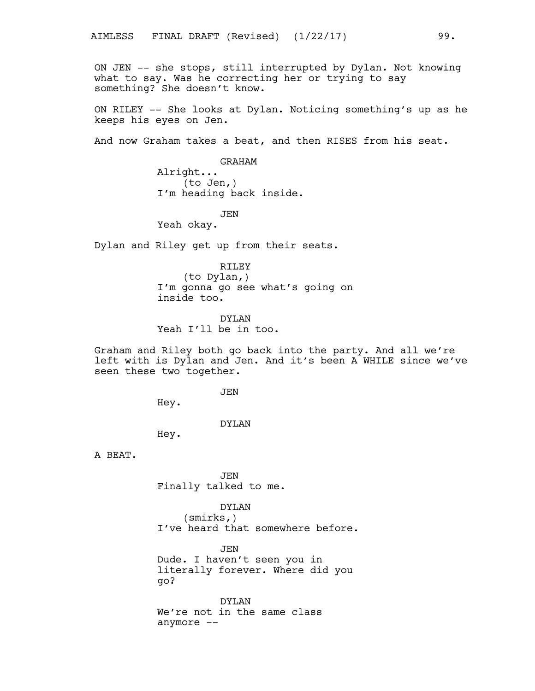ON JEN -- she stops, still interrupted by Dylan. Not knowing what to say. Was he correcting her or trying to say something? She doesn't know.

ON RILEY -- She looks at Dylan. Noticing something's up as he keeps his eyes on Jen.

And now Graham takes a beat, and then RISES from his seat.

GRAHAM Alright... (to Jen,) I'm heading back inside.

JEN

Yeah okay.

Dylan and Riley get up from their seats.

RILEY (to Dylan,) I'm gonna go see what's going on inside too.

DYLAN Yeah I'll be in too.

Graham and Riley both go back into the party. And all we're left with is Dylan and Jen. And it's been A WHILE since we've seen these two together.

**JEN** 

Hey.

DYLAN

Hey.

A BEAT.

JEN Finally talked to me.

DYLAN

(smirks,) I've heard that somewhere before.

**JEN** 

Dude. I haven't seen you in literally forever. Where did you go?

DYLAN We're not in the same class anymore --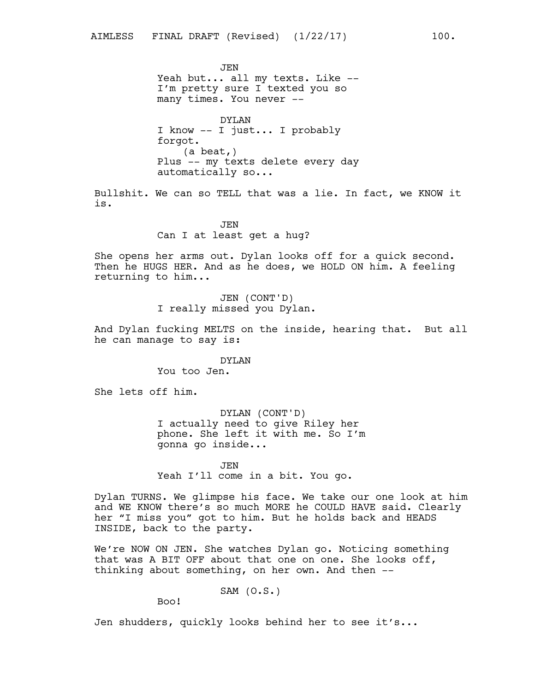**JEN** Yeah but... all my texts. Like --I'm pretty sure I texted you so many times. You never --

DYLAN I know -- I just... I probably forgot. (a beat,) Plus -- my texts delete every day automatically so...

Bullshit. We can so TELL that was a lie. In fact, we KNOW it is.

> JEN Can I at least get a hug?

She opens her arms out. Dylan looks off for a quick second. Then he HUGS HER. And as he does, we HOLD ON him. A feeling returning to him...

> JEN (CONT'D) I really missed you Dylan.

And Dylan fucking MELTS on the inside, hearing that. But all he can manage to say is:

> DYLAN You too Jen.

She lets off him.

DYLAN (CONT'D) I actually need to give Riley her phone. She left it with me. So I'm gonna go inside...

JEN Yeah I'll come in a bit. You go.

Dylan TURNS. We glimpse his face. We take our one look at him and WE KNOW there's so much MORE he COULD HAVE said. Clearly her "I miss you" got to him. But he holds back and HEADS INSIDE, back to the party.

We're NOW ON JEN. She watches Dylan go. Noticing something that was A BIT OFF about that one on one. She looks off, thinking about something, on her own. And then --

SAM (O.S.)

Boo!

Jen shudders, quickly looks behind her to see it's...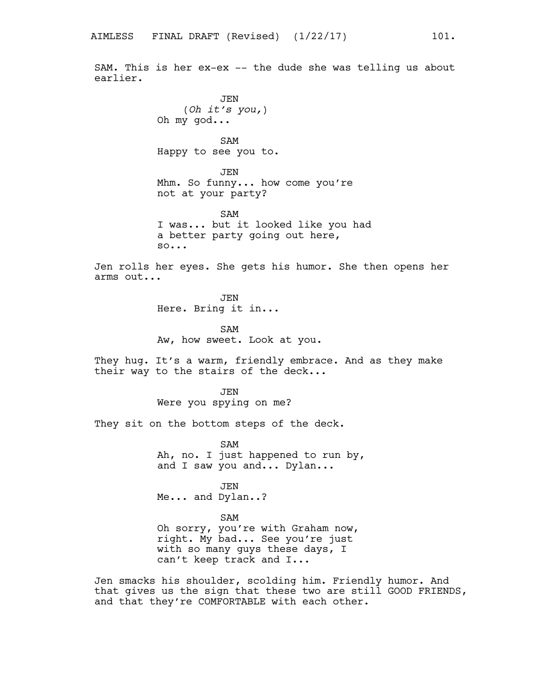SAM. This is her ex-ex -- the dude she was telling us about earlier.

> JEN (*Oh it's you,*) Oh my god...

SAM Happy to see you to.

JEN Mhm. So funny... how come you're not at your party?

SAM I was... but it looked like you had a better party going out here, so...

Jen rolls her eyes. She gets his humor. She then opens her arms out...

> JEN Here. Bring it in...

SAM Aw, how sweet. Look at you.

They hug. It's a warm, friendly embrace. And as they make their way to the stairs of the deck...

> JEN Were you spying on me?

They sit on the bottom steps of the deck.

SAM Ah, no. I just happened to run by, and I saw you and... Dylan...

JEN Me... and Dylan..?

SAM

Oh sorry, you're with Graham now, right. My bad... See you're just with so many guys these days, I can't keep track and I...

Jen smacks his shoulder, scolding him. Friendly humor. And that gives us the sign that these two are still GOOD FRIENDS, and that they're COMFORTABLE with each other.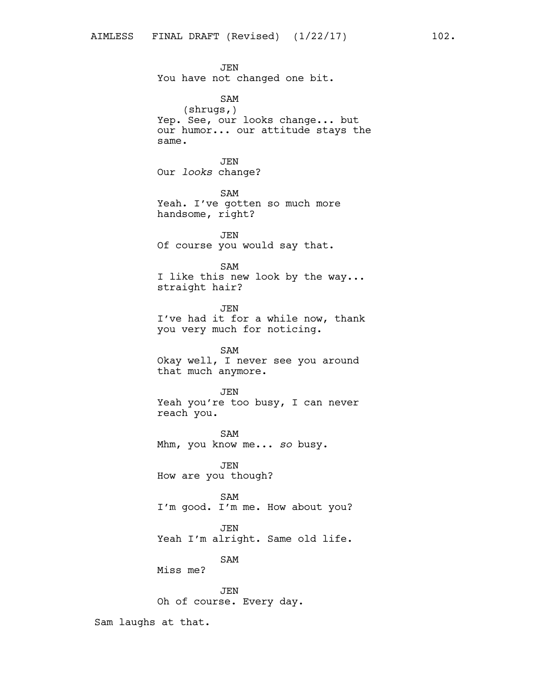JEN You have not changed one bit. SAM (shrugs,) Yep. See, our looks change... but our humor... our attitude stays the same. JEN Our *looks* change? SAM Yeah. I've gotten so much more handsome, right? JEN Of course you would say that. SAM I like this new look by the way... straight hair? JEN I've had it for a while now, thank you very much for noticing. SAM Okay well, I never see you around that much anymore. JEN Yeah you're too busy, I can never reach you. SAM Mhm, you know me... *so* busy. JEN How are you though? SAM I'm good. I'm me. How about you? JEN Yeah I'm alright. Same old life. SAM Miss me? JEN Oh of course. Every day.

Sam laughs at that.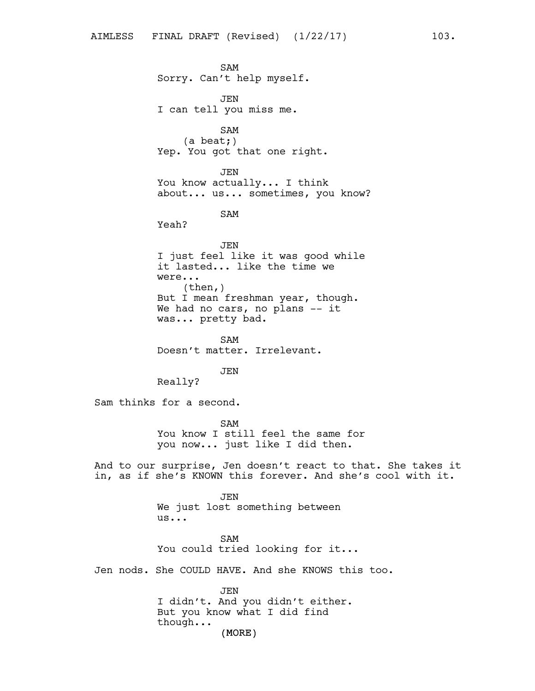SAM Sorry. Can't help myself. JEN I can tell you miss me. SAM (a beat;) Yep. You got that one right. JEN You know actually... I think about... us... sometimes, you know? SAM Yeah? JEN I just feel like it was good while it lasted... like the time we were... (then,) But I mean freshman year, though. We had no cars, no plans -- it was... pretty bad. SAM Doesn't matter. Irrelevant. **JEN** Really? Sam thinks for a second. SAM You know I still feel the same for you now... just like I did then. And to our surprise, Jen doesn't react to that. She takes it in, as if she's KNOWN this forever. And she's cool with it. JEN We just lost something between us... SAM You could tried looking for it... Jen nods. She COULD HAVE. And she KNOWS this too. JEN

(MORE) I didn't. And you didn't either. But you know what I did find though...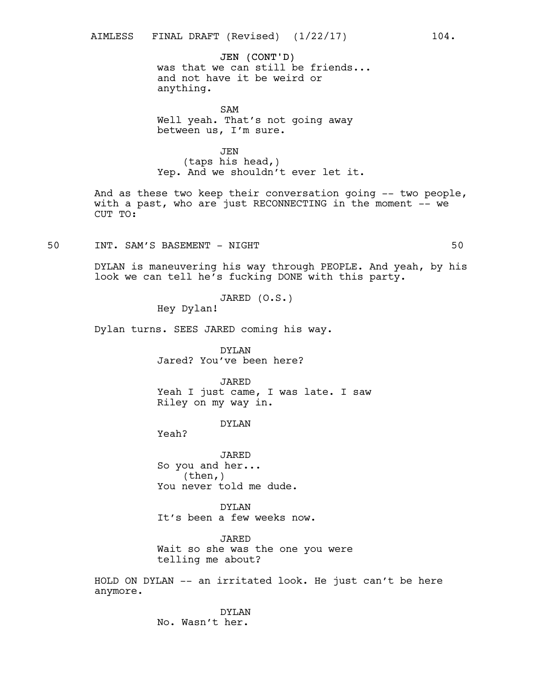## JEN (CONT'D)

was that we can still be friends... and not have it be weird or anything.

SAM Well yeah. That's not going away between us, I'm sure.

JEN (taps his head,) Yep. And we shouldn't ever let it.

And as these two keep their conversation going -- two people, with a past, who are just RECONNECTING in the moment -- we CUT TO:

50 INT. SAM'S BASEMENT - NIGHT 50

DYLAN is maneuvering his way through PEOPLE. And yeah, by his look we can tell he's fucking DONE with this party.

JARED (O.S.)

Hey Dylan!

Dylan turns. SEES JARED coming his way.

DYLAN Jared? You've been here?

JARED Yeah I just came, I was late. I saw Riley on my way in.

DYLAN

Yeah?

JARED So you and her... (then,) You never told me dude.

DYLAN It's been a few weeks now.

JARED Wait so she was the one you were telling me about?

HOLD ON DYLAN -- an irritated look. He just can't be here anymore.

> DYLAN No. Wasn't her.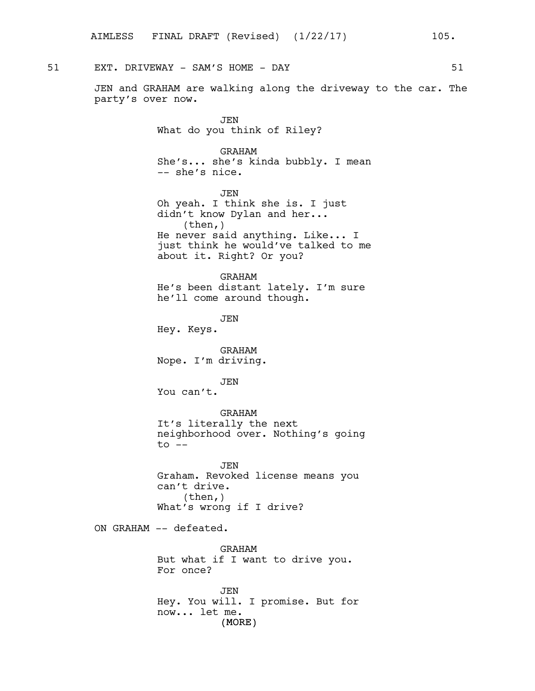51 EXT. DRIVEWAY - SAM'S HOME - DAY 51

JEN and GRAHAM are walking along the driveway to the car. The party's over now.

> JEN What do you think of Riley?

GRAHAM She's... she's kinda bubbly. I mean -- she's nice.

JEN Oh yeah. I think she is. I just didn't know Dylan and her... (then,) He never said anything. Like... I just think he would've talked to me about it. Right? Or you?

GRAHAM He's been distant lately. I'm sure he'll come around though.

JEN Hey. Keys.

GRAHAM Nope. I'm driving.

JEN You can't.

GRAHAM It's literally the next neighborhood over. Nothing's going  $to$   $--$ 

JEN Graham. Revoked license means you can't drive. (then,) What's wrong if I drive?

ON GRAHAM -- defeated.

GRAHAM But what if I want to drive you. For once?

(MORE) JEN Hey. You will. I promise. But for now... let me.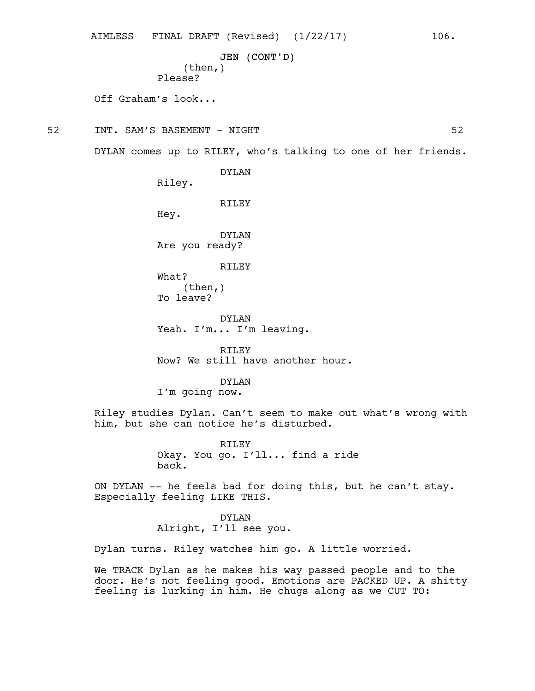```
JEN (CONT'D)
    (then,)
Please?
```
Off Graham's look...

52 INT. SAM'S BASEMENT - NIGHT 52

DYLAN comes up to RILEY, who's talking to one of her friends.

DYLAN

Riley.

RILEY

Hey.

DYLAN Are you ready?

RILEY

What? (then,) To leave?

DYLAN Yeah. I'm... I'm leaving.

RILEY Now? We still have another hour.

DYLAN I'm going now.

Riley studies Dylan. Can't seem to make out what's wrong with him, but she can notice he's disturbed.

> RILEY Okay. You go. I'll... find a ride back.

ON DYLAN -- he feels bad for doing this, but he can't stay. Especially feeling LIKE THIS.

> DYLAN Alright, I'll see you.

Dylan turns. Riley watches him go. A little worried.

We TRACK Dylan as he makes his way passed people and to the door. He's not feeling good. Emotions are PACKED UP. A shitty feeling is lurking in him. He chugs along as we CUT TO: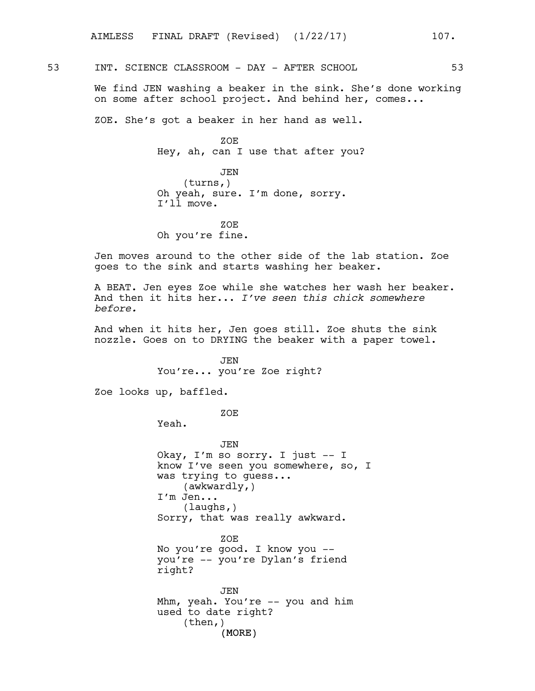53 INT. SCIENCE CLASSROOM - DAY - AFTER SCHOOL 53

We find JEN washing a beaker in the sink. She's done working on some after school project. And behind her, comes...

ZOE. She's got a beaker in her hand as well.

ZOE Hey, ah, can I use that after you?

JEN (turns,) Oh yeah, sure. I'm done, sorry. I'll move.

ZOE Oh you're fine.

Jen moves around to the other side of the lab station. Zoe goes to the sink and starts washing her beaker.

A BEAT. Jen eyes Zoe while she watches her wash her beaker. And then it hits her... *I've seen this chick somewhere before.*

And when it hits her, Jen goes still. Zoe shuts the sink nozzle. Goes on to DRYING the beaker with a paper towel.

> JEN You're... you're Zoe right?

Zoe looks up, baffled.

ZOE

Yeah.

(MORE) JEN Okay, I'm so sorry. I just -- I know I've seen you somewhere, so, I was trying to guess... (awkwardly,) I'm Jen... (laughs,) Sorry, that was really awkward. ZOE No you're good. I know you - you're -- you're Dylan's friend right? JEN Mhm, yeah. You're -- you and him used to date right? (then,)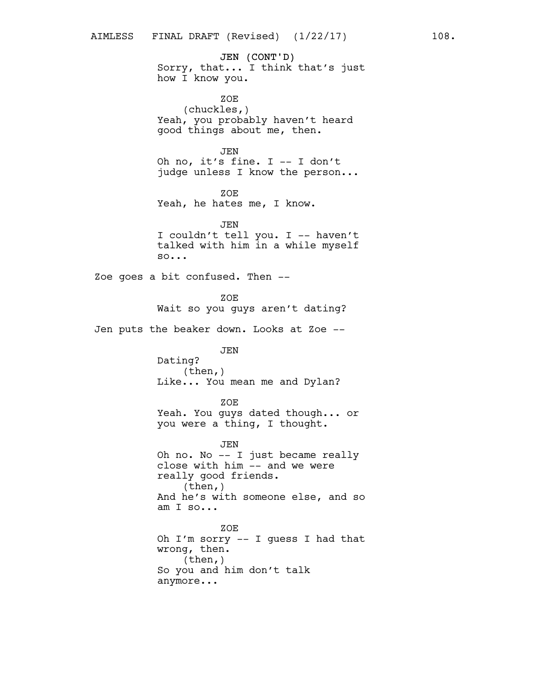JEN (CONT'D) Sorry, that... I think that's just how I know you.

ZOE (chuckles,) Yeah, you probably haven't heard good things about me, then.

JEN Oh no, it's fine. I -- I don't judge unless I know the person...

ZOE Yeah, he hates me, I know.

JEN I couldn't tell you. I -- haven't talked with him in a while myself so...

Zoe goes a bit confused. Then --

ZOE Wait so you guys aren't dating?

Jen puts the beaker down. Looks at Zoe --

JEN

Dating? (then,) Like... You mean me and Dylan?

ZOE

Yeah. You guys dated though... or you were a thing, I thought.

JEN Oh no. No -- I just became really close with him -- and we were really good friends. (then,) And he's with someone else, and so am I so...

ZOE Oh I'm sorry -- I guess I had that wrong, then. (then,) So you and him don't talk anymore...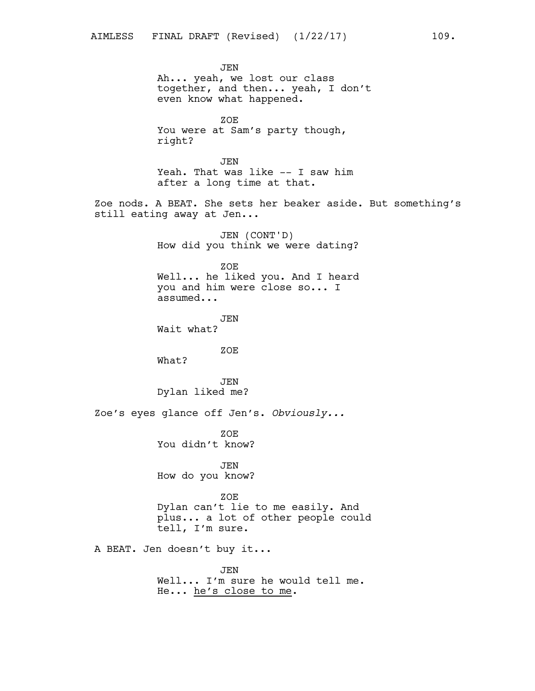JEN Ah... yeah, we lost our class together, and then... yeah, I don't even know what happened. ZOE You were at Sam's party though, right? JEN Yeah. That was like -- I saw him after a long time at that. Zoe nods. A BEAT. She sets her beaker aside. But something's still eating away at Jen... JEN (CONT'D) How did you think we were dating? ZOE Well... he liked you. And I heard you and him were close so... I assumed... JEN Wait what? ZOE What? JEN Dylan liked me? Zoe's eyes glance off Jen's. *Obviously...* ZOE You didn't know? JEN How do you know? ZOE Dylan can't lie to me easily. And plus... a lot of other people could tell, I'm sure. A BEAT. Jen doesn't buy it... JEN Well... I'm sure he would tell me. He... he's close to me.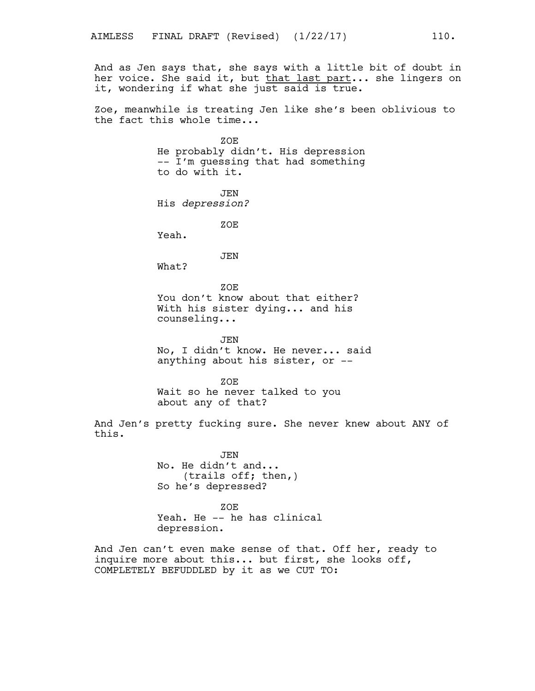And as Jen says that, she says with a little bit of doubt in her voice. She said it, but that last part... she lingers on it, wondering if what she just said is true.

Zoe, meanwhile is treating Jen like she's been oblivious to the fact this whole time...

> ZOE He probably didn't. His depression -- I'm guessing that had something to do with it. JEN His *depression?* ZOE Yeah.

> > JEN

What?

ZOE You don't know about that either? With his sister dying... and his counseling...

JEN No, I didn't know. He never... said anything about his sister, or --

ZOE Wait so he never talked to you about any of that?

And Jen's pretty fucking sure. She never knew about ANY of this.

> JEN No. He didn't and... (trails off; then,) So he's depressed?

ZOE Yeah. He -- he has clinical depression.

And Jen can't even make sense of that. Off her, ready to inquire more about this... but first, she looks off, COMPLETELY BEFUDDLED by it as we CUT TO: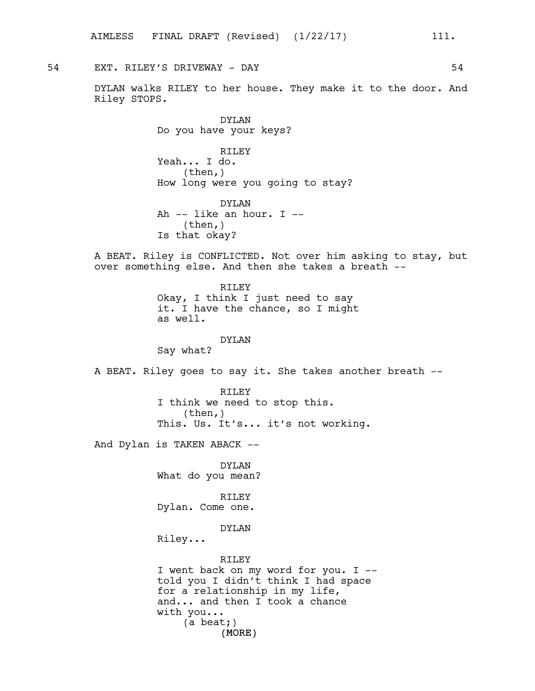54 EXT. RILEY'S DRIVEWAY - DAY 64

DYLAN walks RILEY to her house. They make it to the door. And Riley STOPS.

> DYLAN Do you have your keys?

RILEY Yeah... I do. (then,) How long were you going to stay?

DYLAN Ah -- like an hour. I -- (then,) Is that okay?

A BEAT. Riley is CONFLICTED. Not over him asking to stay, but over something else. And then she takes a breath --

> RILEY Okay, I think I just need to say it. I have the chance, so I might as well.

#### DYLAN

Say what?

A BEAT. Riley goes to say it. She takes another breath --

RILEY I think we need to stop this.  $(then, )$ This. Us. It's... it's not working.

And Dylan is TAKEN ABACK --

DYLAN What do you mean?

RILEY Dylan. Come one.

#### DYLAN

Riley...

## RILEY

(MORE) I went back on my word for you. I - told you I didn't think I had space for a relationship in my life, and... and then I took a chance with you... (a beat;)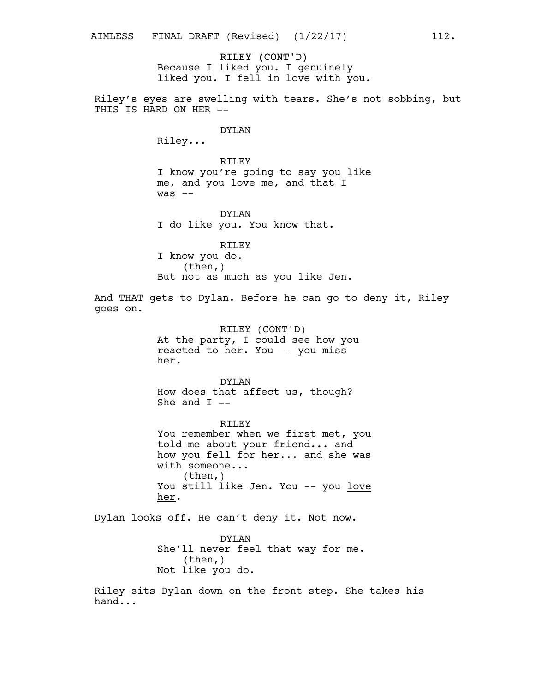RILEY (CONT'D) Because I liked you. I genuinely liked you. I fell in love with you.

Riley's eyes are swelling with tears. She's not sobbing, but THIS IS HARD ON HER --

## DYLAN

Riley...

RILEY I know you're going to say you like me, and you love me, and that I was --

DYLAN I do like you. You know that.

RILEY I know you do. (then,) But not as much as you like Jen.

And THAT gets to Dylan. Before he can go to deny it, Riley goes on.

> RILEY (CONT'D) At the party, I could see how you reacted to her. You -- you miss her.

DYLAN How does that affect us, though? She and  $I$  --

RILEY You remember when we first met, you told me about your friend... and how you fell for her... and she was with someone... (then,) You still like Jen. You -- you love her.

Dylan looks off. He can't deny it. Not now.

DYLAN She'll never feel that way for me. (then,) Not like you do.

Riley sits Dylan down on the front step. She takes his hand...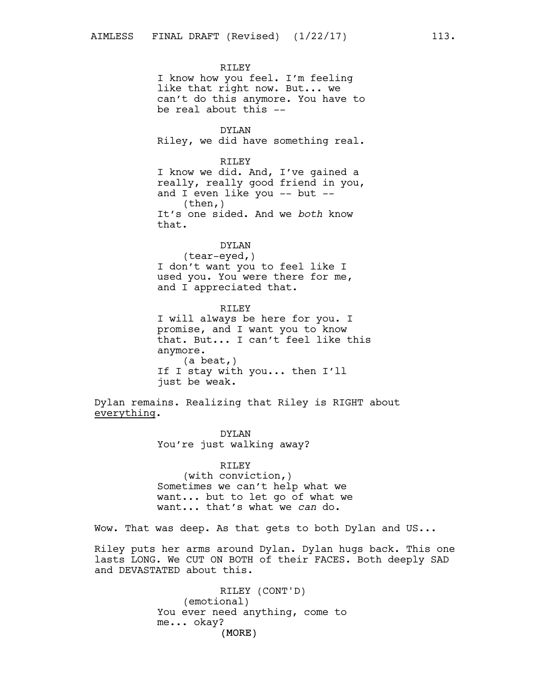RILEY I know how you feel. I'm feeling like that right now. But... we can't do this anymore. You have to be real about this --

DYLAN Riley, we did have something real.

RILEY I know we did. And, I've gained a really, really good friend in you, and I even like you -- but -- (then,) It's one sided. And we *both* know that.

## DYLAN

(tear-eyed,) I don't want you to feel like I used you. You were there for me, and I appreciated that.

RILEY I will always be here for you. I promise, and I want you to know that. But... I can't feel like this anymore. (a beat,) If I stay with you... then I'll just be weak.

Dylan remains. Realizing that Riley is RIGHT about everything.

> DYLAN You're just walking away?

RILEY (with conviction,) Sometimes we can't help what we want... but to let go of what we want... that's what we *can* do.

Wow. That was deep. As that gets to both Dylan and US...

Riley puts her arms around Dylan. Dylan hugs back. This one lasts LONG. We CUT ON BOTH of their FACES. Both deeply SAD and DEVASTATED about this.

> (MORE) RILEY (CONT'D) (emotional) You ever need anything, come to me... okay?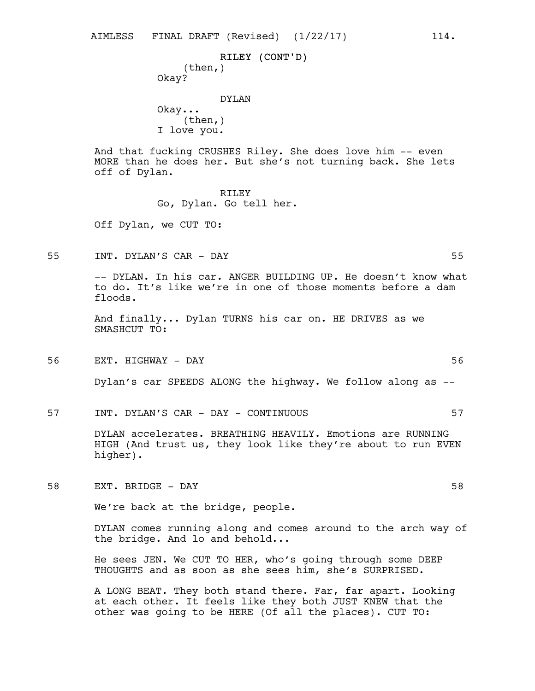RILEY (CONT'D) (then,) Okay?

DYLAN Okay...  $(then, )$ I love you.

And that fucking CRUSHES Riley. She does love him -- even MORE than he does her. But she's not turning back. She lets off of Dylan.

> RILEY Go, Dylan. Go tell her.

Off Dylan, we CUT TO:

55 INT. DYLAN'S CAR - DAY 55

-- DYLAN. In his car. ANGER BUILDING UP. He doesn't know what to do. It's like we're in one of those moments before a dam floods.

And finally... Dylan TURNS his car on. HE DRIVES as we SMASHCUT TO:

56 EXT. HIGHWAY - DAY 56

Dylan's car SPEEDS ALONG the highway. We follow along as --

57 INT. DYLAN'S CAR - DAY - CONTINUOUS 57

DYLAN accelerates. BREATHING HEAVILY. Emotions are RUNNING HIGH (And trust us, they look like they're about to run EVEN higher).

58 EXT. BRIDGE - DAY 58

We're back at the bridge, people.

DYLAN comes running along and comes around to the arch way of the bridge. And lo and behold...

He sees JEN. We CUT TO HER, who's going through some DEEP THOUGHTS and as soon as she sees him, she's SURPRISED.

A LONG BEAT. They both stand there. Far, far apart. Looking at each other. It feels like they both JUST KNEW that the other was going to be HERE (Of all the places). CUT TO: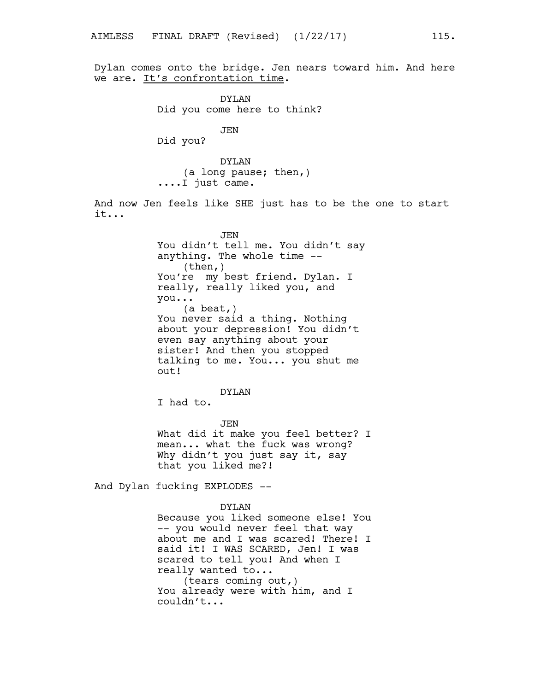Dylan comes onto the bridge. Jen nears toward him. And here we are. It's confrontation time.

> DYLAN Did you come here to think?

> > JEN

Did you?

DYLAN (a long pause; then,) ....I just came.

And now Jen feels like SHE just has to be the one to start it...

> JEN You didn't tell me. You didn't say anything. The whole time -- (then,) You're my best friend. Dylan. I really, really liked you, and you... (a beat,) You never said a thing. Nothing about your depression! You didn't even say anything about your sister! And then you stopped talking to me. You... you shut me out!

> > DYLAN

I had to.

JEN What did it make you feel better? I mean... what the fuck was wrong? Why didn't you just say it, say that you liked me?!

And Dylan fucking EXPLODES --

DYLAN Because you liked someone else! You -- you would never feel that way about me and I was scared! There! I said it! I WAS SCARED, Jen! I was scared to tell you! And when I really wanted to... (tears coming out,) You already were with him, and I couldn't...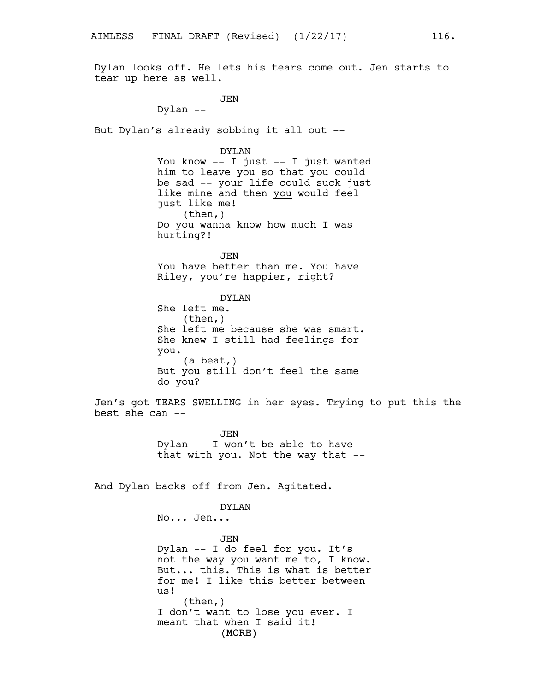Dylan looks off. He lets his tears come out. Jen starts to tear up here as well.

JEN

Dylan --

But Dylan's already sobbing it all out --

DYLAN

You know -- I just -- I just wanted him to leave you so that you could be sad -- your life could suck just like mine and then you would feel just like me! (then,) Do you wanna know how much I was hurting?!

JEN You have better than me. You have Riley, you're happier, right?

DYLAN She left me. (then,) She left me because she was smart. She knew I still had feelings for you. (a beat,) But you still don't feel the same do you?

Jen's got TEARS SWELLING in her eyes. Trying to put this the best she can --

> JEN Dylan -- I won't be able to have that with you. Not the way that --

And Dylan backs off from Jen. Agitated.

#### DYLAN

No... Jen...

(MORE) JEN Dylan -- I do feel for you. It's not the way you want me to, I know. But... this. This is what is better for me! I like this better between us! (then,) I don't want to lose you ever. I meant that when I said it!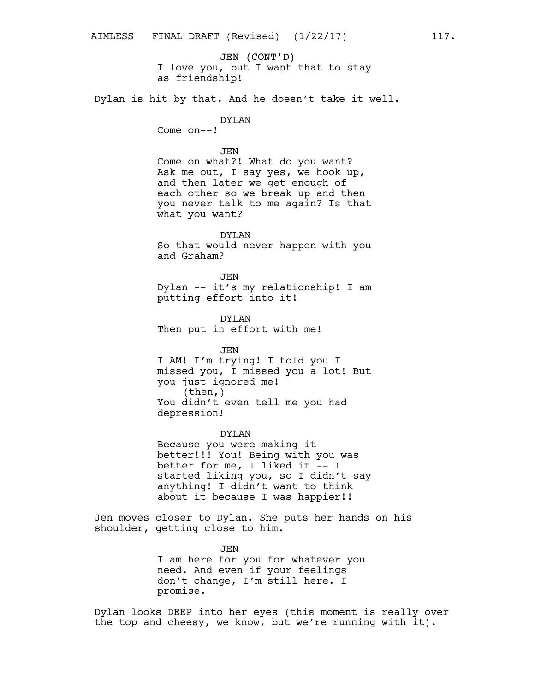JEN (CONT'D) I love you, but I want that to stay as friendship!

Dylan is hit by that. And he doesn't take it well.

# DYLAN

Come on--!

#### JEN

Come on what?! What do you want? Ask me out, I say yes, we hook up, and then later we get enough of each other so we break up and then you never talk to me again? Is that what you want?

DYLAN So that would never happen with you and Graham?

JEN Dylan -- it's my relationship! I am putting effort into it!

DYLAN Then put in effort with me!

JEN I AM! I'm trying! I told you I missed you, I missed you a lot! But you just ignored me! (then,) You didn't even tell me you had depression!

#### DYLAN

Because you were making it better!!! You! Being with you was better for me, I liked it -- I started liking you, so I didn't say anything! I didn't want to think about it because I was happier!!

Jen moves closer to Dylan. She puts her hands on his shoulder, getting close to him.

> JEN I am here for you for whatever you need. And even if your feelings don't change, I'm still here. I promise.

Dylan looks DEEP into her eyes (this moment is really over the top and cheesy, we know, but we're running with it).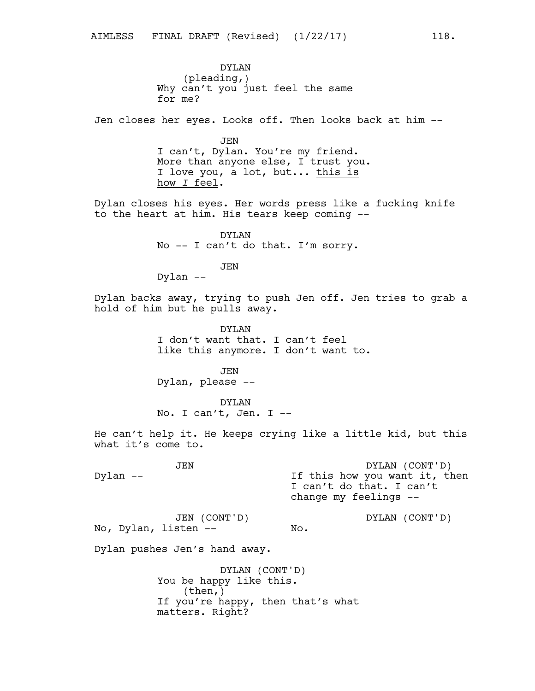DYLAN (pleading,) Why can't you just feel the same for me?

Jen closes her eyes. Looks off. Then looks back at him --

JEN I can't, Dylan. You're my friend. More than anyone else, I trust you. I love you, a lot, but... this is how *I* feel.

Dylan closes his eyes. Her words press like a fucking knife to the heart at him. His tears keep coming --

> DYLAN No -- I can't do that. I'm sorry.

> > JEN

Dylan --

Dylan backs away, trying to push Jen off. Jen tries to grab a hold of him but he pulls away.

> DYLAN I don't want that. I can't feel like this anymore. I don't want to.

JEN Dylan, please --

DYLAN No. I can't, Jen. I --

He can't help it. He keeps crying like a little kid, but this what it's come to.

JEN Dylan -- DYLAN (CONT'D) If this how you want it, then I can't do that. I can't change my feelings -- JEN (CONT'D) DYLAN (CONT'D)

No.

No, Dylan, listen --

Dylan pushes Jen's hand away.

DYLAN (CONT'D) You be happy like this. (then,) If you're happy, then that's what matters. Right?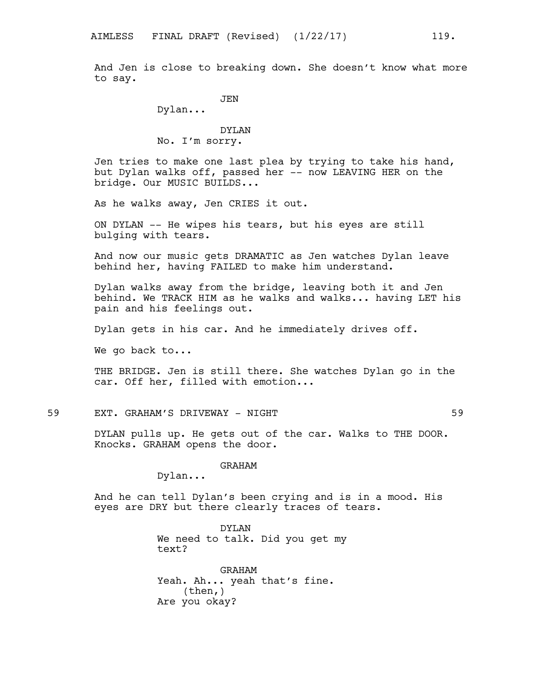And Jen is close to breaking down. She doesn't know what more to say.

JEN

Dylan...

# DYLAN No. I'm sorry.

Jen tries to make one last plea by trying to take his hand, but Dylan walks off, passed her -- now LEAVING HER on the bridge. Our MUSIC BUILDS...

As he walks away, Jen CRIES it out.

ON DYLAN -- He wipes his tears, but his eyes are still bulging with tears.

And now our music gets DRAMATIC as Jen watches Dylan leave behind her, having FAILED to make him understand.

Dylan walks away from the bridge, leaving both it and Jen behind. We TRACK HIM as he walks and walks... having LET his pain and his feelings out.

Dylan gets in his car. And he immediately drives off.

We go back to...

THE BRIDGE. Jen is still there. She watches Dylan go in the car. Off her, filled with emotion...

59 EXT. GRAHAM'S DRIVEWAY - NIGHT 59

DYLAN pulls up. He gets out of the car. Walks to THE DOOR. Knocks. GRAHAM opens the door.

GRAHAM

Dylan...

And he can tell Dylan's been crying and is in a mood. His eyes are DRY but there clearly traces of tears.

> DYLAN We need to talk. Did you get my text?

GRAHAM Yeah. Ah... yeah that's fine. (then,) Are you okay?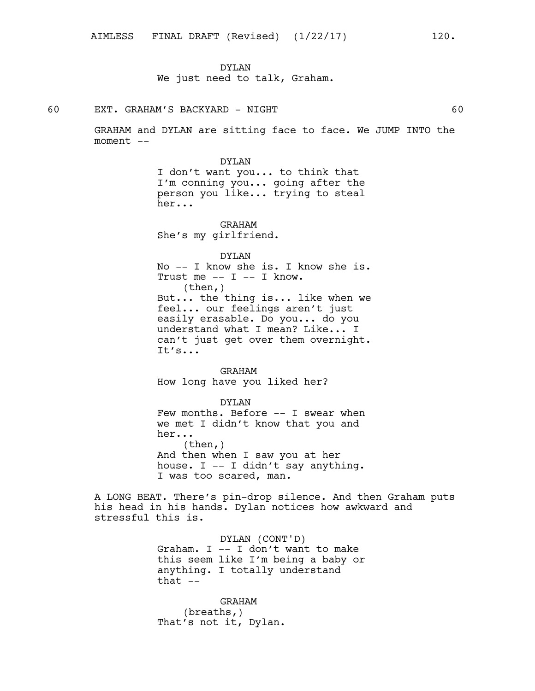## DYLAN

We just need to talk, Graham.

## 60 EXT. GRAHAM'S BACKYARD - NIGHT 60

GRAHAM and DYLAN are sitting face to face. We JUMP INTO the moment --

> DYLAN I don't want you... to think that I'm conning you... going after the person you like... trying to steal her...

GRAHAM She's my girlfriend.

## DYLAN

No -- I know she is. I know she is. Trust me  $--$  I  $--$  I know. (then,) But... the thing is... like when we feel... our feelings aren't just easily erasable. Do you... do you understand what I mean? Like... I can't just get over them overnight. It's...

GRAHAM How long have you liked her?

# DYLAN

Few months. Before -- I swear when we met I didn't know that you and her... (then,) And then when I saw you at her house. I -- I didn't say anything. I was too scared, man.

A LONG BEAT. There's pin-drop silence. And then Graham puts his head in his hands. Dylan notices how awkward and stressful this is.

> DYLAN (CONT'D) Graham. I -- I don't want to make this seem like I'm being a baby or anything. I totally understand that  $--$

GRAHAM (breaths,) That's not it, Dylan.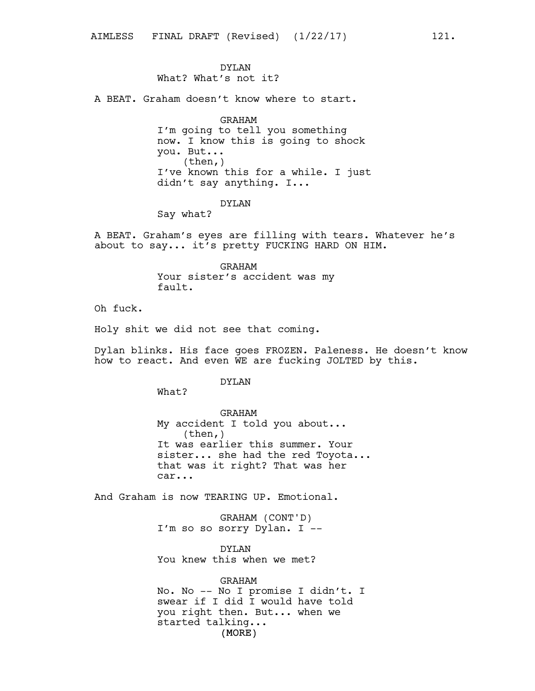## DYLAN

What? What's not it?

A BEAT. Graham doesn't know where to start.

GRAHAM I'm going to tell you something now. I know this is going to shock you. But... (then,) I've known this for a while. I just didn't say anything. I...

## DYLAN

Say what?

A BEAT. Graham's eyes are filling with tears. Whatever he's about to say... it's pretty FUCKING HARD ON HIM.

> GRAHAM Your sister's accident was my fault.

Oh fuck.

Holy shit we did not see that coming.

Dylan blinks. His face goes FROZEN. Paleness. He doesn't know how to react. And even WE are fucking JOLTED by this.

#### DYLAN

What?

GRAHAM My accident I told you about... (then,) It was earlier this summer. Your sister... she had the red Toyota... that was it right? That was her car...

And Graham is now TEARING UP. Emotional.

GRAHAM (CONT'D) I'm so so sorry Dylan. I --

DYLAN You knew this when we met?

(MORE) GRAHAM No. No -- No I promise I didn't. I swear if I did I would have told you right then. But... when we started talking...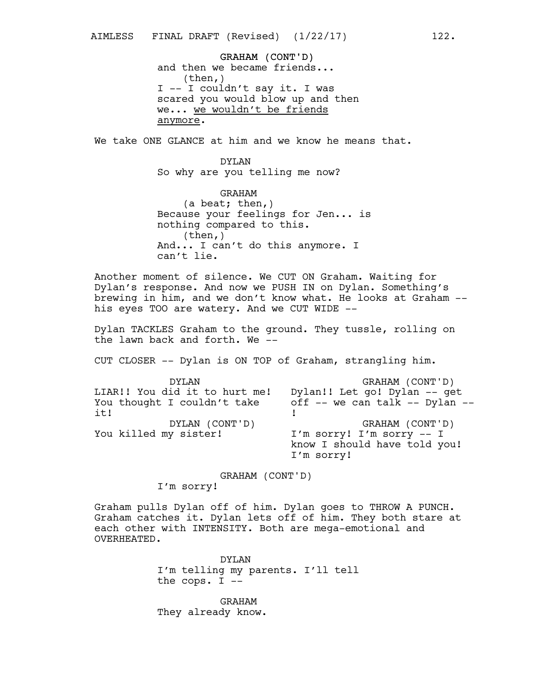GRAHAM (CONT'D) and then we became friends... (then,) I -- I couldn't say it. I was scared you would blow up and then we... we wouldn't be friends anymore.

We take ONE GLANCE at him and we know he means that.

DYLAN So why are you telling me now?

GRAHAM (a beat; then,) Because your feelings for Jen... is nothing compared to this. (then,) And... I can't do this anymore. I can't lie.

Another moment of silence. We CUT ON Graham. Waiting for Dylan's response. And now we PUSH IN on Dylan. Something's brewing in him, and we don't know what. He looks at Graham - his eyes TOO are watery. And we CUT WIDE --

Dylan TACKLES Graham to the ground. They tussle, rolling on the lawn back and forth. We --

CUT CLOSER -- Dylan is ON TOP of Graham, strangling him.

| DYLAN                         | GRAHAM (CONT'D)                |
|-------------------------------|--------------------------------|
| LIAR!! You did it to hurt me! | Dylan!! Let go! Dylan -- get   |
| You thought I couldn't take   | off -- we can talk -- Dylan -- |
| it!                           |                                |
| DYLAN (CONT'D)                | GRAHAM (CONT'D)                |
| You killed my sister!         | I'm sorry! I'm sorry $--$ I    |
|                               | know I should have told you!   |
|                               | I'm sorry!                     |

GRAHAM (CONT'D)

I'm sorry!

Graham pulls Dylan off of him. Dylan goes to THROW A PUNCH. Graham catches it. Dylan lets off of him. They both stare at each other with INTENSITY. Both are mega-emotional and OVERHEATED.

> DYLAN I'm telling my parents. I'll tell the cops. I --

GRAHAM They already know.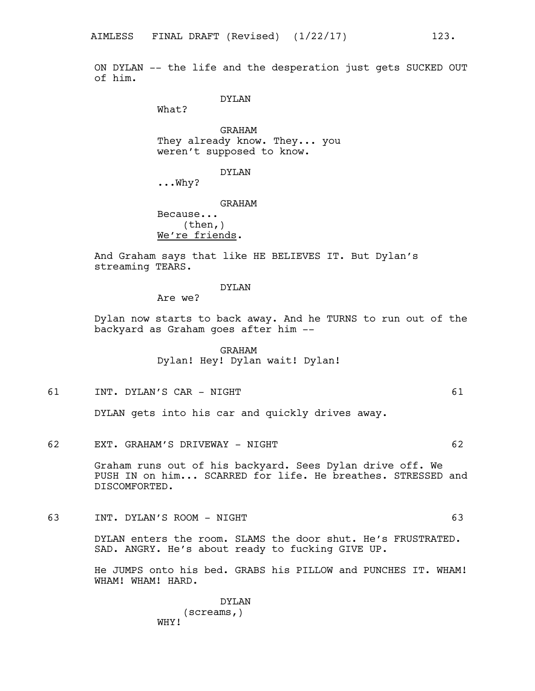ON DYLAN -- the life and the desperation just gets SUCKED OUT of him.

## DYLAN

What?

GRAHAM They already know. They... you weren't supposed to know.

DYLAN

...Why?

GRAHAM Because...  $(then, )$ We're friends.

And Graham says that like HE BELIEVES IT. But Dylan's streaming TEARS.

#### DYLAN

Are we?

Dylan now starts to back away. And he TURNS to run out of the backyard as Graham goes after him --

> GRAHAM Dylan! Hey! Dylan wait! Dylan!

61 INT. DYLAN'S CAR - NIGHT 61

DYLAN gets into his car and quickly drives away.

62 EXT. GRAHAM'S DRIVEWAY - NIGHT 62

Graham runs out of his backyard. Sees Dylan drive off. We PUSH IN on him... SCARRED for life. He breathes. STRESSED and DISCOMFORTED.

63 INT. DYLAN'S ROOM - NIGHT 63

DYLAN enters the room. SLAMS the door shut. He's FRUSTRATED. SAD. ANGRY. He's about ready to fucking GIVE UP.

He JUMPS onto his bed. GRABS his PILLOW and PUNCHES IT. WHAM! WHAM! WHAM! HARD.

> DYLAN (screams,) WHY!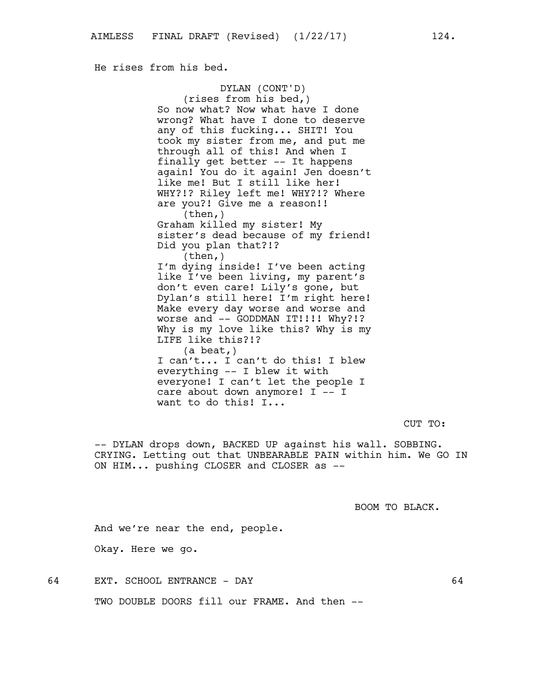He rises from his bed.

DYLAN (CONT'D) (rises from his bed,) So now what? Now what have I done wrong? What have I done to deserve any of this fucking... SHIT! You took my sister from me, and put me through all of this! And when I finally get better -- It happens again! You do it again! Jen doesn't like me! But I still like her! WHY?!? Riley left me! WHY?!? Where are you?! Give me a reason!! (then,) Graham killed my sister! My sister's dead because of my friend! Did you plan that?!? (then,) I'm dying inside! I've been acting like I've been living, my parent's don't even care! Lily's gone, but Dylan's still here! I'm right here! Make every day worse and worse and worse and -- GODDMAN IT!!!! Why?!? Why is my love like this? Why is my LIFE like this?!? (a beat,) I can't... I can't do this! I blew everything -- I blew it with everyone! I can't let the people I care about down anymore! I -- I want to do this! I...

CUT TO:

-- DYLAN drops down, BACKED UP against his wall. SOBBING. CRYING. Letting out that UNBEARABLE PAIN within him. We GO IN ON HIM... pushing CLOSER and CLOSER as --

BOOM TO BLACK.

And we're near the end, people.

Okay. Here we go.

64 EXT. SCHOOL ENTRANCE - DAY 64

TWO DOUBLE DOORS fill our FRAME. And then --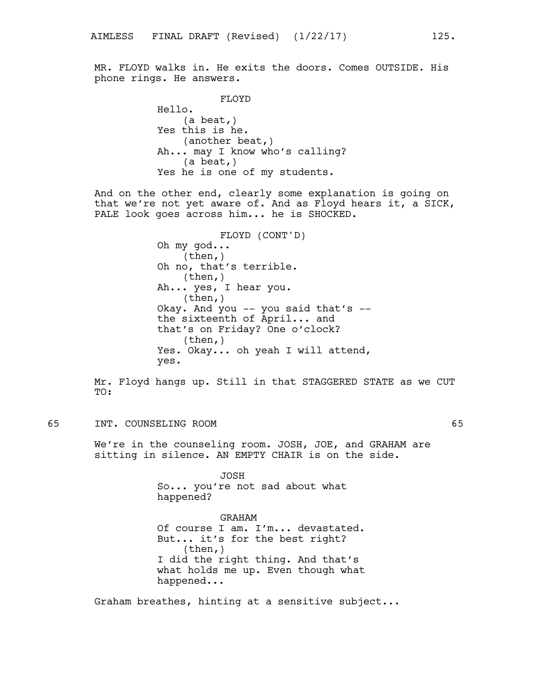MR. FLOYD walks in. He exits the doors. Comes OUTSIDE. His phone rings. He answers.

> FLOYD Hello. (a beat,) Yes this is he. (another beat,) Ah... may I know who's calling? (a beat,) Yes he is one of my students.

And on the other end, clearly some explanation is going on that we're not yet aware of. And as Floyd hears it, a SICK, PALE look goes across him... he is SHOCKED.

> FLOYD (CONT'D) Oh my god... (then,) Oh no, that's terrible. (then,) Ah... yes, I hear you. (then,) Okay. And you -- you said that's - the sixteenth of April... and that's on Friday? One o'clock? (then,) Yes. Okay... oh yeah I will attend, yes.

Mr. Floyd hangs up. Still in that STAGGERED STATE as we CUT TO:

65 INT. COUNSELING ROOM 65

We're in the counseling room. JOSH, JOE, and GRAHAM are sitting in silence. AN EMPTY CHAIR is on the side.

> JOSH So... you're not sad about what happened?

GRAHAM Of course I am. I'm... devastated. But... it's for the best right? (then,) I did the right thing. And that's what holds me up. Even though what happened...

Graham breathes, hinting at a sensitive subject...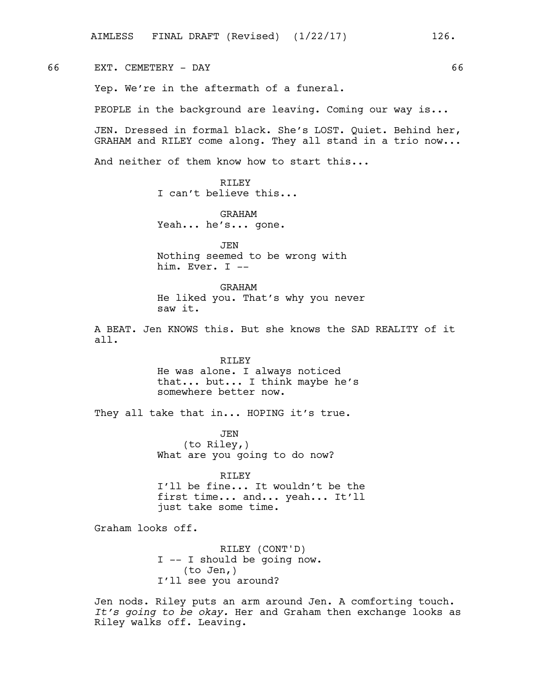66 EXT. CEMETERY - DAY 66

Yep. We're in the aftermath of a funeral.

PEOPLE in the background are leaving. Coming our way is...

JEN. Dressed in formal black. She's LOST. Quiet. Behind her, GRAHAM and RILEY come along. They all stand in a trio now...

And neither of them know how to start this...

RTLEY I can't believe this...

GRAHAM Yeah... he's... gone.

JEN Nothing seemed to be wrong with him. Ever. I --

GRAHAM He liked you. That's why you never saw it.

A BEAT. Jen KNOWS this. But she knows the SAD REALITY of it all.

> RILEY He was alone. I always noticed that... but... I think maybe he's somewhere better now.

They all take that in... HOPING it's true.

JEN (to Riley,) What are you going to do now?

RILEY I'll be fine... It wouldn't be the first time... and... yeah... It'll just take some time.

Graham looks off.

RILEY (CONT'D) I -- I should be going now. (to Jen,) I'll see you around?

Jen nods. Riley puts an arm around Jen. A comforting touch. *It's going to be okay.* Her and Graham then exchange looks as Riley walks off. Leaving.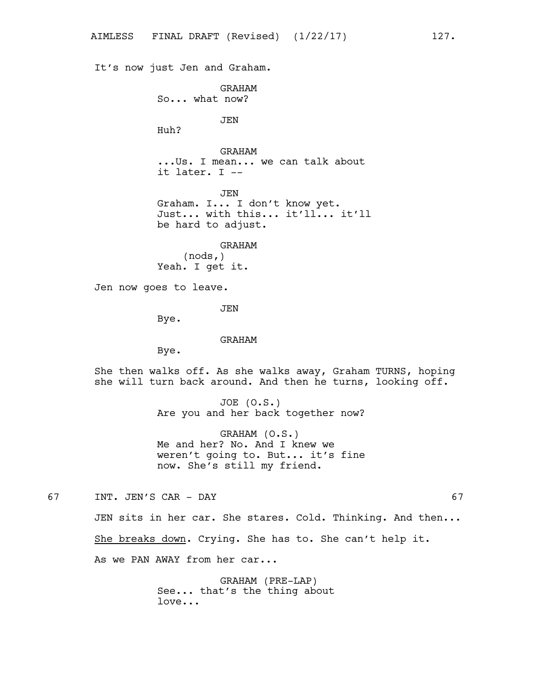It's now just Jen and Graham. GRAHAM So... what now? JEN Huh? GRAHAM ...Us. I mean... we can talk about it later. I -- JEN Graham. I... I don't know yet. Just... with this... it'll... it'll be hard to adjust. GRAHAM (nods,) Yeah. I get it. Jen now goes to leave. JEN Bye. GRAHAM Bye. She then walks off. As she walks away, Graham TURNS, hoping she will turn back around. And then he turns, looking off. JOE (O.S.) Are you and her back together now? GRAHAM (O.S.) Me and her? No. And I knew we weren't going to. But... it's fine now. She's still my friend. 67 INT. JEN'S CAR - DAY 67

JEN sits in her car. She stares. Cold. Thinking. And then... She breaks down. Crying. She has to. She can't help it.

As we PAN AWAY from her car...

GRAHAM (PRE-LAP) See... that's the thing about love...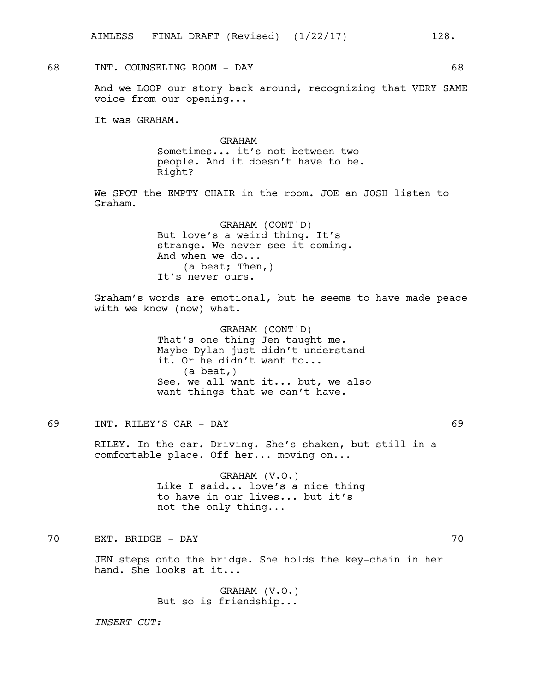# 68 INT. COUNSELING ROOM - DAY 68

And we LOOP our story back around, recognizing that VERY SAME voice from our opening...

It was GRAHAM.

GRAHAM Sometimes... it's not between two people. And it doesn't have to be. Right?

We SPOT the EMPTY CHAIR in the room. JOE an JOSH listen to Graham.

> GRAHAM (CONT'D) But love's a weird thing. It's strange. We never see it coming. And when we do... (a beat; Then,) It's never ours.

Graham's words are emotional, but he seems to have made peace with we know (now) what.

> GRAHAM (CONT'D) That's one thing Jen taught me. Maybe Dylan just didn't understand it. Or he didn't want to... (a beat,) See, we all want it... but, we also want things that we can't have.

69 INT. RILEY'S CAR - DAY 69

RILEY. In the car. Driving. She's shaken, but still in a comfortable place. Off her... moving on...

> GRAHAM (V.O.) Like I said... love's a nice thing to have in our lives... but it's not the only thing...

70 EXT. BRIDGE - DAY 70

JEN steps onto the bridge. She holds the key-chain in her hand. She looks at it...

> GRAHAM (V.O.) But so is friendship...

*INSERT CUT:*